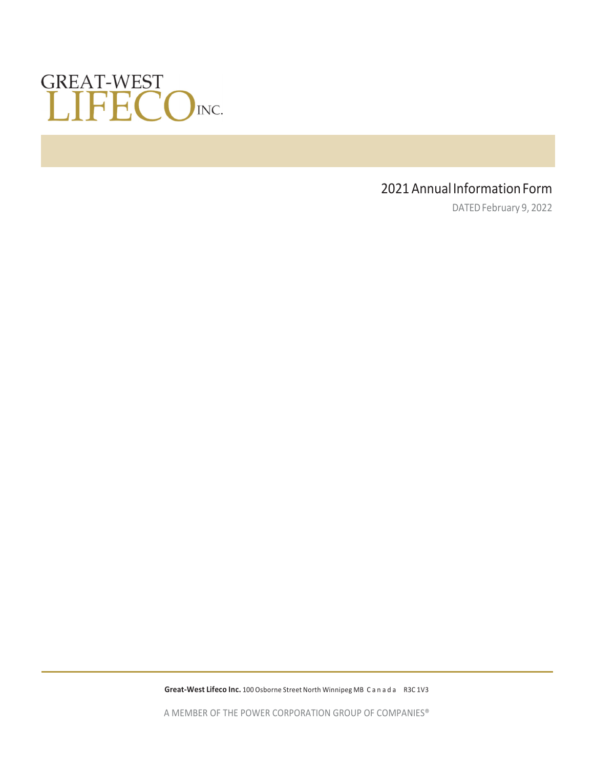

# 2021 Annual Information Form

DATED February 9, 2022

**Great‐West Lifeco Inc.** 100 Osborne Street North Winnipeg MB Canada R3C 1V3

A MEMBER OF THE POWER CORPORATION GROUP OF COMPANIES®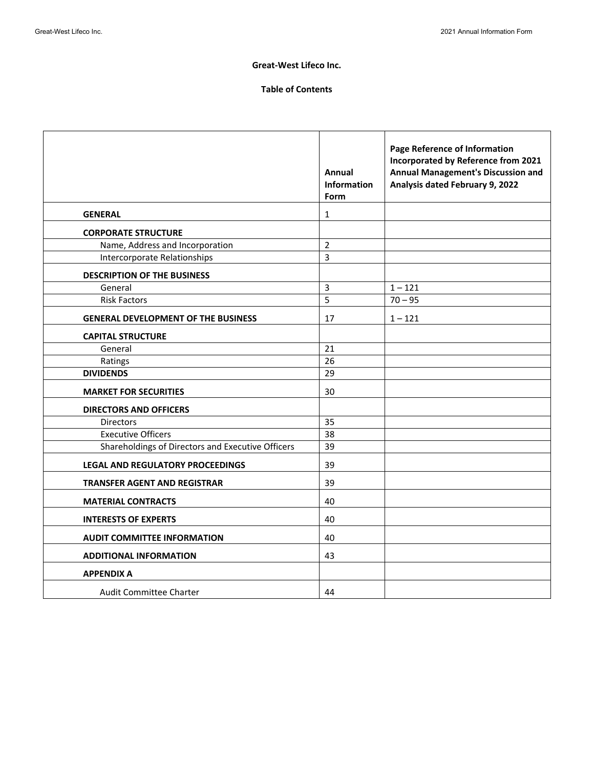### **Great‐West Lifeco Inc.**

## **Table of Contents**

|                                                   | Annual<br>Information<br>Form | Page Reference of Information<br>Incorporated by Reference from 2021<br>Annual Management's Discussion and<br>Analysis dated February 9, 2022 |
|---------------------------------------------------|-------------------------------|-----------------------------------------------------------------------------------------------------------------------------------------------|
| <b>GENERAL</b>                                    | 1                             |                                                                                                                                               |
| <b>CORPORATE STRUCTURE</b>                        |                               |                                                                                                                                               |
| Name, Address and Incorporation                   | $\overline{2}$                |                                                                                                                                               |
| Intercorporate Relationships                      | 3                             |                                                                                                                                               |
| <b>DESCRIPTION OF THE BUSINESS</b>                |                               |                                                                                                                                               |
| General                                           | 3                             | $1 - 121$                                                                                                                                     |
| <b>Risk Factors</b>                               | 5                             | $70 - 95$                                                                                                                                     |
| <b>GENERAL DEVELOPMENT OF THE BUSINESS</b>        | 17                            | $1 - 121$                                                                                                                                     |
| <b>CAPITAL STRUCTURE</b>                          |                               |                                                                                                                                               |
| General                                           | 21                            |                                                                                                                                               |
| Ratings                                           | 26                            |                                                                                                                                               |
| <b>DIVIDENDS</b>                                  | 29                            |                                                                                                                                               |
| <b>MARKET FOR SECURITIES</b>                      | 30                            |                                                                                                                                               |
| <b>DIRECTORS AND OFFICERS</b>                     |                               |                                                                                                                                               |
| <b>Directors</b>                                  | 35                            |                                                                                                                                               |
| <b>Executive Officers</b>                         | 38                            |                                                                                                                                               |
| Shareholdings of Directors and Executive Officers | 39                            |                                                                                                                                               |
| <b>LEGAL AND REGULATORY PROCEEDINGS</b>           | 39                            |                                                                                                                                               |
| <b>TRANSFER AGENT AND REGISTRAR</b>               | 39                            |                                                                                                                                               |
| <b>MATERIAL CONTRACTS</b>                         | 40                            |                                                                                                                                               |
| <b>INTERESTS OF EXPERTS</b>                       | 40                            |                                                                                                                                               |
| <b>AUDIT COMMITTEE INFORMATION</b>                | 40                            |                                                                                                                                               |
| <b>ADDITIONAL INFORMATION</b>                     | 43                            |                                                                                                                                               |
| <b>APPENDIX A</b>                                 |                               |                                                                                                                                               |
| <b>Audit Committee Charter</b>                    | 44                            |                                                                                                                                               |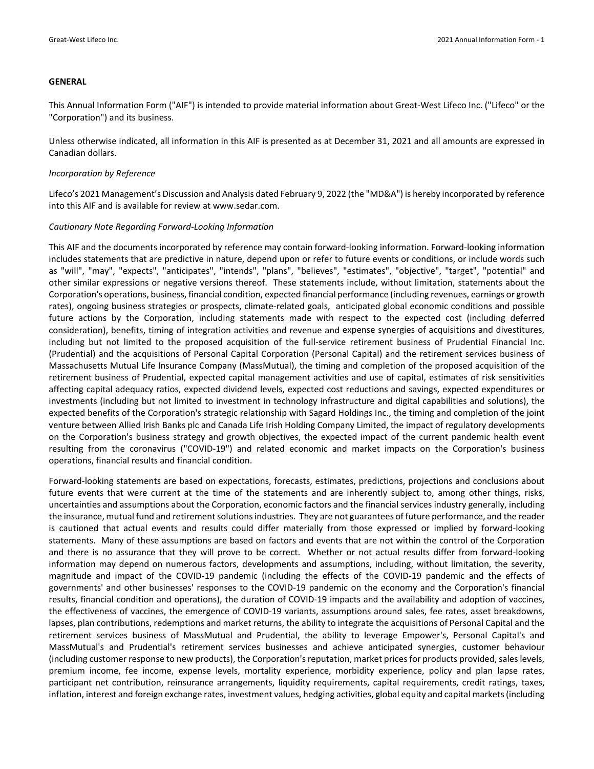#### **GENERAL**

This Annual Information Form ("AIF") is intended to provide material information about Great‐West Lifeco Inc. ("Lifeco" or the "Corporation") and its business.

Unless otherwise indicated, all information in this AIF is presented as at December 31, 2021 and all amounts are expressed in Canadian dollars.

#### *Incorporation by Reference*

Lifeco's 2021 Management's Discussion and Analysis dated February 9, 2022 (the "MD&A") is hereby incorporated by reference into this AIF and is available for review at www.sedar.com.

#### *Cautionary Note Regarding Forward‐Looking Information*

This AIF and the documents incorporated by reference may contain forward‐looking information. Forward‐looking information includes statements that are predictive in nature, depend upon or refer to future events or conditions, or include words such as "will", "may", "expects", "anticipates", "intends", "plans", "believes", "estimates", "objective", "target", "potential" and other similar expressions or negative versions thereof. These statements include, without limitation, statements about the Corporation's operations, business, financial condition, expected financial performance (including revenues, earnings or growth rates), ongoing business strategies or prospects, climate-related goals, anticipated global economic conditions and possible future actions by the Corporation, including statements made with respect to the expected cost (including deferred consideration), benefits, timing of integration activities and revenue and expense synergies of acquisitions and divestitures, including but not limited to the proposed acquisition of the full‐service retirement business of Prudential Financial Inc. (Prudential) and the acquisitions of Personal Capital Corporation (Personal Capital) and the retirement services business of Massachusetts Mutual Life Insurance Company (MassMutual), the timing and completion of the proposed acquisition of the retirement business of Prudential, expected capital management activities and use of capital, estimates of risk sensitivities affecting capital adequacy ratios, expected dividend levels, expected cost reductions and savings, expected expenditures or investments (including but not limited to investment in technology infrastructure and digital capabilities and solutions), the expected benefits of the Corporation's strategic relationship with Sagard Holdings Inc., the timing and completion of the joint venture between Allied Irish Banks plc and Canada Life Irish Holding Company Limited, the impact of regulatory developments on the Corporation's business strategy and growth objectives, the expected impact of the current pandemic health event resulting from the coronavirus ("COVID‐19") and related economic and market impacts on the Corporation's business operations, financial results and financial condition.

Forward‐looking statements are based on expectations, forecasts, estimates, predictions, projections and conclusions about future events that were current at the time of the statements and are inherently subject to, among other things, risks, uncertainties and assumptions about the Corporation, economic factors and the financial services industry generally, including the insurance, mutual fund and retirement solutions industries. They are not guarantees of future performance, and the reader is cautioned that actual events and results could differ materially from those expressed or implied by forward‐looking statements. Many of these assumptions are based on factors and events that are not within the control of the Corporation and there is no assurance that they will prove to be correct. Whether or not actual results differ from forward-looking information may depend on numerous factors, developments and assumptions, including, without limitation, the severity, magnitude and impact of the COVID‐19 pandemic (including the effects of the COVID‐19 pandemic and the effects of governments' and other businesses' responses to the COVID‐19 pandemic on the economy and the Corporation's financial results, financial condition and operations), the duration of COVID‐19 impacts and the availability and adoption of vaccines, the effectiveness of vaccines, the emergence of COVID‐19 variants, assumptions around sales, fee rates, asset breakdowns, lapses, plan contributions, redemptions and market returns, the ability to integrate the acquisitions of Personal Capital and the retirement services business of MassMutual and Prudential, the ability to leverage Empower's, Personal Capital's and MassMutual's and Prudential's retirement services businesses and achieve anticipated synergies, customer behaviour (including customer response to new products), the Corporation's reputation, market prices for products provided, sales levels, premium income, fee income, expense levels, mortality experience, morbidity experience, policy and plan lapse rates, participant net contribution, reinsurance arrangements, liquidity requirements, capital requirements, credit ratings, taxes, inflation, interest and foreign exchange rates, investment values, hedging activities, global equity and capital markets(including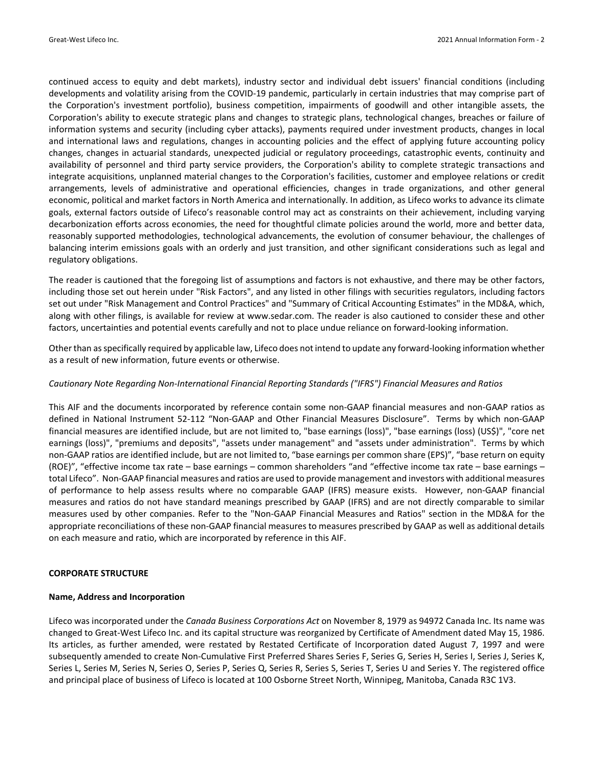continued access to equity and debt markets), industry sector and individual debt issuers' financial conditions (including developments and volatility arising from the COVID‐19 pandemic, particularly in certain industries that may comprise part of the Corporation's investment portfolio), business competition, impairments of goodwill and other intangible assets, the Corporation's ability to execute strategic plans and changes to strategic plans, technological changes, breaches or failure of information systems and security (including cyber attacks), payments required under investment products, changes in local and international laws and regulations, changes in accounting policies and the effect of applying future accounting policy changes, changes in actuarial standards, unexpected judicial or regulatory proceedings, catastrophic events, continuity and availability of personnel and third party service providers, the Corporation's ability to complete strategic transactions and integrate acquisitions, unplanned material changes to the Corporation's facilities, customer and employee relations or credit arrangements, levels of administrative and operational efficiencies, changes in trade organizations, and other general economic, political and market factors in North America and internationally. In addition, as Lifeco works to advance its climate goals, external factors outside of Lifeco's reasonable control may act as constraints on their achievement, including varying decarbonization efforts across economies, the need for thoughtful climate policies around the world, more and better data, reasonably supported methodologies, technological advancements, the evolution of consumer behaviour, the challenges of balancing interim emissions goals with an orderly and just transition, and other significant considerations such as legal and regulatory obligations.

The reader is cautioned that the foregoing list of assumptions and factors is not exhaustive, and there may be other factors, including those set out herein under "Risk Factors", and any listed in other filings with securities regulators, including factors set out under "Risk Management and Control Practices" and "Summary of Critical Accounting Estimates" in the MD&A, which, along with other filings, is available for review at www.sedar.com. The reader is also cautioned to consider these and other factors, uncertainties and potential events carefully and not to place undue reliance on forward-looking information.

Other than as specifically required by applicable law, Lifeco does not intend to update any forward-looking information whether as a result of new information, future events or otherwise.

#### *Cautionary Note Regarding Non‐International Financial Reporting Standards ("IFRS") Financial Measures and Ratios*

This AIF and the documents incorporated by reference contain some non‐GAAP financial measures and non‐GAAP ratios as defined in National Instrument 52‐112 "Non‐GAAP and Other Financial Measures Disclosure". Terms by which non‐GAAP financial measures are identified include, but are not limited to, "base earnings (loss)", "base earnings (loss) (US\$)", "core net earnings (loss)", "premiums and deposits", "assets under management" and "assets under administration". Terms by which non‐GAAP ratios are identified include, but are not limited to, "base earnings per common share (EPS)", "base return on equity (ROE)", "effective income tax rate – base earnings – common shareholders "and "effective income tax rate – base earnings – total Lifeco". Non‐GAAP financial measures and ratios are used to provide management and investors with additional measures of performance to help assess results where no comparable GAAP (IFRS) measure exists. However, non‐GAAP financial measures and ratios do not have standard meanings prescribed by GAAP (IFRS) and are not directly comparable to similar measures used by other companies. Refer to the "Non‐GAAP Financial Measures and Ratios" section in the MD&A for the appropriate reconciliations of these non‐GAAP financial measures to measures prescribed by GAAP as well as additional details on each measure and ratio, which are incorporated by reference in this AIF.

#### **CORPORATE STRUCTURE**

#### **Name, Address and Incorporation**

Lifeco was incorporated under the *Canada Business Corporations Act* on November 8, 1979 as 94972 Canada Inc. Its name was changed to Great‐West Lifeco Inc. and its capital structure was reorganized by Certificate of Amendment dated May 15, 1986. Its articles, as further amended, were restated by Restated Certificate of Incorporation dated August 7, 1997 and were subsequently amended to create Non‐Cumulative First Preferred Shares Series F, Series G, Series H, Series I, Series J, Series K, Series L, Series M, Series N, Series O, Series P, Series Q, Series R, Series S, Series T, Series U and Series Y. The registered office and principal place of business of Lifeco is located at 100 Osborne Street North, Winnipeg, Manitoba, Canada R3C 1V3.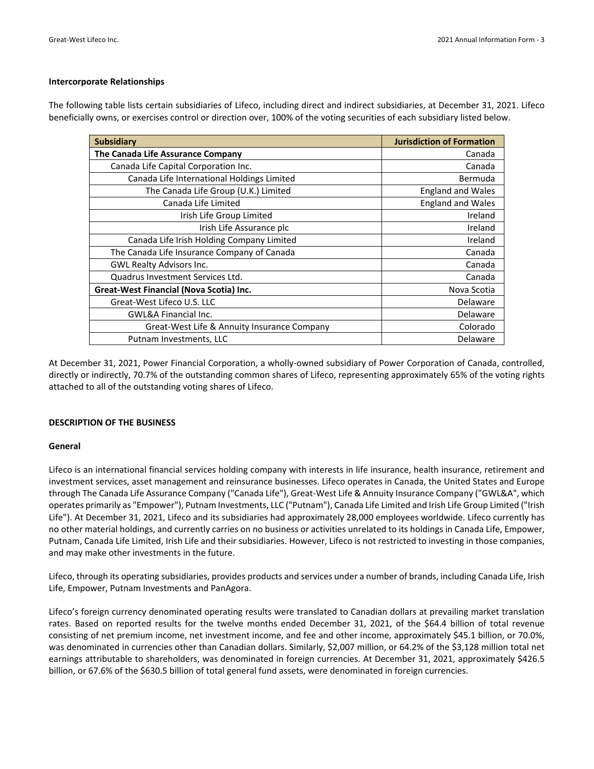#### **Intercorporate Relationships**

The following table lists certain subsidiaries of Lifeco, including direct and indirect subsidiaries, at December 31, 2021. Lifeco beneficially owns, or exercises control or direction over, 100% of the voting securities of each subsidiary listed below.

| <b>Subsidiary</b>                           | <b>Jurisdiction of Formation</b> |
|---------------------------------------------|----------------------------------|
| The Canada Life Assurance Company           | Canada                           |
| Canada Life Capital Corporation Inc.        | Canada                           |
| Canada Life International Holdings Limited  | Bermuda                          |
| The Canada Life Group (U.K.) Limited        | <b>England and Wales</b>         |
| Canada Life Limited                         | <b>England and Wales</b>         |
| Irish Life Group Limited                    | Ireland                          |
| Irish Life Assurance plc                    | Ireland                          |
| Canada Life Irish Holding Company Limited   | Ireland                          |
| The Canada Life Insurance Company of Canada | Canada                           |
| <b>GWL Realty Advisors Inc.</b>             | Canada                           |
| Quadrus Investment Services Ltd.            | Canada                           |
| Great-West Financial (Nova Scotia) Inc.     | Nova Scotia                      |
| Great-West Lifeco U.S. LLC                  | Delaware                         |
| <b>GWL&amp;A Financial Inc.</b>             | Delaware                         |
| Great-West Life & Annuity Insurance Company | Colorado                         |
| Putnam Investments, LLC                     | Delaware                         |

At December 31, 2021, Power Financial Corporation, a wholly‐owned subsidiary of Power Corporation of Canada, controlled, directly or indirectly, 70.7% of the outstanding common shares of Lifeco, representing approximately 65% of the voting rights attached to all of the outstanding voting shares of Lifeco.

#### **DESCRIPTION OF THE BUSINESS**

#### **General**

Lifeco is an international financial services holding company with interests in life insurance, health insurance, retirement and investment services, asset management and reinsurance businesses. Lifeco operates in Canada, the United States and Europe through The Canada Life Assurance Company ("Canada Life"), Great‐West Life & Annuity Insurance Company ("GWL&A", which operates primarily as "Empower"), Putnam Investments, LLC ("Putnam"), Canada Life Limited and Irish Life Group Limited ("Irish Life"). At December 31, 2021, Lifeco and its subsidiaries had approximately 28,000 employees worldwide. Lifeco currently has no other material holdings, and currently carries on no business or activities unrelated to its holdings in Canada Life, Empower, Putnam, Canada Life Limited, Irish Life and their subsidiaries. However, Lifeco is not restricted to investing in those companies, and may make other investments in the future.

Lifeco, through its operating subsidiaries, provides products and services under a number of brands, including Canada Life, Irish Life, Empower, Putnam Investments and PanAgora.

Lifeco's foreign currency denominated operating results were translated to Canadian dollars at prevailing market translation rates. Based on reported results for the twelve months ended December 31, 2021, of the \$64.4 billion of total revenue consisting of net premium income, net investment income, and fee and other income, approximately \$45.1 billion, or 70.0%, was denominated in currencies other than Canadian dollars. Similarly, \$2,007 million, or 64.2% of the \$3,128 million total net earnings attributable to shareholders, was denominated in foreign currencies. At December 31, 2021, approximately \$426.5 billion, or 67.6% of the \$630.5 billion of total general fund assets, were denominated in foreign currencies.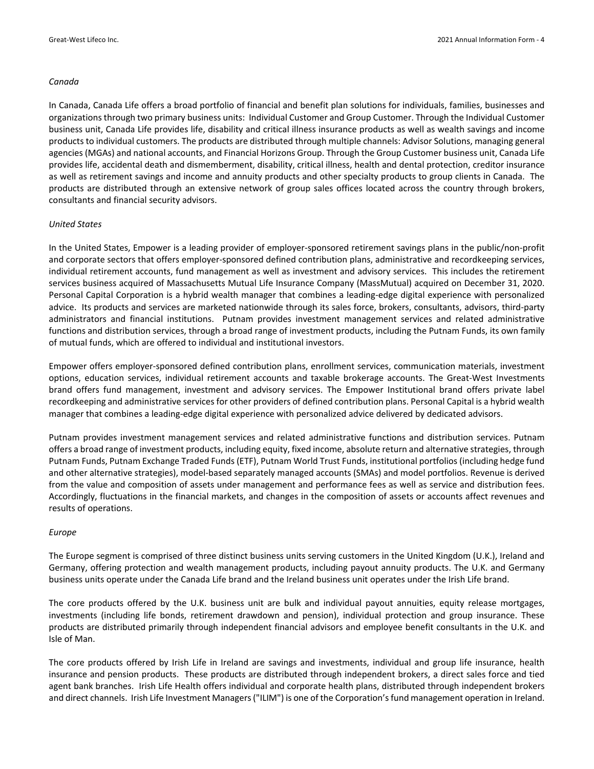#### *Canada*

In Canada, Canada Life offers a broad portfolio of financial and benefit plan solutions for individuals, families, businesses and organizations through two primary business units: Individual Customer and Group Customer. Through the Individual Customer business unit, Canada Life provides life, disability and critical illness insurance products as well as wealth savings and income products to individual customers. The products are distributed through multiple channels: Advisor Solutions, managing general agencies (MGAs) and national accounts, and Financial Horizons Group. Through the Group Customer business unit, Canada Life provides life, accidental death and dismemberment, disability, critical illness, health and dental protection, creditor insurance as well as retirement savings and income and annuity products and other specialty products to group clients in Canada. The products are distributed through an extensive network of group sales offices located across the country through brokers, consultants and financial security advisors.

#### *United States*

In the United States, Empower is a leading provider of employer‐sponsored retirement savings plans in the public/non‐profit and corporate sectors that offers employer-sponsored defined contribution plans, administrative and recordkeeping services, individual retirement accounts, fund management as well as investment and advisory services. This includes the retirement services business acquired of Massachusetts Mutual Life Insurance Company (MassMutual) acquired on December 31, 2020. Personal Capital Corporation is a hybrid wealth manager that combines a leading‐edge digital experience with personalized advice. Its products and services are marketed nationwide through its sales force, brokers, consultants, advisors, third‐party administrators and financial institutions. Putnam provides investment management services and related administrative functions and distribution services, through a broad range of investment products, including the Putnam Funds, its own family of mutual funds, which are offered to individual and institutional investors.

Empower offers employer‐sponsored defined contribution plans, enrollment services, communication materials, investment options, education services, individual retirement accounts and taxable brokerage accounts. The Great‐West Investments brand offers fund management, investment and advisory services. The Empower Institutional brand offers private label recordkeeping and administrative services for other providers of defined contribution plans. Personal Capital is a hybrid wealth manager that combines a leading‐edge digital experience with personalized advice delivered by dedicated advisors.

Putnam provides investment management services and related administrative functions and distribution services. Putnam offers a broad range of investment products, including equity, fixed income, absolute return and alternative strategies, through Putnam Funds, Putnam Exchange Traded Funds (ETF), Putnam World Trust Funds, institutional portfolios (including hedge fund and other alternative strategies), model‐based separately managed accounts (SMAs) and model portfolios. Revenue is derived from the value and composition of assets under management and performance fees as well as service and distribution fees. Accordingly, fluctuations in the financial markets, and changes in the composition of assets or accounts affect revenues and results of operations.

#### *Europe*

The Europe segment is comprised of three distinct business units serving customers in the United Kingdom (U.K.), Ireland and Germany, offering protection and wealth management products, including payout annuity products. The U.K. and Germany business units operate under the Canada Life brand and the Ireland business unit operates under the Irish Life brand.

The core products offered by the U.K. business unit are bulk and individual payout annuities, equity release mortgages, investments (including life bonds, retirement drawdown and pension), individual protection and group insurance. These products are distributed primarily through independent financial advisors and employee benefit consultants in the U.K. and Isle of Man.

The core products offered by Irish Life in Ireland are savings and investments, individual and group life insurance, health insurance and pension products. These products are distributed through independent brokers, a direct sales force and tied agent bank branches. Irish Life Health offers individual and corporate health plans, distributed through independent brokers and direct channels. Irish Life Investment Managers ("ILIM") is one of the Corporation's fund management operation in Ireland.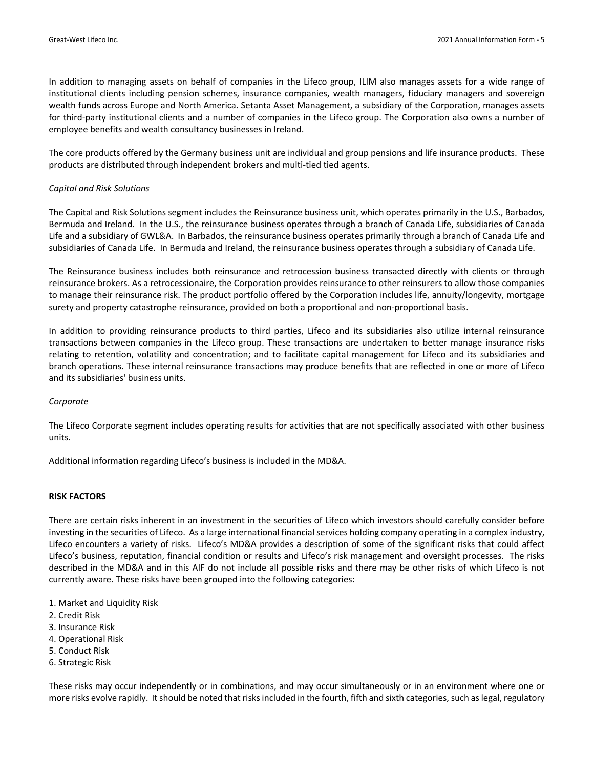In addition to managing assets on behalf of companies in the Lifeco group, ILIM also manages assets for a wide range of institutional clients including pension schemes, insurance companies, wealth managers, fiduciary managers and sovereign wealth funds across Europe and North America. Setanta Asset Management, a subsidiary of the Corporation, manages assets for third-party institutional clients and a number of companies in the Lifeco group. The Corporation also owns a number of employee benefits and wealth consultancy businesses in Ireland.

The core products offered by the Germany business unit are individual and group pensions and life insurance products. These products are distributed through independent brokers and multi‐tied tied agents.

#### *Capital and Risk Solutions*

The Capital and Risk Solutions segment includes the Reinsurance business unit, which operates primarily in the U.S., Barbados, Bermuda and Ireland. In the U.S., the reinsurance business operates through a branch of Canada Life, subsidiaries of Canada Life and a subsidiary of GWL&A. In Barbados, the reinsurance business operates primarily through a branch of Canada Life and subsidiaries of Canada Life. In Bermuda and Ireland, the reinsurance business operates through a subsidiary of Canada Life.

The Reinsurance business includes both reinsurance and retrocession business transacted directly with clients or through reinsurance brokers. As a retrocessionaire, the Corporation provides reinsurance to other reinsurers to allow those companies to manage their reinsurance risk. The product portfolio offered by the Corporation includes life, annuity/longevity, mortgage surety and property catastrophe reinsurance, provided on both a proportional and non‐proportional basis.

In addition to providing reinsurance products to third parties, Lifeco and its subsidiaries also utilize internal reinsurance transactions between companies in the Lifeco group. These transactions are undertaken to better manage insurance risks relating to retention, volatility and concentration; and to facilitate capital management for Lifeco and its subsidiaries and branch operations. These internal reinsurance transactions may produce benefits that are reflected in one or more of Lifeco and its subsidiaries' business units.

#### *Corporate*

The Lifeco Corporate segment includes operating results for activities that are not specifically associated with other business units.

Additional information regarding Lifeco's business is included in the MD&A.

#### **RISK FACTORS**

There are certain risks inherent in an investment in the securities of Lifeco which investors should carefully consider before investing in the securities of Lifeco. As a large international financial services holding company operating in a complex industry, Lifeco encounters a variety of risks. Lifeco's MD&A provides a description of some of the significant risks that could affect Lifeco's business, reputation, financial condition or results and Lifeco's risk management and oversight processes. The risks described in the MD&A and in this AIF do not include all possible risks and there may be other risks of which Lifeco is not currently aware. These risks have been grouped into the following categories:

- 1. Market and Liquidity Risk
- 2. Credit Risk
- 3. Insurance Risk
- 4. Operational Risk
- 5. Conduct Risk
- 6. Strategic Risk

These risks may occur independently or in combinations, and may occur simultaneously or in an environment where one or more risks evolve rapidly. It should be noted that risks included in the fourth, fifth and sixth categories, such as legal, regulatory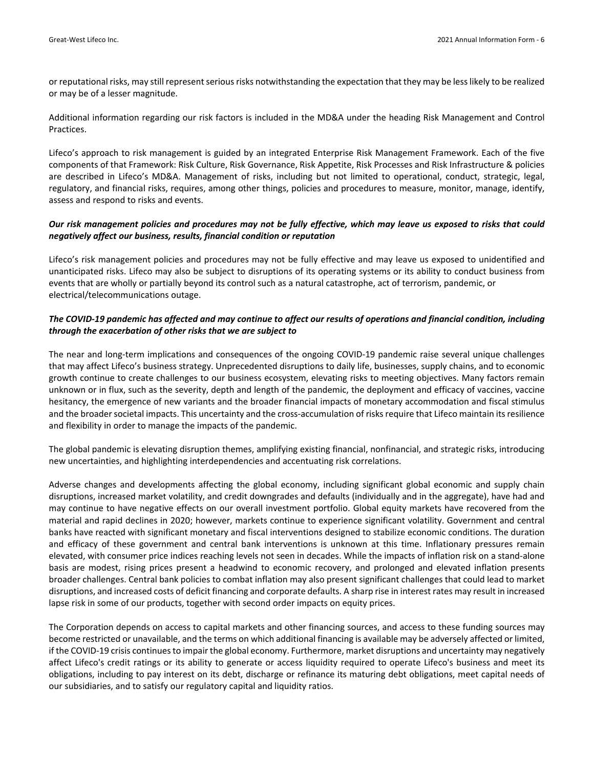or reputational risks, may still represent serious risks notwithstanding the expectation that they may be less likely to be realized or may be of a lesser magnitude.

Additional information regarding our risk factors is included in the MD&A under the heading Risk Management and Control Practices.

Lifeco's approach to risk management is guided by an integrated Enterprise Risk Management Framework. Each of the five components of that Framework: Risk Culture, Risk Governance, Risk Appetite, Risk Processes and Risk Infrastructure & policies are described in Lifeco's MD&A. Management of risks, including but not limited to operational, conduct, strategic, legal, regulatory, and financial risks, requires, among other things, policies and procedures to measure, monitor, manage, identify, assess and respond to risks and events.

### Our risk management policies and procedures may not be fully effective, which may leave us exposed to risks that could *negatively affect our business, results, financial condition or reputation*

Lifeco's risk management policies and procedures may not be fully effective and may leave us exposed to unidentified and unanticipated risks. Lifeco may also be subject to disruptions of its operating systems or its ability to conduct business from events that are wholly or partially beyond its control such as a natural catastrophe, act of terrorism, pandemic, or electrical/telecommunications outage.

## The COVID-19 pandemic has affected and may continue to affect our results of operations and financial condition, including *through the exacerbation of other risks that we are subject to*

The near and long‐term implications and consequences of the ongoing COVID‐19 pandemic raise several unique challenges that may affect Lifeco's business strategy. Unprecedented disruptions to daily life, businesses, supply chains, and to economic growth continue to create challenges to our business ecosystem, elevating risks to meeting objectives. Many factors remain unknown or in flux, such as the severity, depth and length of the pandemic, the deployment and efficacy of vaccines, vaccine hesitancy, the emergence of new variants and the broader financial impacts of monetary accommodation and fiscal stimulus and the broader societal impacts. This uncertainty and the cross-accumulation of risks require that Lifeco maintain its resilience and flexibility in order to manage the impacts of the pandemic.

The global pandemic is elevating disruption themes, amplifying existing financial, nonfinancial, and strategic risks, introducing new uncertainties, and highlighting interdependencies and accentuating risk correlations.

Adverse changes and developments affecting the global economy, including significant global economic and supply chain disruptions, increased market volatility, and credit downgrades and defaults (individually and in the aggregate), have had and may continue to have negative effects on our overall investment portfolio. Global equity markets have recovered from the material and rapid declines in 2020; however, markets continue to experience significant volatility. Government and central banks have reacted with significant monetary and fiscal interventions designed to stabilize economic conditions. The duration and efficacy of these government and central bank interventions is unknown at this time. Inflationary pressures remain elevated, with consumer price indices reaching levels not seen in decades. While the impacts of inflation risk on a stand‐alone basis are modest, rising prices present a headwind to economic recovery, and prolonged and elevated inflation presents broader challenges. Central bank policies to combat inflation may also present significant challenges that could lead to market disruptions, and increased costs of deficit financing and corporate defaults. A sharp rise in interest rates may result in increased lapse risk in some of our products, together with second order impacts on equity prices.

The Corporation depends on access to capital markets and other financing sources, and access to these funding sources may become restricted or unavailable, and the terms on which additional financing is available may be adversely affected or limited, if the COVID-19 crisis continues to impair the global economy. Furthermore, market disruptions and uncertainty may negatively affect Lifeco's credit ratings or its ability to generate or access liquidity required to operate Lifeco's business and meet its obligations, including to pay interest on its debt, discharge or refinance its maturing debt obligations, meet capital needs of our subsidiaries, and to satisfy our regulatory capital and liquidity ratios.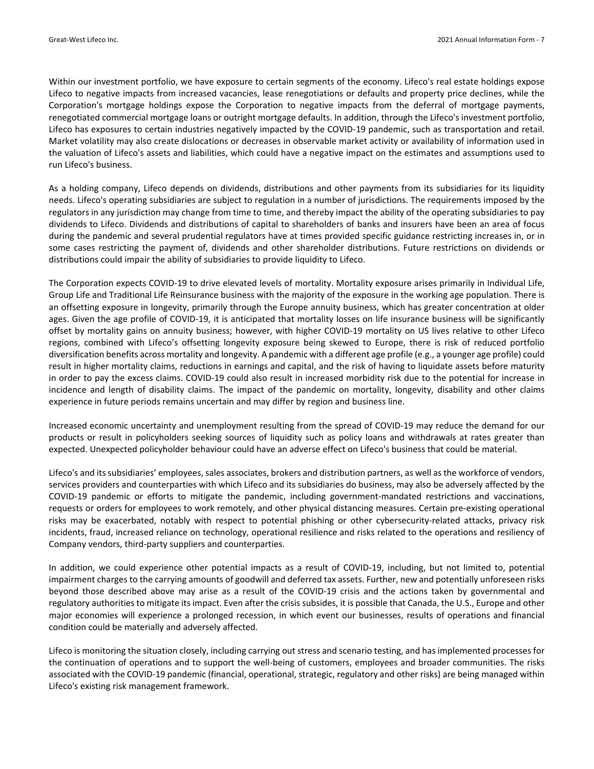Within our investment portfolio, we have exposure to certain segments of the economy. Lifeco's real estate holdings expose Lifeco to negative impacts from increased vacancies, lease renegotiations or defaults and property price declines, while the Corporation's mortgage holdings expose the Corporation to negative impacts from the deferral of mortgage payments, renegotiated commercial mortgage loans or outright mortgage defaults. In addition, through the Lifeco's investment portfolio, Lifeco has exposures to certain industries negatively impacted by the COVID-19 pandemic, such as transportation and retail. Market volatility may also create dislocations or decreases in observable market activity or availability of information used in the valuation of Lifeco's assets and liabilities, which could have a negative impact on the estimates and assumptions used to run Lifeco's business.

As a holding company, Lifeco depends on dividends, distributions and other payments from its subsidiaries for its liquidity needs. Lifeco's operating subsidiaries are subject to regulation in a number of jurisdictions. The requirements imposed by the regulators in any jurisdiction may change from time to time, and thereby impact the ability of the operating subsidiaries to pay dividends to Lifeco. Dividends and distributions of capital to shareholders of banks and insurers have been an area of focus during the pandemic and several prudential regulators have at times provided specific guidance restricting increases in, or in some cases restricting the payment of, dividends and other shareholder distributions. Future restrictions on dividends or distributions could impair the ability of subsidiaries to provide liquidity to Lifeco.

The Corporation expects COVID‐19 to drive elevated levels of mortality. Mortality exposure arises primarily in Individual Life, Group Life and Traditional Life Reinsurance business with the majority of the exposure in the working age population. There is an offsetting exposure in longevity, primarily through the Europe annuity business, which has greater concentration at older ages. Given the age profile of COVID‐19, it is anticipated that mortality losses on life insurance business will be significantly offset by mortality gains on annuity business; however, with higher COVID‐19 mortality on US lives relative to other Lifeco regions, combined with Lifeco's offsetting longevity exposure being skewed to Europe, there is risk of reduced portfolio diversification benefits across mortality and longevity. A pandemic with a different age profile (e.g., a younger age profile) could result in higher mortality claims, reductions in earnings and capital, and the risk of having to liquidate assets before maturity in order to pay the excess claims. COVID‐19 could also result in increased morbidity risk due to the potential for increase in incidence and length of disability claims. The impact of the pandemic on mortality, longevity, disability and other claims experience in future periods remains uncertain and may differ by region and business line.

Increased economic uncertainty and unemployment resulting from the spread of COVID‐19 may reduce the demand for our products or result in policyholders seeking sources of liquidity such as policy loans and withdrawals at rates greater than expected. Unexpected policyholder behaviour could have an adverse effect on Lifeco's business that could be material.

Lifeco's and its subsidiaries' employees, sales associates, brokers and distribution partners, as well as the workforce of vendors, services providers and counterparties with which Lifeco and its subsidiaries do business, may also be adversely affected by the COVID‐19 pandemic or efforts to mitigate the pandemic, including government‐mandated restrictions and vaccinations, requests or orders for employees to work remotely, and other physical distancing measures. Certain pre‐existing operational risks may be exacerbated, notably with respect to potential phishing or other cybersecurity-related attacks, privacy risk incidents, fraud, increased reliance on technology, operational resilience and risks related to the operations and resiliency of Company vendors, third‐party suppliers and counterparties.

In addition, we could experience other potential impacts as a result of COVID‐19, including, but not limited to, potential impairment charges to the carrying amounts of goodwill and deferred tax assets. Further, new and potentially unforeseen risks beyond those described above may arise as a result of the COVID‐19 crisis and the actions taken by governmental and regulatory authorities to mitigate its impact. Even after the crisis subsides, it is possible that Canada, the U.S., Europe and other major economies will experience a prolonged recession, in which event our businesses, results of operations and financial condition could be materially and adversely affected.

Lifeco is monitoring the situation closely, including carrying out stress and scenario testing, and has implemented processes for the continuation of operations and to support the well‐being of customers, employees and broader communities. The risks associated with the COVID‐19 pandemic (financial, operational, strategic, regulatory and other risks) are being managed within Lifeco's existing risk management framework.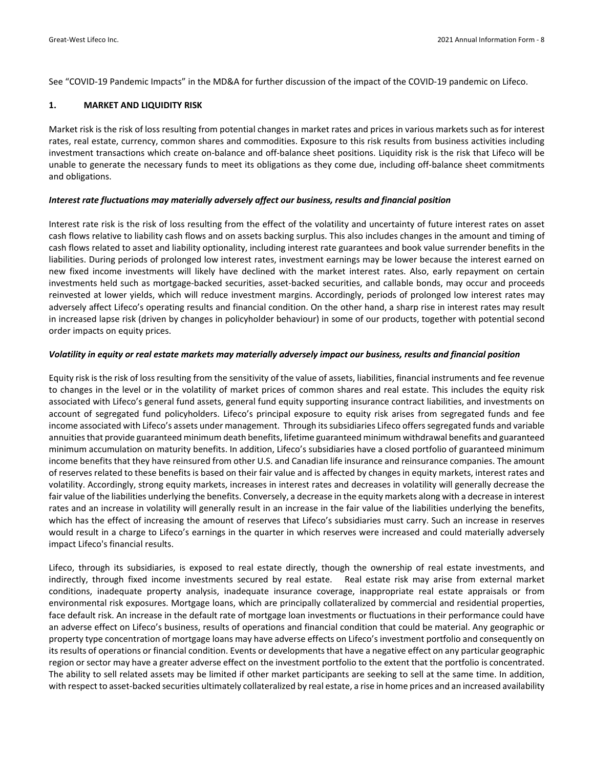See "COVID‐19 Pandemic Impacts" in the MD&A for further discussion of the impact of the COVID‐19 pandemic on Lifeco.

#### **1. MARKET AND LIQUIDITY RISK**

Market risk is the risk of loss resulting from potential changes in market rates and prices in various markets such as for interest rates, real estate, currency, common shares and commodities. Exposure to this risk results from business activities including investment transactions which create on‐balance and off‐balance sheet positions. Liquidity risk is the risk that Lifeco will be unable to generate the necessary funds to meet its obligations as they come due, including off‐balance sheet commitments and obligations.

#### *Interest rate fluctuations may materially adversely affect our business, results and financial position*

Interest rate risk is the risk of loss resulting from the effect of the volatility and uncertainty of future interest rates on asset cash flows relative to liability cash flows and on assets backing surplus. This also includes changes in the amount and timing of cash flows related to asset and liability optionality, including interest rate guarantees and book value surrender benefits in the liabilities. During periods of prolonged low interest rates, investment earnings may be lower because the interest earned on new fixed income investments will likely have declined with the market interest rates. Also, early repayment on certain investments held such as mortgage‐backed securities, asset‐backed securities, and callable bonds, may occur and proceeds reinvested at lower yields, which will reduce investment margins. Accordingly, periods of prolonged low interest rates may adversely affect Lifeco's operating results and financial condition. On the other hand, a sharp rise in interest rates may result in increased lapse risk (driven by changes in policyholder behaviour) in some of our products, together with potential second order impacts on equity prices.

#### Volatility in equity or real estate markets may materially adversely impact our business, results and financial position

Equity risk isthe risk of loss resulting from the sensitivity of the value of assets, liabilities, financial instruments and fee revenue to changes in the level or in the volatility of market prices of common shares and real estate. This includes the equity risk associated with Lifeco's general fund assets, general fund equity supporting insurance contract liabilities, and investments on account of segregated fund policyholders. Lifeco's principal exposure to equity risk arises from segregated funds and fee income associated with Lifeco's assets under management. Through its subsidiaries Lifeco offers segregated funds and variable annuitiesthat provide guaranteed minimum death benefits, lifetime guaranteed minimum withdrawal benefits and guaranteed minimum accumulation on maturity benefits. In addition, Lifeco's subsidiaries have a closed portfolio of guaranteed minimum income benefits that they have reinsured from other U.S. and Canadian life insurance and reinsurance companies. The amount of reserves related to these benefits is based on their fair value and is affected by changes in equity markets, interest rates and volatility. Accordingly, strong equity markets, increases in interest rates and decreases in volatility will generally decrease the fair value of the liabilities underlying the benefits. Conversely, a decrease in the equity markets along with a decrease in interest rates and an increase in volatility will generally result in an increase in the fair value of the liabilities underlying the benefits, which has the effect of increasing the amount of reserves that Lifeco's subsidiaries must carry. Such an increase in reserves would result in a charge to Lifeco's earnings in the quarter in which reserves were increased and could materially adversely impact Lifeco's financial results.

Lifeco, through its subsidiaries, is exposed to real estate directly, though the ownership of real estate investments, and indirectly, through fixed income investments secured by real estate. Real estate risk may arise from external market conditions, inadequate property analysis, inadequate insurance coverage, inappropriate real estate appraisals or from environmental risk exposures. Mortgage loans, which are principally collateralized by commercial and residential properties, face default risk. An increase in the default rate of mortgage loan investments or fluctuations in their performance could have an adverse effect on Lifeco's business, results of operations and financial condition that could be material. Any geographic or property type concentration of mortgage loans may have adverse effects on Lifeco's investment portfolio and consequently on its results of operations or financial condition. Events or developments that have a negative effect on any particular geographic region or sector may have a greater adverse effect on the investment portfolio to the extent that the portfolio is concentrated. The ability to sell related assets may be limited if other market participants are seeking to sell at the same time. In addition, with respect to asset-backed securities ultimately collateralized by real estate, a rise in home prices and an increased availability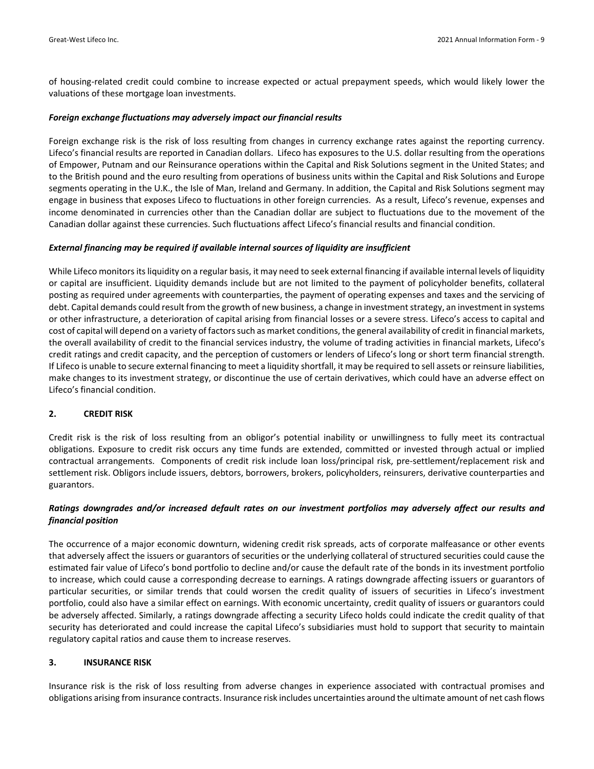of housing‐related credit could combine to increase expected or actual prepayment speeds, which would likely lower the valuations of these mortgage loan investments.

#### *Foreign exchange fluctuations may adversely impact our financial results*

Foreign exchange risk is the risk of loss resulting from changes in currency exchange rates against the reporting currency. Lifeco's financial results are reported in Canadian dollars. Lifeco has exposures to the U.S. dollar resulting from the operations of Empower, Putnam and our Reinsurance operations within the Capital and Risk Solutions segment in the United States; and to the British pound and the euro resulting from operations of business units within the Capital and Risk Solutions and Europe segments operating in the U.K., the Isle of Man, Ireland and Germany. In addition, the Capital and Risk Solutions segment may engage in business that exposes Lifeco to fluctuations in other foreign currencies. As a result, Lifeco's revenue, expenses and income denominated in currencies other than the Canadian dollar are subject to fluctuations due to the movement of the Canadian dollar against these currencies. Such fluctuations affect Lifeco's financial results and financial condition.

#### *External financing may be required if available internal sources of liquidity are insufficient*

While Lifeco monitors its liquidity on a regular basis, it may need to seek external financing if available internal levels of liquidity or capital are insufficient. Liquidity demands include but are not limited to the payment of policyholder benefits, collateral posting as required under agreements with counterparties, the payment of operating expenses and taxes and the servicing of debt. Capital demands could result from the growth of new business, a change in investment strategy, an investment in systems or other infrastructure, a deterioration of capital arising from financial losses or a severe stress. Lifeco's access to capital and cost of capital will depend on a variety of factors such as market conditions, the general availability of credit in financial markets, the overall availability of credit to the financial services industry, the volume of trading activities in financial markets, Lifeco's credit ratings and credit capacity, and the perception of customers or lenders of Lifeco's long or short term financial strength. If Lifeco is unable to secure external financing to meet a liquidity shortfall, it may be required to sell assets or reinsure liabilities, make changes to its investment strategy, or discontinue the use of certain derivatives, which could have an adverse effect on Lifeco's financial condition.

#### **2. CREDIT RISK**

Credit risk is the risk of loss resulting from an obligor's potential inability or unwillingness to fully meet its contractual obligations. Exposure to credit risk occurs any time funds are extended, committed or invested through actual or implied contractual arrangements. Components of credit risk include loan loss/principal risk, pre‐settlement/replacement risk and settlement risk. Obligors include issuers, debtors, borrowers, brokers, policyholders, reinsurers, derivative counterparties and guarantors.

## Ratings downgrades and/or increased default rates on our investment portfolios may adversely affect our results and *financial position*

The occurrence of a major economic downturn, widening credit risk spreads, acts of corporate malfeasance or other events that adversely affect the issuers or guarantors of securities or the underlying collateral of structured securities could cause the estimated fair value of Lifeco's bond portfolio to decline and/or cause the default rate of the bonds in its investment portfolio to increase, which could cause a corresponding decrease to earnings. A ratings downgrade affecting issuers or guarantors of particular securities, or similar trends that could worsen the credit quality of issuers of securities in Lifeco's investment portfolio, could also have a similar effect on earnings. With economic uncertainty, credit quality of issuers or guarantors could be adversely affected. Similarly, a ratings downgrade affecting a security Lifeco holds could indicate the credit quality of that security has deteriorated and could increase the capital Lifeco's subsidiaries must hold to support that security to maintain regulatory capital ratios and cause them to increase reserves.

## **3. INSURANCE RISK**

Insurance risk is the risk of loss resulting from adverse changes in experience associated with contractual promises and obligations arising from insurance contracts. Insurance risk includes uncertainties around the ultimate amount of net cash flows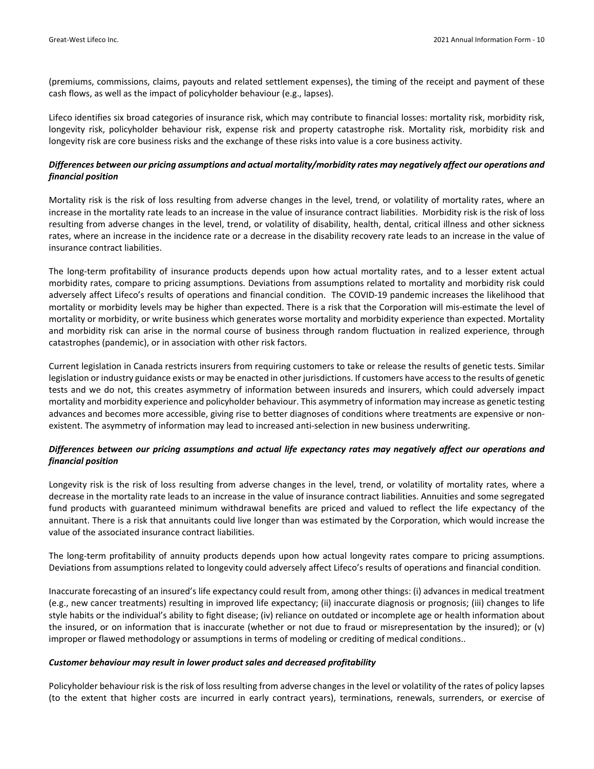(premiums, commissions, claims, payouts and related settlement expenses), the timing of the receipt and payment of these cash flows, as well as the impact of policyholder behaviour (e.g., lapses).

Lifeco identifies six broad categories of insurance risk, which may contribute to financial losses: mortality risk, morbidity risk, longevity risk, policyholder behaviour risk, expense risk and property catastrophe risk. Mortality risk, morbidity risk and longevity risk are core business risks and the exchange of these risks into value is a core business activity.

### Differences between our pricing assumptions and actual mortality/morbidity rates may negatively affect our operations and *financial position*

Mortality risk is the risk of loss resulting from adverse changes in the level, trend, or volatility of mortality rates, where an increase in the mortality rate leads to an increase in the value of insurance contract liabilities. Morbidity risk is the risk of loss resulting from adverse changes in the level, trend, or volatility of disability, health, dental, critical illness and other sickness rates, where an increase in the incidence rate or a decrease in the disability recovery rate leads to an increase in the value of insurance contract liabilities.

The long‐term profitability of insurance products depends upon how actual mortality rates, and to a lesser extent actual morbidity rates, compare to pricing assumptions. Deviations from assumptions related to mortality and morbidity risk could adversely affect Lifeco's results of operations and financial condition. The COVID‐19 pandemic increases the likelihood that mortality or morbidity levels may be higher than expected. There is a risk that the Corporation will mis‐estimate the level of mortality or morbidity, or write business which generates worse mortality and morbidity experience than expected. Mortality and morbidity risk can arise in the normal course of business through random fluctuation in realized experience, through catastrophes (pandemic), or in association with other risk factors.

Current legislation in Canada restricts insurers from requiring customers to take or release the results of genetic tests. Similar legislation or industry guidance exists or may be enacted in other jurisdictions. If customers have accessto the results of genetic tests and we do not, this creates asymmetry of information between insureds and insurers, which could adversely impact mortality and morbidity experience and policyholder behaviour. This asymmetry of information may increase as genetic testing advances and becomes more accessible, giving rise to better diagnoses of conditions where treatments are expensive or non‐ existent. The asymmetry of information may lead to increased anti-selection in new business underwriting.

## Differences between our pricing assumptions and actual life expectancy rates may negatively affect our operations and *financial position*

Longevity risk is the risk of loss resulting from adverse changes in the level, trend, or volatility of mortality rates, where a decrease in the mortality rate leads to an increase in the value of insurance contract liabilities. Annuities and some segregated fund products with guaranteed minimum withdrawal benefits are priced and valued to reflect the life expectancy of the annuitant. There is a risk that annuitants could live longer than was estimated by the Corporation, which would increase the value of the associated insurance contract liabilities.

The long‐term profitability of annuity products depends upon how actual longevity rates compare to pricing assumptions. Deviations from assumptions related to longevity could adversely affect Lifeco's results of operations and financial condition.

Inaccurate forecasting of an insured's life expectancy could result from, among other things: (i) advances in medical treatment (e.g., new cancer treatments) resulting in improved life expectancy; (ii) inaccurate diagnosis or prognosis; (iii) changes to life style habits or the individual's ability to fight disease; (iv) reliance on outdated or incomplete age or health information about the insured, or on information that is inaccurate (whether or not due to fraud or misrepresentation by the insured); or (v) improper or flawed methodology or assumptions in terms of modeling or crediting of medical conditions..

#### *Customer behaviour may result in lower product sales and decreased profitability*

Policyholder behaviour risk is the risk of loss resulting from adverse changes in the level or volatility of the rates of policy lapses (to the extent that higher costs are incurred in early contract years), terminations, renewals, surrenders, or exercise of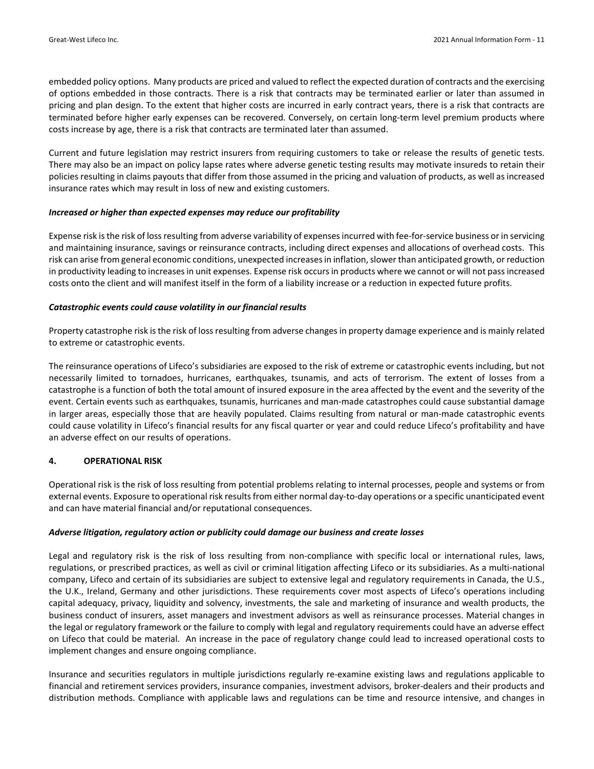embedded policy options. Many products are priced and valued to reflect the expected duration of contracts and the exercising of options embedded in those contracts. There is a risk that contracts may be terminated earlier or later than assumed in pricing and plan design. To the extent that higher costs are incurred in early contract years, there is a risk that contracts are terminated before higher early expenses can be recovered. Conversely, on certain long-term level premium products where costs increase by age, there is a risk that contracts are terminated later than assumed.

Current and future legislation may restrict insurers from requiring customers to take or release the results of genetic tests. There may also be an impact on policy lapse rates where adverse genetic testing results may motivate insureds to retain their policies resulting in claims payouts that differ from those assumed in the pricing and valuation of products, as well as increased insurance rates which may result in loss of new and existing customers.

#### *Increased or higher than expected expenses may reduce our profitability*

Expense risk is the risk of loss resulting from adverse variability of expenses incurred with fee-for-service business or in servicing and maintaining insurance, savings or reinsurance contracts, including direct expenses and allocations of overhead costs. This risk can arise from general economic conditions, unexpected increases in inflation, slower than anticipated growth, or reduction in productivity leading to increasesin unit expenses. Expense risk occursin products where we cannot or will not passincreased costs onto the client and will manifest itself in the form of a liability increase or a reduction in expected future profits.

#### *Catastrophic events could cause volatility in our financial results*

Property catastrophe risk is the risk of loss resulting from adverse changes in property damage experience and is mainly related to extreme or catastrophic events.

The reinsurance operations of Lifeco's subsidiaries are exposed to the risk of extreme or catastrophic events including, but not necessarily limited to tornadoes, hurricanes, earthquakes, tsunamis, and acts of terrorism. The extent of losses from a catastrophe is a function of both the total amount of insured exposure in the area affected by the event and the severity of the event. Certain events such as earthquakes, tsunamis, hurricanes and man‐made catastrophes could cause substantial damage in larger areas, especially those that are heavily populated. Claims resulting from natural or man-made catastrophic events could cause volatility in Lifeco's financial results for any fiscal quarter or year and could reduce Lifeco's profitability and have an adverse effect on our results of operations.

## **4. OPERATIONAL RISK**

Operational risk is the risk of loss resulting from potential problems relating to internal processes, people and systems or from external events. Exposure to operational risk results from either normal day-to-day operations or a specific unanticipated event and can have material financial and/or reputational consequences.

#### *Adverse litigation, regulatory action or publicity could damage our business and create losses*

Legal and regulatory risk is the risk of loss resulting from non-compliance with specific local or international rules, laws, regulations, or prescribed practices, as well as civil or criminal litigation affecting Lifeco or its subsidiaries. As a multi‐national company, Lifeco and certain of its subsidiaries are subject to extensive legal and regulatory requirements in Canada, the U.S., the U.K., Ireland, Germany and other jurisdictions. These requirements cover most aspects of Lifeco's operations including capital adequacy, privacy, liquidity and solvency, investments, the sale and marketing of insurance and wealth products, the business conduct of insurers, asset managers and investment advisors as well as reinsurance processes. Material changes in the legal or regulatory framework or the failure to comply with legal and regulatory requirements could have an adverse effect on Lifeco that could be material. An increase in the pace of regulatory change could lead to increased operational costs to implement changes and ensure ongoing compliance.

Insurance and securities regulators in multiple jurisdictions regularly re‐examine existing laws and regulations applicable to financial and retirement services providers, insurance companies, investment advisors, broker-dealers and their products and distribution methods. Compliance with applicable laws and regulations can be time and resource intensive, and changes in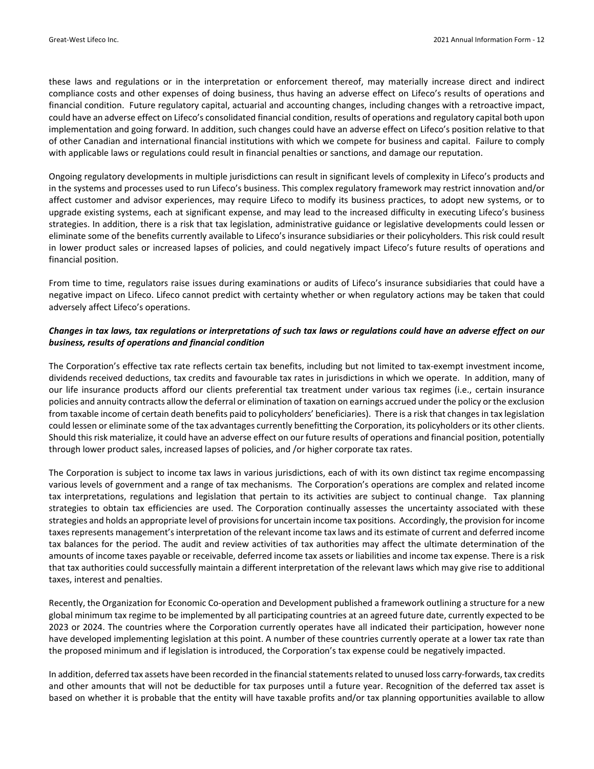these laws and regulations or in the interpretation or enforcement thereof, may materially increase direct and indirect compliance costs and other expenses of doing business, thus having an adverse effect on Lifeco's results of operations and financial condition. Future regulatory capital, actuarial and accounting changes, including changes with a retroactive impact, could have an adverse effect on Lifeco's consolidated financial condition, results of operations and regulatory capital both upon implementation and going forward. In addition, such changes could have an adverse effect on Lifeco's position relative to that of other Canadian and international financial institutions with which we compete for business and capital. Failure to comply with applicable laws or regulations could result in financial penalties or sanctions, and damage our reputation.

Ongoing regulatory developments in multiple jurisdictions can result in significant levels of complexity in Lifeco's products and in the systems and processes used to run Lifeco's business. This complex regulatory framework may restrict innovation and/or affect customer and advisor experiences, may require Lifeco to modify its business practices, to adopt new systems, or to upgrade existing systems, each at significant expense, and may lead to the increased difficulty in executing Lifeco's business strategies. In addition, there is a risk that tax legislation, administrative guidance or legislative developments could lessen or eliminate some of the benefits currently available to Lifeco's insurance subsidiaries or their policyholders. This risk could result in lower product sales or increased lapses of policies, and could negatively impact Lifeco's future results of operations and financial position.

From time to time, regulators raise issues during examinations or audits of Lifeco's insurance subsidiaries that could have a negative impact on Lifeco. Lifeco cannot predict with certainty whether or when regulatory actions may be taken that could adversely affect Lifeco's operations.

## Changes in tax laws, tax regulations or interpretations of such tax laws or regulations could have an adverse effect on our *business, results of operations and financial condition*

The Corporation's effective tax rate reflects certain tax benefits, including but not limited to tax‐exempt investment income, dividends received deductions, tax credits and favourable tax rates in jurisdictions in which we operate. In addition, many of our life insurance products afford our clients preferential tax treatment under various tax regimes (i.e., certain insurance policies and annuity contracts allow the deferral or elimination of taxation on earnings accrued underthe policy orthe exclusion from taxable income of certain death benefits paid to policyholders' beneficiaries). There is a risk that changes in tax legislation could lessen or eliminate some of the tax advantages currently benefitting the Corporation, its policyholders or its other clients. Should thisrisk materialize, it could have an adverse effect on our future results of operations and financial position, potentially through lower product sales, increased lapses of policies, and /or higher corporate tax rates.

The Corporation is subject to income tax laws in various jurisdictions, each of with its own distinct tax regime encompassing various levels of government and a range of tax mechanisms. The Corporation's operations are complex and related income tax interpretations, regulations and legislation that pertain to its activities are subject to continual change. Tax planning strategies to obtain tax efficiencies are used. The Corporation continually assesses the uncertainty associated with these strategies and holds an appropriate level of provisions for uncertain income tax positions. Accordingly, the provision for income taxes represents management's interpretation of the relevant income tax laws and its estimate of current and deferred income tax balances for the period. The audit and review activities of tax authorities may affect the ultimate determination of the amounts of income taxes payable or receivable, deferred income tax assets or liabilities and income tax expense. There is a risk that tax authorities could successfully maintain a different interpretation of the relevant laws which may give rise to additional taxes, interest and penalties.

Recently, the Organization for Economic Co-operation and Development published a framework outlining a structure for a new global minimum tax regime to be implemented by all participating countries at an agreed future date, currently expected to be 2023 or 2024. The countries where the Corporation currently operates have all indicated their participation, however none have developed implementing legislation at this point. A number of these countries currently operate at a lower tax rate than the proposed minimum and if legislation is introduced, the Corporation's tax expense could be negatively impacted.

In addition, deferred tax assets have been recorded in the financial statements related to unused loss carry-forwards, tax credits and other amounts that will not be deductible for tax purposes until a future year. Recognition of the deferred tax asset is based on whether it is probable that the entity will have taxable profits and/or tax planning opportunities available to allow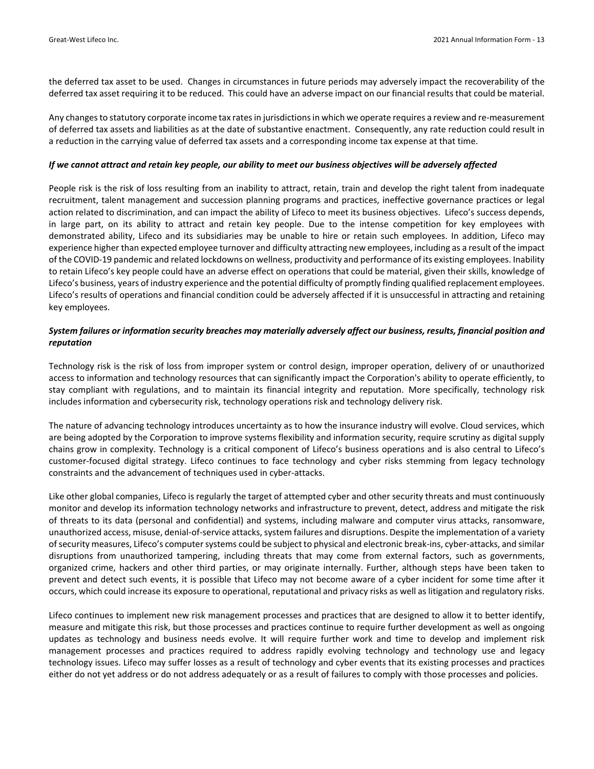the deferred tax asset to be used. Changes in circumstances in future periods may adversely impact the recoverability of the deferred tax asset requiring it to be reduced. This could have an adverse impact on our financial results that could be material.

Any changes to statutory corporate income tax rates in jurisdictions in which we operate requires a review and re-measurement of deferred tax assets and liabilities as at the date of substantive enactment. Consequently, any rate reduction could result in a reduction in the carrying value of deferred tax assets and a corresponding income tax expense at that time.

#### If we cannot attract and retain key people, our ability to meet our business objectives will be adversely affected

People risk is the risk of loss resulting from an inability to attract, retain, train and develop the right talent from inadequate recruitment, talent management and succession planning programs and practices, ineffective governance practices or legal action related to discrimination, and can impact the ability of Lifeco to meet its business objectives. Lifeco's success depends, in large part, on its ability to attract and retain key people. Due to the intense competition for key employees with demonstrated ability, Lifeco and its subsidiaries may be unable to hire or retain such employees. In addition, Lifeco may experience higher than expected employee turnover and difficulty attracting new employees, including as a result of the impact of the COVID‐19 pandemic and related lockdowns on wellness, productivity and performance of its existing employees. Inability to retain Lifeco's key people could have an adverse effect on operations that could be material, given their skills, knowledge of Lifeco's business, years of industry experience and the potential difficulty of promptly finding qualified replacement employees. Lifeco's results of operations and financial condition could be adversely affected if it is unsuccessful in attracting and retaining key employees.

## System failures or information security breaches may materially adversely affect our business, results, financial position and *reputation*

Technology risk is the risk of loss from improper system or control design, improper operation, delivery of or unauthorized access to information and technology resources that can significantly impact the Corporation's ability to operate efficiently, to stay compliant with regulations, and to maintain its financial integrity and reputation. More specifically, technology risk includes information and cybersecurity risk, technology operations risk and technology delivery risk.

The nature of advancing technology introduces uncertainty as to how the insurance industry will evolve. Cloud services, which are being adopted by the Corporation to improve systems flexibility and information security, require scrutiny as digital supply chains grow in complexity. Technology is a critical component of Lifeco's business operations and is also central to Lifeco's customer‐focused digital strategy. Lifeco continues to face technology and cyber risks stemming from legacy technology constraints and the advancement of techniques used in cyber‐attacks.

Like other global companies, Lifeco is regularly the target of attempted cyber and other security threats and must continuously monitor and develop its information technology networks and infrastructure to prevent, detect, address and mitigate the risk of threats to its data (personal and confidential) and systems, including malware and computer virus attacks, ransomware, unauthorized access, misuse, denial-of-service attacks, system failures and disruptions. Despite the implementation of a variety ofsecurity measures, Lifeco's computersystems could be subject to physical and electronic break‐ins, cyber‐attacks, and similar disruptions from unauthorized tampering, including threats that may come from external factors, such as governments, organized crime, hackers and other third parties, or may originate internally. Further, although steps have been taken to prevent and detect such events, it is possible that Lifeco may not become aware of a cyber incident for some time after it occurs, which could increase its exposure to operational, reputational and privacy risks as well as litigation and regulatory risks.

Lifeco continues to implement new risk management processes and practices that are designed to allow it to better identify, measure and mitigate this risk, but those processes and practices continue to require further development as well as ongoing updates as technology and business needs evolve. It will require further work and time to develop and implement risk management processes and practices required to address rapidly evolving technology and technology use and legacy technology issues. Lifeco may suffer losses as a result of technology and cyber events that its existing processes and practices either do not yet address or do not address adequately or as a result of failures to comply with those processes and policies.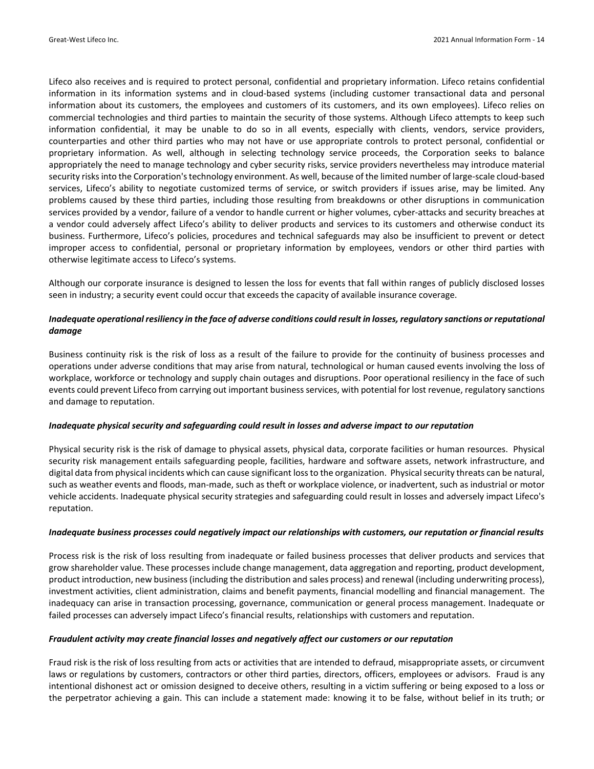Lifeco also receives and is required to protect personal, confidential and proprietary information. Lifeco retains confidential information in its information systems and in cloud‐based systems (including customer transactional data and personal information about its customers, the employees and customers of its customers, and its own employees). Lifeco relies on commercial technologies and third parties to maintain the security of those systems. Although Lifeco attempts to keep such information confidential, it may be unable to do so in all events, especially with clients, vendors, service providers, counterparties and other third parties who may not have or use appropriate controls to protect personal, confidential or proprietary information. As well, although in selecting technology service proceeds, the Corporation seeks to balance appropriately the need to manage technology and cyber security risks, service providers nevertheless may introduce material security risks into the Corporation's technology environment. As well, because of the limited number of large-scale cloud-based services, Lifeco's ability to negotiate customized terms of service, or switch providers if issues arise, may be limited. Any problems caused by these third parties, including those resulting from breakdowns or other disruptions in communication services provided by a vendor, failure of a vendor to handle current or higher volumes, cyber-attacks and security breaches at a vendor could adversely affect Lifeco's ability to deliver products and services to its customers and otherwise conduct its business. Furthermore, Lifeco's policies, procedures and technical safeguards may also be insufficient to prevent or detect improper access to confidential, personal or proprietary information by employees, vendors or other third parties with otherwise legitimate access to Lifeco's systems.

Although our corporate insurance is designed to lessen the loss for events that fall within ranges of publicly disclosed losses seen in industry; a security event could occur that exceeds the capacity of available insurance coverage.

## Inadequate operational resiliency in the face of adverse conditions could result in losses, regulatory sanctions or reputational *damage*

Business continuity risk is the risk of loss as a result of the failure to provide for the continuity of business processes and operations under adverse conditions that may arise from natural, technological or human caused events involving the loss of workplace, workforce or technology and supply chain outages and disruptions. Poor operational resiliency in the face of such events could prevent Lifeco from carrying out important business services, with potential for lost revenue, regulatory sanctions and damage to reputation.

## *Inadequate physical security and safeguarding could result in losses and adverse impact to our reputation*

Physical security risk is the risk of damage to physical assets, physical data, corporate facilities or human resources. Physical security risk management entails safeguarding people, facilities, hardware and software assets, network infrastructure, and digital data from physical incidents which can cause significant loss to the organization. Physical security threats can be natural, such as weather events and floods, man‐made, such as theft or workplace violence, or inadvertent, such as industrial or motor vehicle accidents. Inadequate physical security strategies and safeguarding could result in losses and adversely impact Lifeco's reputation.

#### Inadequate business processes could negatively impact our relationships with customers, our reputation or financial results

Process risk is the risk of loss resulting from inadequate or failed business processes that deliver products and services that grow shareholder value. These processes include change management, data aggregation and reporting, product development, product introduction, new business(including the distribution and sales process) and renewal (including underwriting process), investment activities, client administration, claims and benefit payments, financial modelling and financial management. The inadequacy can arise in transaction processing, governance, communication or general process management. Inadequate or failed processes can adversely impact Lifeco's financial results, relationships with customers and reputation.

## *Fraudulent activity may create financial losses and negatively affect our customers or our reputation*

Fraud risk is the risk of loss resulting from acts or activities that are intended to defraud, misappropriate assets, or circumvent laws or regulations by customers, contractors or other third parties, directors, officers, employees or advisors. Fraud is any intentional dishonest act or omission designed to deceive others, resulting in a victim suffering or being exposed to a loss or the perpetrator achieving a gain. This can include a statement made: knowing it to be false, without belief in its truth; or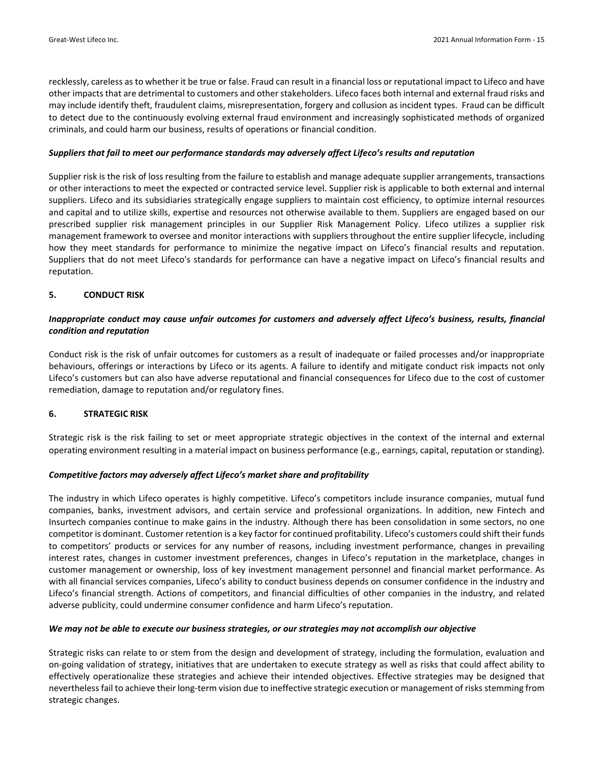recklessly, careless as to whether it be true or false. Fraud can result in a financial loss or reputational impact to Lifeco and have other impactsthat are detrimental to customers and other stakeholders. Lifeco faces both internal and external fraud risks and may include identify theft, fraudulent claims, misrepresentation, forgery and collusion as incident types. Fraud can be difficult to detect due to the continuously evolving external fraud environment and increasingly sophisticated methods of organized criminals, and could harm our business, results of operations or financial condition.

#### *Suppliers that fail to meet our performance standards may adversely affect Lifeco's results and reputation*

Supplier risk is the risk of loss resulting from the failure to establish and manage adequate supplier arrangements, transactions or other interactions to meet the expected or contracted service level. Supplier risk is applicable to both external and internal suppliers. Lifeco and its subsidiaries strategically engage suppliers to maintain cost efficiency, to optimize internal resources and capital and to utilize skills, expertise and resources not otherwise available to them. Suppliers are engaged based on our prescribed supplier risk management principles in our Supplier Risk Management Policy. Lifeco utilizes a supplier risk management framework to oversee and monitor interactions with suppliers throughout the entire supplier lifecycle, including how they meet standards for performance to minimize the negative impact on Lifeco's financial results and reputation. Suppliers that do not meet Lifeco's standards for performance can have a negative impact on Lifeco's financial results and reputation.

#### **5. CONDUCT RISK**

## Inappropriate conduct may cause unfair outcomes for customers and adversely affect Lifeco's business, results, financial *condition and reputation*

Conduct risk is the risk of unfair outcomes for customers as a result of inadequate or failed processes and/or inappropriate behaviours, offerings or interactions by Lifeco or its agents. A failure to identify and mitigate conduct risk impacts not only Lifeco's customers but can also have adverse reputational and financial consequences for Lifeco due to the cost of customer remediation, damage to reputation and/or regulatory fines.

#### **6. STRATEGIC RISK**

Strategic risk is the risk failing to set or meet appropriate strategic objectives in the context of the internal and external operating environment resulting in a material impact on business performance (e.g., earnings, capital, reputation or standing).

#### *Competitive factors may adversely affect Lifeco's market share and profitability*

The industry in which Lifeco operates is highly competitive. Lifeco's competitors include insurance companies, mutual fund companies, banks, investment advisors, and certain service and professional organizations. In addition, new Fintech and Insurtech companies continue to make gains in the industry. Although there has been consolidation in some sectors, no one competitor is dominant. Customer retention is a key factor for continued profitability. Lifeco's customers could shift their funds to competitors' products or services for any number of reasons, including investment performance, changes in prevailing interest rates, changes in customer investment preferences, changes in Lifeco's reputation in the marketplace, changes in customer management or ownership, loss of key investment management personnel and financial market performance. As with all financial services companies, Lifeco's ability to conduct business depends on consumer confidence in the industry and Lifeco's financial strength. Actions of competitors, and financial difficulties of other companies in the industry, and related adverse publicity, could undermine consumer confidence and harm Lifeco's reputation.

#### We may not be able to execute our business strategies, or our strategies may not accomplish our objective

Strategic risks can relate to or stem from the design and development of strategy, including the formulation, evaluation and on‐going validation of strategy, initiatives that are undertaken to execute strategy as well as risks that could affect ability to effectively operationalize these strategies and achieve their intended objectives. Effective strategies may be designed that nevertheless fail to achieve their long-term vision due to ineffective strategic execution or management of risks stemming from strategic changes.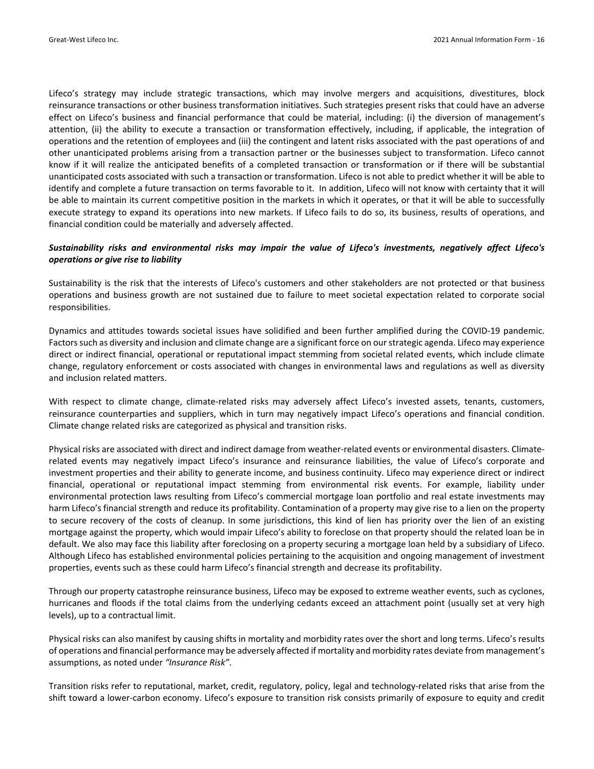Lifeco's strategy may include strategic transactions, which may involve mergers and acquisitions, divestitures, block reinsurance transactions or other business transformation initiatives. Such strategies present risks that could have an adverse effect on Lifeco's business and financial performance that could be material, including: (i) the diversion of management's attention, (ii) the ability to execute a transaction or transformation effectively, including, if applicable, the integration of operations and the retention of employees and (iii) the contingent and latent risks associated with the past operations of and other unanticipated problems arising from a transaction partner or the businesses subject to transformation. Lifeco cannot know if it will realize the anticipated benefits of a completed transaction or transformation or if there will be substantial unanticipated costs associated with such a transaction or transformation. Lifeco is not able to predict whether it will be able to identify and complete a future transaction on terms favorable to it. In addition, Lifeco will not know with certainty that it will be able to maintain its current competitive position in the markets in which it operates, or that it will be able to successfully execute strategy to expand its operations into new markets. If Lifeco fails to do so, its business, results of operations, and financial condition could be materially and adversely affected.

## *Sustainability risks and environmental risks may impair the value of Lifeco's investments, negatively affect Lifeco's operations or give rise to liability*

Sustainability is the risk that the interests of Lifeco's customers and other stakeholders are not protected or that business operations and business growth are not sustained due to failure to meet societal expectation related to corporate social responsibilities.

Dynamics and attitudes towards societal issues have solidified and been further amplified during the COVID‐19 pandemic. Factorssuch as diversity and inclusion and climate change are a significant force on ourstrategic agenda. Lifeco may experience direct or indirect financial, operational or reputational impact stemming from societal related events, which include climate change, regulatory enforcement or costs associated with changes in environmental laws and regulations as well as diversity and inclusion related matters.

With respect to climate change, climate-related risks may adversely affect Lifeco's invested assets, tenants, customers, reinsurance counterparties and suppliers, which in turn may negatively impact Lifeco's operations and financial condition. Climate change related risks are categorized as physical and transition risks.

Physical risks are associated with direct and indirect damage from weather‐related events or environmental disasters. Climate‐ related events may negatively impact Lifeco's insurance and reinsurance liabilities, the value of Lifeco's corporate and investment properties and their ability to generate income, and business continuity. Lifeco may experience direct or indirect financial, operational or reputational impact stemming from environmental risk events. For example, liability under environmental protection laws resulting from Lifeco's commercial mortgage loan portfolio and real estate investments may harm Lifeco's financial strength and reduce its profitability. Contamination of a property may give rise to a lien on the property to secure recovery of the costs of cleanup. In some jurisdictions, this kind of lien has priority over the lien of an existing mortgage against the property, which would impair Lifeco's ability to foreclose on that property should the related loan be in default. We also may face this liability after foreclosing on a property securing a mortgage loan held by a subsidiary of Lifeco. Although Lifeco has established environmental policies pertaining to the acquisition and ongoing management of investment properties, events such as these could harm Lifeco's financial strength and decrease its profitability.

Through our property catastrophe reinsurance business, Lifeco may be exposed to extreme weather events, such as cyclones, hurricanes and floods if the total claims from the underlying cedants exceed an attachment point (usually set at very high levels), up to a contractual limit.

Physical risks can also manifest by causing shifts in mortality and morbidity rates over the short and long terms. Lifeco's results of operations and financial performance may be adversely affected if mortality and morbidity rates deviate from management's assumptions, as noted under *"Insurance Risk"*.

Transition risks refer to reputational, market, credit, regulatory, policy, legal and technology-related risks that arise from the shift toward a lower‐carbon economy. Lifeco's exposure to transition risk consists primarily of exposure to equity and credit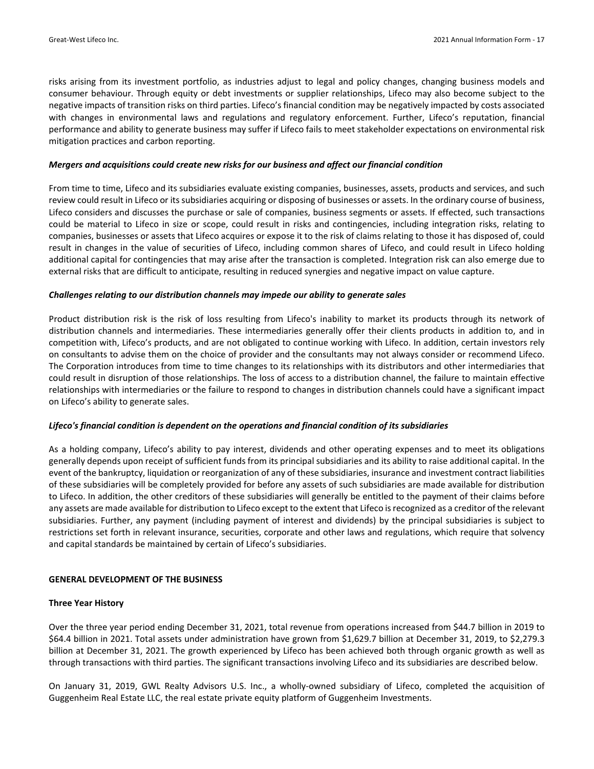risks arising from its investment portfolio, as industries adjust to legal and policy changes, changing business models and consumer behaviour. Through equity or debt investments or supplier relationships, Lifeco may also become subject to the negative impacts of transition risks on third parties. Lifeco's financial condition may be negatively impacted by costs associated with changes in environmental laws and regulations and regulatory enforcement. Further, Lifeco's reputation, financial performance and ability to generate business may suffer if Lifeco fails to meet stakeholder expectations on environmental risk mitigation practices and carbon reporting.

#### *Mergers and acquisitions could create new risks for our business and affect our financial condition*

From time to time, Lifeco and its subsidiaries evaluate existing companies, businesses, assets, products and services, and such review could result in Lifeco or its subsidiaries acquiring or disposing of businesses or assets. In the ordinary course of business, Lifeco considers and discusses the purchase or sale of companies, business segments or assets. If effected, such transactions could be material to Lifeco in size or scope, could result in risks and contingencies, including integration risks, relating to companies, businesses or assets that Lifeco acquires or expose it to the risk of claims relating to those it has disposed of, could result in changes in the value of securities of Lifeco, including common shares of Lifeco, and could result in Lifeco holding additional capital for contingencies that may arise after the transaction is completed. Integration risk can also emerge due to external risks that are difficult to anticipate, resulting in reduced synergies and negative impact on value capture.

#### *Challenges relating to our distribution channels may impede our ability to generate sales*

Product distribution risk is the risk of loss resulting from Lifeco's inability to market its products through its network of distribution channels and intermediaries. These intermediaries generally offer their clients products in addition to, and in competition with, Lifeco's products, and are not obligated to continue working with Lifeco. In addition, certain investors rely on consultants to advise them on the choice of provider and the consultants may not always consider or recommend Lifeco. The Corporation introduces from time to time changes to its relationships with its distributors and other intermediaries that could result in disruption of those relationships. The loss of access to a distribution channel, the failure to maintain effective relationships with intermediaries or the failure to respond to changes in distribution channels could have a significant impact on Lifeco's ability to generate sales.

#### *Lifeco's financial condition is dependent on the operations and financial condition of its subsidiaries*

As a holding company, Lifeco's ability to pay interest, dividends and other operating expenses and to meet its obligations generally depends upon receipt of sufficient funds from its principal subsidiaries and its ability to raise additional capital. In the event of the bankruptcy, liquidation or reorganization of any of these subsidiaries, insurance and investment contract liabilities of these subsidiaries will be completely provided for before any assets of such subsidiaries are made available for distribution to Lifeco. In addition, the other creditors of these subsidiaries will generally be entitled to the payment of their claims before any assets are made available for distribution to Lifeco except to the extent that Lifeco isrecognized as a creditor of the relevant subsidiaries. Further, any payment (including payment of interest and dividends) by the principal subsidiaries is subject to restrictions set forth in relevant insurance, securities, corporate and other laws and regulations, which require that solvency and capital standards be maintained by certain of Lifeco's subsidiaries.

#### **GENERAL DEVELOPMENT OF THE BUSINESS**

#### **Three Year History**

Over the three year period ending December 31, 2021, total revenue from operations increased from \$44.7 billion in 2019 to \$64.4 billion in 2021. Total assets under administration have grown from \$1,629.7 billion at December 31, 2019, to \$2,279.3 billion at December 31, 2021. The growth experienced by Lifeco has been achieved both through organic growth as well as through transactions with third parties. The significant transactions involving Lifeco and its subsidiaries are described below.

On January 31, 2019, GWL Realty Advisors U.S. Inc., a wholly‐owned subsidiary of Lifeco, completed the acquisition of Guggenheim Real Estate LLC, the real estate private equity platform of Guggenheim Investments.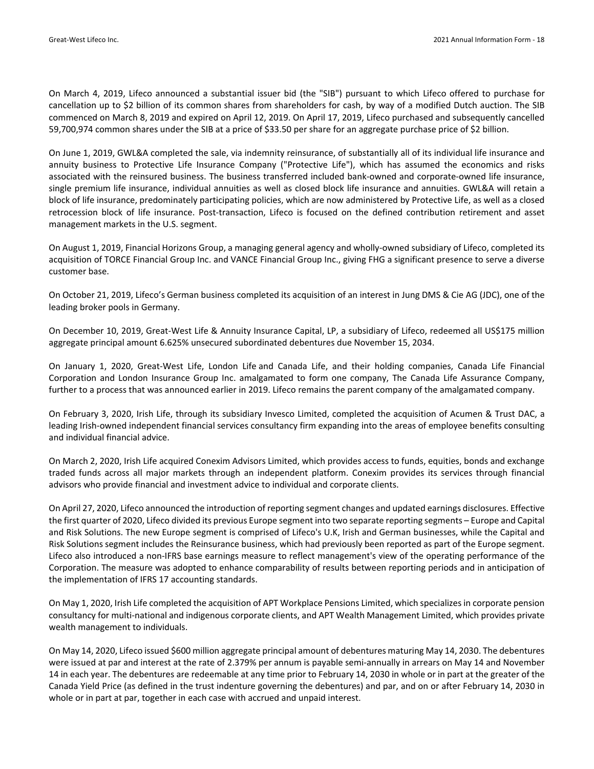On March 4, 2019, Lifeco announced a substantial issuer bid (the "SIB") pursuant to which Lifeco offered to purchase for cancellation up to \$2 billion of its common shares from shareholders for cash, by way of a modified Dutch auction. The SIB commenced on March 8, 2019 and expired on April 12, 2019. On April 17, 2019, Lifeco purchased and subsequently cancelled 59,700,974 common shares under the SIB at a price of \$33.50 per share for an aggregate purchase price of \$2 billion.

On June 1, 2019, GWL&A completed the sale, via indemnity reinsurance, of substantially all of its individual life insurance and annuity business to Protective Life Insurance Company ("Protective Life"), which has assumed the economics and risks associated with the reinsured business. The business transferred included bank‐owned and corporate‐owned life insurance, single premium life insurance, individual annuities as well as closed block life insurance and annuities. GWL&A will retain a block of life insurance, predominately participating policies, which are now administered by Protective Life, as well as a closed retrocession block of life insurance. Post-transaction, Lifeco is focused on the defined contribution retirement and asset management markets in the U.S. segment.

On August 1, 2019, Financial Horizons Group, a managing general agency and wholly‐owned subsidiary of Lifeco, completed its acquisition of TORCE Financial Group Inc. and VANCE Financial Group Inc., giving FHG a significant presence to serve a diverse customer base.

On October 21, 2019, Lifeco's German business completed its acquisition of an interest in Jung DMS & Cie AG (JDC), one of the leading broker pools in Germany.

On December 10, 2019, Great‐West Life & Annuity Insurance Capital, LP, a subsidiary of Lifeco, redeemed all US\$175 million aggregate principal amount 6.625% unsecured subordinated debentures due November 15, 2034.

On January 1, 2020, Great‐West Life, London Life and Canada Life, and their holding companies, Canada Life Financial Corporation and London Insurance Group Inc. amalgamated to form one company, The Canada Life Assurance Company, further to a process that was announced earlier in 2019. Lifeco remains the parent company of the amalgamated company.

On February 3, 2020, Irish Life, through its subsidiary Invesco Limited, completed the acquisition of Acumen & Trust DAC, a leading Irish-owned independent financial services consultancy firm expanding into the areas of employee benefits consulting and individual financial advice.

On March 2, 2020, Irish Life acquired Conexim Advisors Limited, which provides access to funds, equities, bonds and exchange traded funds across all major markets through an independent platform. Conexim provides its services through financial advisors who provide financial and investment advice to individual and corporate clients.

On April 27, 2020, Lifeco announced the introduction of reporting segment changes and updated earnings disclosures. Effective the first quarter of 2020, Lifeco divided its previous Europe segment into two separate reporting segments – Europe and Capital and Risk Solutions. The new Europe segment is comprised of Lifeco's U.K, Irish and German businesses, while the Capital and Risk Solutions segment includes the Reinsurance business, which had previously been reported as part of the Europe segment. Lifeco also introduced a non‐IFRS base earnings measure to reflect management's view of the operating performance of the Corporation. The measure was adopted to enhance comparability of results between reporting periods and in anticipation of the implementation of IFRS 17 accounting standards.

On May 1, 2020, Irish Life completed the acquisition of APT Workplace Pensions Limited, which specializesin corporate pension consultancy for multi‐national and indigenous corporate clients, and APT Wealth Management Limited, which provides private wealth management to individuals.

On May 14, 2020, Lifeco issued \$600 million aggregate principal amount of debentures maturing May 14, 2030. The debentures were issued at par and interest at the rate of 2.379% per annum is payable semi-annually in arrears on May 14 and November 14 in each year. The debentures are redeemable at any time prior to February 14, 2030 in whole or in part at the greater of the Canada Yield Price (as defined in the trust indenture governing the debentures) and par, and on or after February 14, 2030 in whole or in part at par, together in each case with accrued and unpaid interest.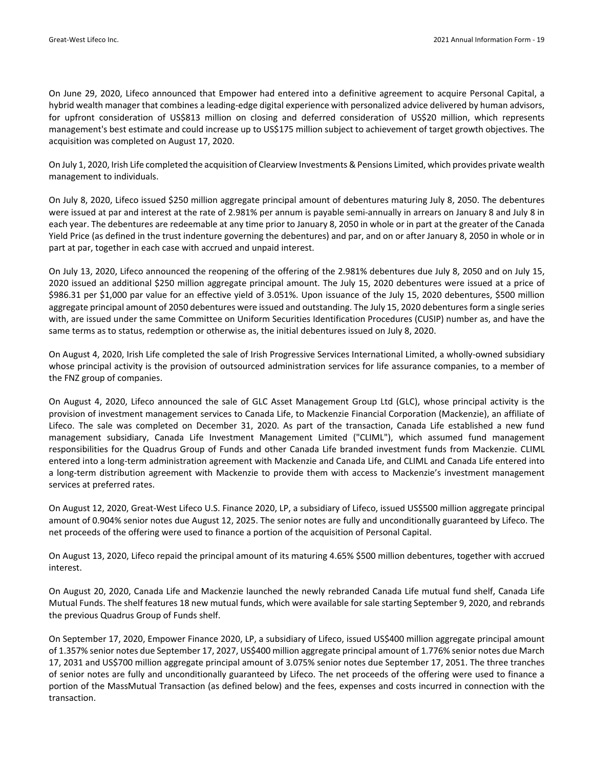On June 29, 2020, Lifeco announced that Empower had entered into a definitive agreement to acquire Personal Capital, a hybrid wealth manager that combines a leading‐edge digital experience with personalized advice delivered by human advisors, for upfront consideration of US\$813 million on closing and deferred consideration of US\$20 million, which represents management's best estimate and could increase up to US\$175 million subject to achievement of target growth objectives. The acquisition was completed on August 17, 2020.

On July 1, 2020, Irish Life completed the acquisition of Clearview Investments & Pensions Limited, which provides private wealth management to individuals.

On July 8, 2020, Lifeco issued \$250 million aggregate principal amount of debentures maturing July 8, 2050. The debentures were issued at par and interest at the rate of 2.981% per annum is payable semi-annually in arrears on January 8 and July 8 in each year. The debentures are redeemable at any time prior to January 8, 2050 in whole or in part at the greater of the Canada Yield Price (as defined in the trust indenture governing the debentures) and par, and on or after January 8, 2050 in whole or in part at par, together in each case with accrued and unpaid interest.

On July 13, 2020, Lifeco announced the reopening of the offering of the 2.981% debentures due July 8, 2050 and on July 15, 2020 issued an additional \$250 million aggregate principal amount. The July 15, 2020 debentures were issued at a price of \$986.31 per \$1,000 par value for an effective yield of 3.051%. Upon issuance of the July 15, 2020 debentures, \$500 million aggregate principal amount of 2050 debentures were issued and outstanding. The July 15, 2020 debenturesform a single series with, are issued under the same Committee on Uniform Securities Identification Procedures (CUSIP) number as, and have the same terms as to status, redemption or otherwise as, the initial debentures issued on July 8, 2020.

On August 4, 2020, Irish Life completed the sale of Irish Progressive Services International Limited, a wholly‐owned subsidiary whose principal activity is the provision of outsourced administration services for life assurance companies, to a member of the FNZ group of companies.

On August 4, 2020, Lifeco announced the sale of GLC Asset Management Group Ltd (GLC), whose principal activity is the provision of investment management services to Canada Life, to Mackenzie Financial Corporation (Mackenzie), an affiliate of Lifeco. The sale was completed on December 31, 2020. As part of the transaction, Canada Life established a new fund management subsidiary, Canada Life Investment Management Limited ("CLIML"), which assumed fund management responsibilities for the Quadrus Group of Funds and other Canada Life branded investment funds from Mackenzie. CLIML entered into a long‐term administration agreement with Mackenzie and Canada Life, and CLIML and Canada Life entered into a long-term distribution agreement with Mackenzie to provide them with access to Mackenzie's investment management services at preferred rates.

On August 12, 2020, Great‐West Lifeco U.S. Finance 2020, LP, a subsidiary of Lifeco, issued US\$500 million aggregate principal amount of 0.904% senior notes due August 12, 2025. The senior notes are fully and unconditionally guaranteed by Lifeco. The net proceeds of the offering were used to finance a portion of the acquisition of Personal Capital.

On August 13, 2020, Lifeco repaid the principal amount of its maturing 4.65% \$500 million debentures, together with accrued interest.

On August 20, 2020, Canada Life and Mackenzie launched the newly rebranded Canada Life mutual fund shelf, Canada Life Mutual Funds. The shelf features 18 new mutual funds, which were available for sale starting September 9, 2020, and rebrands the previous Quadrus Group of Funds shelf.

On September 17, 2020, Empower Finance 2020, LP, a subsidiary of Lifeco, issued US\$400 million aggregate principal amount of 1.357% senior notes due September 17, 2027, US\$400 million aggregate principal amount of 1.776% senior notes due March 17, 2031 and US\$700 million aggregate principal amount of 3.075% senior notes due September 17, 2051. The three tranches of senior notes are fully and unconditionally guaranteed by Lifeco. The net proceeds of the offering were used to finance a portion of the MassMutual Transaction (as defined below) and the fees, expenses and costs incurred in connection with the transaction.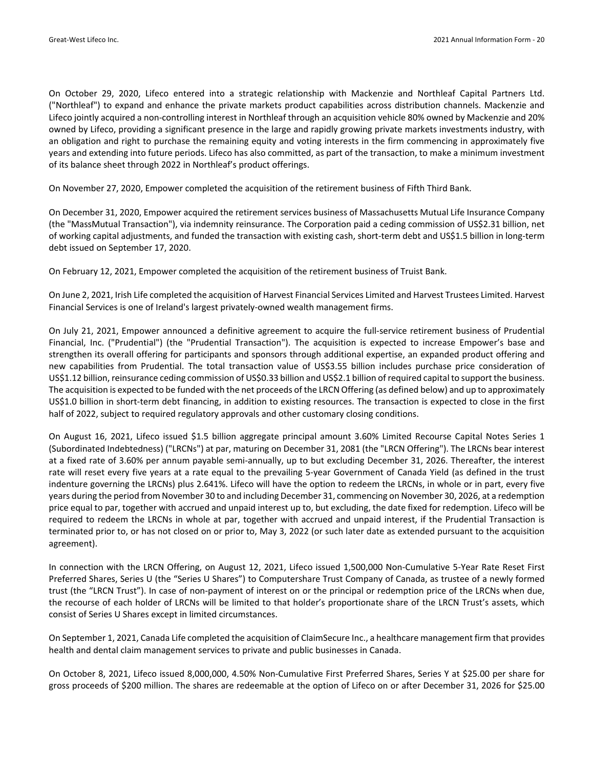On October 29, 2020, Lifeco entered into a strategic relationship with Mackenzie and Northleaf Capital Partners Ltd. ("Northleaf") to expand and enhance the private markets product capabilities across distribution channels. Mackenzie and Lifeco jointly acquired a non‐controlling interest in Northleaf through an acquisition vehicle 80% owned by Mackenzie and 20% owned by Lifeco, providing a significant presence in the large and rapidly growing private markets investments industry, with an obligation and right to purchase the remaining equity and voting interests in the firm commencing in approximately five years and extending into future periods. Lifeco has also committed, as part of the transaction, to make a minimum investment of its balance sheet through 2022 in Northleaf's product offerings.

On November 27, 2020, Empower completed the acquisition of the retirement business of Fifth Third Bank.

On December 31, 2020, Empower acquired the retirement services business of Massachusetts Mutual Life Insurance Company (the "MassMutual Transaction"), via indemnity reinsurance. The Corporation paid a ceding commission of US\$2.31 billion, net of working capital adjustments, and funded the transaction with existing cash, short‐term debt and US\$1.5 billion in long‐term debt issued on September 17, 2020.

On February 12, 2021, Empower completed the acquisition of the retirement business of Truist Bank.

On June 2, 2021, Irish Life completed the acquisition of Harvest Financial Services Limited and Harvest Trustees Limited. Harvest Financial Services is one of Ireland's largest privately‐owned wealth management firms.

On July 21, 2021, Empower announced a definitive agreement to acquire the full‐service retirement business of Prudential Financial, Inc. ("Prudential") (the "Prudential Transaction"). The acquisition is expected to increase Empower's base and strengthen its overall offering for participants and sponsors through additional expertise, an expanded product offering and new capabilities from Prudential. The total transaction value of US\$3.55 billion includes purchase price consideration of US\$1.12 billion, reinsurance ceding commission of US\$0.33 billion and US\$2.1 billion ofrequired capital to support the business. The acquisition is expected to be funded with the net proceeds of the LRCN Offering (as defined below) and up to approximately US\$1.0 billion in short‐term debt financing, in addition to existing resources. The transaction is expected to close in the first half of 2022, subject to required regulatory approvals and other customary closing conditions.

On August 16, 2021, Lifeco issued \$1.5 billion aggregate principal amount 3.60% Limited Recourse Capital Notes Series 1 (Subordinated Indebtedness) ("LRCNs") at par, maturing on December 31, 2081 (the "LRCN Offering"). The LRCNs bear interest at a fixed rate of 3.60% per annum payable semi‐annually, up to but excluding December 31, 2026. Thereafter, the interest rate will reset every five years at a rate equal to the prevailing 5‐year Government of Canada Yield (as defined in the trust indenture governing the LRCNs) plus 2.641%. Lifeco will have the option to redeem the LRCNs, in whole or in part, every five years during the period fromNovember 30 to and including December 31, commencing on November 30, 2026, at a redemption price equal to par, together with accrued and unpaid interest up to, but excluding, the date fixed for redemption. Lifeco will be required to redeem the LRCNs in whole at par, together with accrued and unpaid interest, if the Prudential Transaction is terminated prior to, or has not closed on or prior to, May 3, 2022 (or such later date as extended pursuant to the acquisition agreement).

In connection with the LRCN Offering, on August 12, 2021, Lifeco issued 1,500,000 Non-Cumulative 5-Year Rate Reset First Preferred Shares, Series U (the "Series U Shares") to Computershare Trust Company of Canada, as trustee of a newly formed trust (the "LRCN Trust"). In case of non‐payment of interest on or the principal or redemption price of the LRCNs when due, the recourse of each holder of LRCNs will be limited to that holder's proportionate share of the LRCN Trust's assets, which consist of Series U Shares except in limited circumstances.

On September 1, 2021, Canada Life completed the acquisition of ClaimSecure Inc., a healthcare management firm that provides health and dental claim management services to private and public businesses in Canada.

On October 8, 2021, Lifeco issued 8,000,000, 4.50% Non‐Cumulative First Preferred Shares, Series Y at \$25.00 per share for gross proceeds of \$200 million. The shares are redeemable at the option of Lifeco on or after December 31, 2026 for \$25.00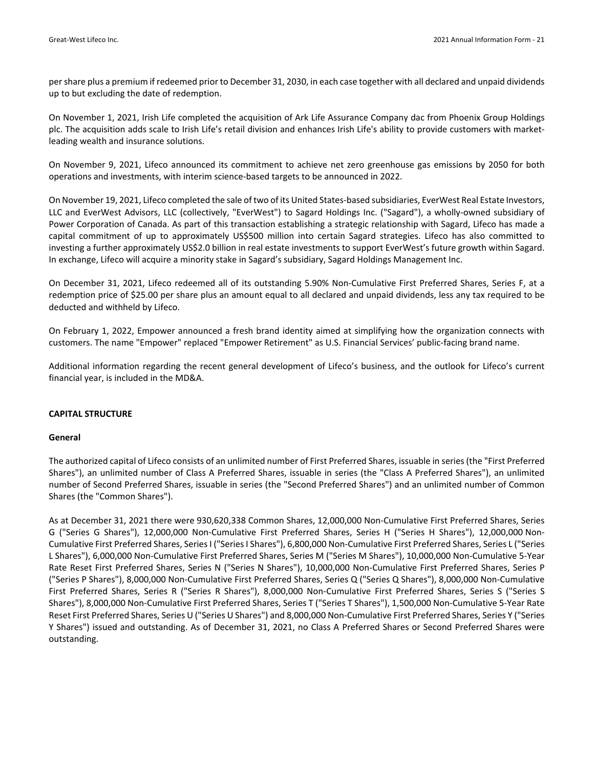pershare plus a premium if redeemed prior to December 31, 2030, in each case together with all declared and unpaid dividends up to but excluding the date of redemption.

On November 1, 2021, Irish Life completed the acquisition of Ark Life Assurance Company dac from Phoenix Group Holdings plc. The acquisition adds scale to Irish Life's retail division and enhances Irish Life's ability to provide customers with marketleading wealth and insurance solutions.

On November 9, 2021, Lifeco announced its commitment to achieve net zero greenhouse gas emissions by 2050 for both operations and investments, with interim science‐based targets to be announced in 2022.

On November 19, 2021, Lifeco completed the sale of two of its United States‐based subsidiaries, EverWest Real Estate Investors, LLC and EverWest Advisors, LLC (collectively, "EverWest") to Sagard Holdings Inc. ("Sagard"), a wholly‐owned subsidiary of Power Corporation of Canada. As part of this transaction establishing a strategic relationship with Sagard, Lifeco has made a capital commitment of up to approximately US\$500 million into certain Sagard strategies. Lifeco has also committed to investing a further approximately US\$2.0 billion in real estate investments to support EverWest's future growth within Sagard. In exchange, Lifeco will acquire a minority stake in Sagard's subsidiary, Sagard Holdings Management Inc.

On December 31, 2021, Lifeco redeemed all of its outstanding 5.90% Non‐Cumulative First Preferred Shares, Series F, at a redemption price of \$25.00 per share plus an amount equal to all declared and unpaid dividends, less any tax required to be deducted and withheld by Lifeco.

On February 1, 2022, Empower announced a fresh brand identity aimed at simplifying how the organization connects with customers. The name "Empower" replaced "Empower Retirement" as U.S. Financial Services' public‐facing brand name.

Additional information regarding the recent general development of Lifeco's business, and the outlook for Lifeco's current financial year, is included in the MD&A.

#### **CAPITAL STRUCTURE**

#### **General**

The authorized capital of Lifeco consists of an unlimited number of First Preferred Shares, issuable in series(the "First Preferred Shares"), an unlimited number of Class A Preferred Shares, issuable in series (the "Class A Preferred Shares"), an unlimited number of Second Preferred Shares, issuable in series (the "Second Preferred Shares") and an unlimited number of Common Shares (the "Common Shares").

As at December 31, 2021 there were 930,620,338 Common Shares, 12,000,000 Non‐Cumulative First Preferred Shares, Series G ("Series G Shares"), 12,000,000 Non‐Cumulative First Preferred Shares, Series H ("Series H Shares"), 12,000,000 Non‐ Cumulative First Preferred Shares, SeriesI ("SeriesI Shares"), 6,800,000 Non‐Cumulative First Preferred Shares, Series L ("Series L Shares"), 6,000,000 Non‐Cumulative First Preferred Shares, Series M ("Series M Shares"), 10,000,000 Non‐Cumulative 5‐Year Rate Reset First Preferred Shares, Series N ("Series N Shares"), 10,000,000 Non‐Cumulative First Preferred Shares, Series P ("Series P Shares"), 8,000,000 Non‐Cumulative First Preferred Shares, Series Q ("Series Q Shares"), 8,000,000 Non‐Cumulative First Preferred Shares, Series R ("Series R Shares"), 8,000,000 Non-Cumulative First Preferred Shares, Series S ("Series S Shares"), 8,000,000 Non‐Cumulative First Preferred Shares, Series T ("Series T Shares"), 1,500,000 Non‐Cumulative 5‐Year Rate Reset First Preferred Shares, Series U ("Series U Shares") and 8,000,000 Non‐Cumulative First Preferred Shares, Series Y ("Series Y Shares") issued and outstanding. As of December 31, 2021, no Class A Preferred Shares or Second Preferred Shares were outstanding.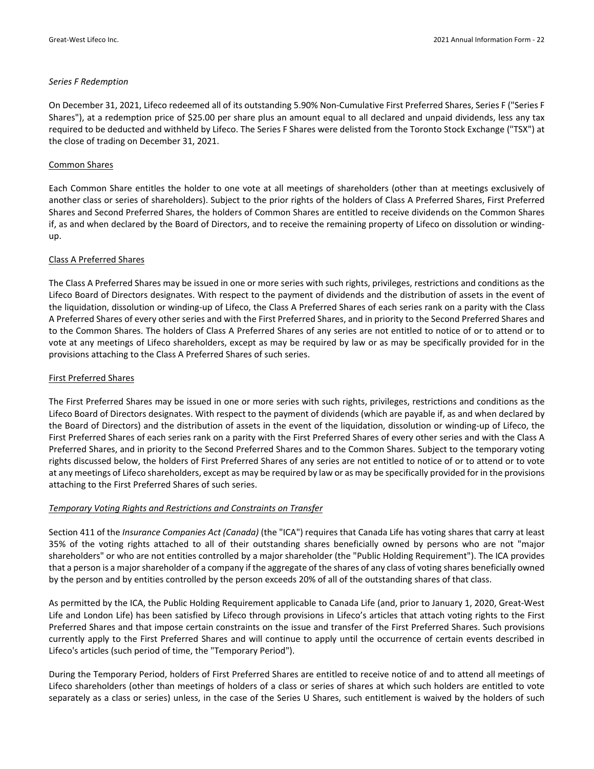#### *Series F Redemption*

On December 31, 2021, Lifeco redeemed all of its outstanding 5.90% Non‐Cumulative First Preferred Shares, Series F ("Series F Shares"), at a redemption price of \$25.00 per share plus an amount equal to all declared and unpaid dividends, less any tax required to be deducted and withheld by Lifeco. The Series F Shares were delisted from the Toronto Stock Exchange ("TSX") at the close of trading on December 31, 2021.

#### Common Shares

Each Common Share entitles the holder to one vote at all meetings of shareholders (other than at meetings exclusively of another class or series of shareholders). Subject to the prior rights of the holders of Class A Preferred Shares, First Preferred Shares and Second Preferred Shares, the holders of Common Shares are entitled to receive dividends on the Common Shares if, as and when declared by the Board of Directors, and to receive the remaining property of Lifeco on dissolution or winding‐ up.

#### Class A Preferred Shares

The Class A Preferred Shares may be issued in one or more series with such rights, privileges, restrictions and conditions as the Lifeco Board of Directors designates. With respect to the payment of dividends and the distribution of assets in the event of the liquidation, dissolution or winding‐up of Lifeco, the Class A Preferred Shares of each series rank on a parity with the Class A Preferred Shares of every other series and with the First Preferred Shares, and in priority to the Second Preferred Shares and to the Common Shares. The holders of Class A Preferred Shares of any series are not entitled to notice of or to attend or to vote at any meetings of Lifeco shareholders, except as may be required by law or as may be specifically provided for in the provisions attaching to the Class A Preferred Shares of such series.

#### First Preferred Shares

The First Preferred Shares may be issued in one or more series with such rights, privileges, restrictions and conditions as the Lifeco Board of Directors designates. With respect to the payment of dividends (which are payable if, as and when declared by the Board of Directors) and the distribution of assets in the event of the liquidation, dissolution or winding‐up of Lifeco, the First Preferred Shares of each series rank on a parity with the First Preferred Shares of every other series and with the Class A Preferred Shares, and in priority to the Second Preferred Shares and to the Common Shares. Subject to the temporary voting rights discussed below, the holders of First Preferred Shares of any series are not entitled to notice of or to attend or to vote at any meetings of Lifeco shareholders, except as may be required by law or as may be specifically provided for in the provisions attaching to the First Preferred Shares of such series.

#### *Temporary Voting Rights and Restrictions and Constraints on Transfer*

Section 411 of the *Insurance Companies Act (Canada)* (the "ICA") requires that Canada Life has voting shares that carry at least 35% of the voting rights attached to all of their outstanding shares beneficially owned by persons who are not "major shareholders" or who are not entities controlled by a major shareholder (the "Public Holding Requirement"). The ICA provides that a person is a major shareholder of a company if the aggregate of the shares of any class of voting shares beneficially owned by the person and by entities controlled by the person exceeds 20% of all of the outstanding shares of that class.

As permitted by the ICA, the Public Holding Requirement applicable to Canada Life (and, prior to January 1, 2020, Great‐West Life and London Life) has been satisfied by Lifeco through provisions in Lifeco's articles that attach voting rights to the First Preferred Shares and that impose certain constraints on the issue and transfer of the First Preferred Shares. Such provisions currently apply to the First Preferred Shares and will continue to apply until the occurrence of certain events described in Lifeco's articles (such period of time, the "Temporary Period").

During the Temporary Period, holders of First Preferred Shares are entitled to receive notice of and to attend all meetings of Lifeco shareholders (other than meetings of holders of a class or series of shares at which such holders are entitled to vote separately as a class or series) unless, in the case of the Series U Shares, such entitlement is waived by the holders of such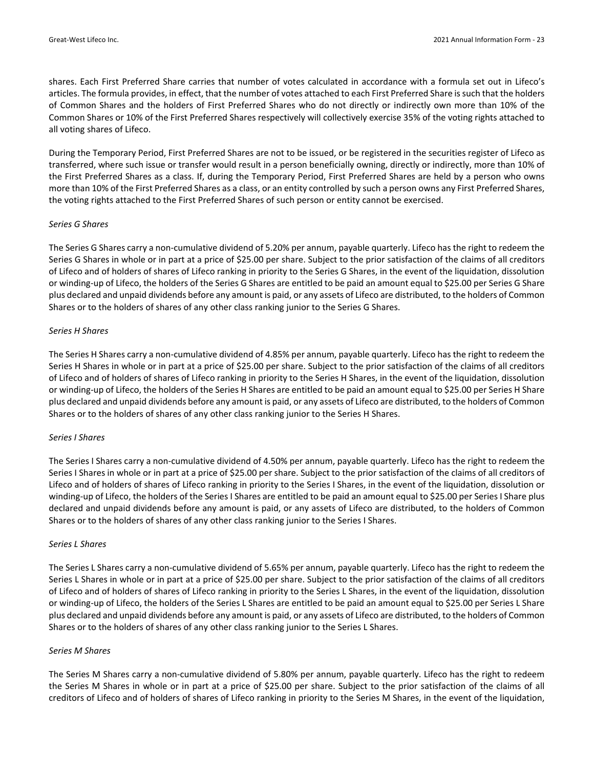shares. Each First Preferred Share carries that number of votes calculated in accordance with a formula set out in Lifeco's articles. The formula provides, in effect, that the number of votes attached to each First Preferred Share issuch that the holders of Common Shares and the holders of First Preferred Shares who do not directly or indirectly own more than 10% of the Common Shares or 10% of the First Preferred Shares respectively will collectively exercise 35% of the voting rights attached to all voting shares of Lifeco.

During the Temporary Period, First Preferred Shares are not to be issued, or be registered in the securities register of Lifeco as transferred, where such issue or transfer would result in a person beneficially owning, directly or indirectly, more than 10% of the First Preferred Shares as a class. If, during the Temporary Period, First Preferred Shares are held by a person who owns more than 10% of the First Preferred Shares as a class, or an entity controlled by such a person owns any First Preferred Shares, the voting rights attached to the First Preferred Shares of such person or entity cannot be exercised.

#### *Series G Shares*

The Series G Shares carry a non‐cumulative dividend of 5.20% per annum, payable quarterly. Lifeco has the right to redeem the Series G Shares in whole or in part at a price of \$25.00 per share. Subject to the prior satisfaction of the claims of all creditors of Lifeco and of holders of shares of Lifeco ranking in priority to the Series G Shares, in the event of the liquidation, dissolution or winding‐up of Lifeco, the holders of the Series G Shares are entitled to be paid an amount equal to \$25.00 per Series G Share plus declared and unpaid dividends before any amount is paid, or any assets of Lifeco are distributed, to the holders of Common Shares or to the holders of shares of any other class ranking junior to the Series G Shares.

#### *Series H Shares*

The Series H Shares carry a non‐cumulative dividend of 4.85% per annum, payable quarterly. Lifeco has the right to redeem the Series H Shares in whole or in part at a price of \$25.00 per share. Subject to the prior satisfaction of the claims of all creditors of Lifeco and of holders of shares of Lifeco ranking in priority to the Series H Shares, in the event of the liquidation, dissolution or winding‐up of Lifeco, the holders of the Series H Shares are entitled to be paid an amount equal to \$25.00 per Series H Share plus declared and unpaid dividends before any amount is paid, or any assets of Lifeco are distributed, to the holders of Common Shares or to the holders of shares of any other class ranking junior to the Series H Shares.

#### *Series I Shares*

The Series I Shares carry a non‐cumulative dividend of 4.50% per annum, payable quarterly. Lifeco has the right to redeem the Series I Shares in whole or in part at a price of \$25.00 per share. Subject to the prior satisfaction of the claims of all creditors of Lifeco and of holders of shares of Lifeco ranking in priority to the Series I Shares, in the event of the liquidation, dissolution or winding-up of Lifeco, the holders of the Series I Shares are entitled to be paid an amount equal to \$25.00 per Series I Share plus declared and unpaid dividends before any amount is paid, or any assets of Lifeco are distributed, to the holders of Common Shares or to the holders of shares of any other class ranking junior to the Series I Shares.

#### *Series L Shares*

The Series L Shares carry a non‐cumulative dividend of 5.65% per annum, payable quarterly. Lifeco has the right to redeem the Series L Shares in whole or in part at a price of \$25.00 per share. Subject to the prior satisfaction of the claims of all creditors of Lifeco and of holders of shares of Lifeco ranking in priority to the Series L Shares, in the event of the liquidation, dissolution or winding‐up of Lifeco, the holders of the Series L Shares are entitled to be paid an amount equal to \$25.00 per Series L Share plus declared and unpaid dividends before any amount is paid, or any assets of Lifeco are distributed, to the holders of Common Shares or to the holders of shares of any other class ranking junior to the Series L Shares.

#### *Series M Shares*

The Series M Shares carry a non‐cumulative dividend of 5.80% per annum, payable quarterly. Lifeco has the right to redeem the Series M Shares in whole or in part at a price of \$25.00 per share. Subject to the prior satisfaction of the claims of all creditors of Lifeco and of holders of shares of Lifeco ranking in priority to the Series M Shares, in the event of the liquidation,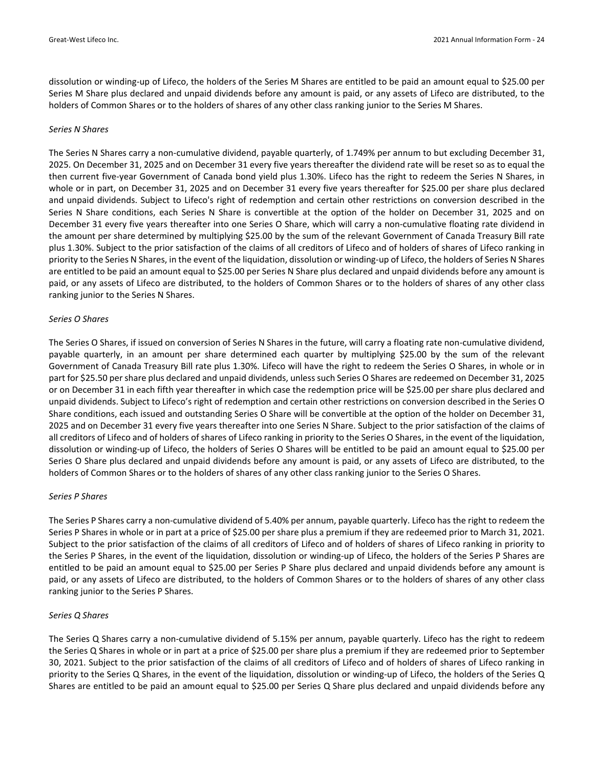dissolution or winding‐up of Lifeco, the holders of the Series M Shares are entitled to be paid an amount equal to \$25.00 per Series M Share plus declared and unpaid dividends before any amount is paid, or any assets of Lifeco are distributed, to the holders of Common Shares or to the holders of shares of any other class ranking junior to the Series M Shares.

#### *Series N Shares*

The Series N Shares carry a non-cumulative dividend, payable quarterly, of 1.749% per annum to but excluding December 31, 2025. On December 31, 2025 and on December 31 every five years thereafter the dividend rate will be reset so as to equal the then current five‐year Government of Canada bond yield plus 1.30%. Lifeco has the right to redeem the Series N Shares, in whole or in part, on December 31, 2025 and on December 31 every five years thereafter for \$25.00 per share plus declared and unpaid dividends. Subject to Lifeco's right of redemption and certain other restrictions on conversion described in the Series N Share conditions, each Series N Share is convertible at the option of the holder on December 31, 2025 and on December 31 every five years thereafter into one Series O Share, which will carry a non-cumulative floating rate dividend in the amount per share determined by multiplying \$25.00 by the sum of the relevant Government of Canada Treasury Bill rate plus 1.30%. Subject to the prior satisfaction of the claims of all creditors of Lifeco and of holders of shares of Lifeco ranking in priority to the Series N Shares, in the event of the liquidation, dissolution or winding-up of Lifeco, the holders of Series N Shares are entitled to be paid an amount equal to \$25.00 per Series N Share plus declared and unpaid dividends before any amount is paid, or any assets of Lifeco are distributed, to the holders of Common Shares or to the holders of shares of any other class ranking junior to the Series N Shares.

#### *Series O Shares*

The Series O Shares, if issued on conversion of Series N Shares in the future, will carry a floating rate non‐cumulative dividend, payable quarterly, in an amount per share determined each quarter by multiplying \$25.00 by the sum of the relevant Government of Canada Treasury Bill rate plus 1.30%. Lifeco will have the right to redeem the Series O Shares, in whole or in part for \$25.50 pershare plus declared and unpaid dividends, unless such Series O Shares are redeemed on December 31, 2025 or on December 31 in each fifth year thereafter in which case the redemption price will be \$25.00 per share plus declared and unpaid dividends. Subject to Lifeco's right of redemption and certain other restrictions on conversion described in the Series O Share conditions, each issued and outstanding Series O Share will be convertible at the option of the holder on December 31, 2025 and on December 31 every five years thereafter into one Series N Share. Subject to the prior satisfaction of the claims of all creditors of Lifeco and of holders of shares of Lifeco ranking in priority to the Series O Shares, in the event of the liquidation, dissolution or winding‐up of Lifeco, the holders of Series O Shares will be entitled to be paid an amount equal to \$25.00 per Series O Share plus declared and unpaid dividends before any amount is paid, or any assets of Lifeco are distributed, to the holders of Common Shares or to the holders of shares of any other class ranking junior to the Series O Shares.

#### *Series P Shares*

The Series P Shares carry a non-cumulative dividend of 5.40% per annum, payable quarterly. Lifeco has the right to redeem the Series P Shares in whole or in part at a price of \$25.00 per share plus a premium if they are redeemed prior to March 31, 2021. Subject to the prior satisfaction of the claims of all creditors of Lifeco and of holders of shares of Lifeco ranking in priority to the Series P Shares, in the event of the liquidation, dissolution or winding‐up of Lifeco, the holders of the Series P Shares are entitled to be paid an amount equal to \$25.00 per Series P Share plus declared and unpaid dividends before any amount is paid, or any assets of Lifeco are distributed, to the holders of Common Shares or to the holders of shares of any other class ranking junior to the Series P Shares.

#### *Series Q Shares*

The Series Q Shares carry a non‐cumulative dividend of 5.15% per annum, payable quarterly. Lifeco has the right to redeem the Series Q Shares in whole or in part at a price of \$25.00 per share plus a premium if they are redeemed prior to September 30, 2021. Subject to the prior satisfaction of the claims of all creditors of Lifeco and of holders of shares of Lifeco ranking in priority to the Series Q Shares, in the event of the liquidation, dissolution or winding-up of Lifeco, the holders of the Series Q Shares are entitled to be paid an amount equal to \$25.00 per Series Q Share plus declared and unpaid dividends before any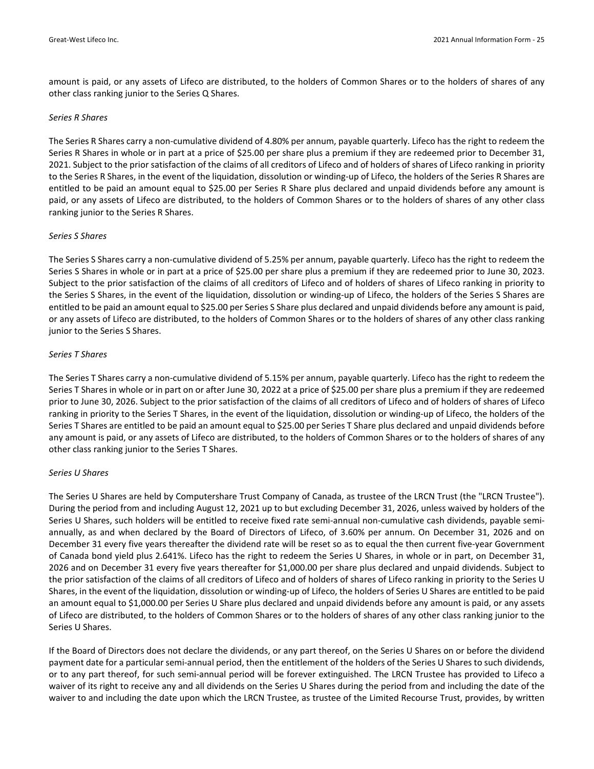amount is paid, or any assets of Lifeco are distributed, to the holders of Common Shares or to the holders of shares of any other class ranking junior to the Series Q Shares.

#### *Series R Shares*

The Series R Shares carry a non-cumulative dividend of 4.80% per annum, payable quarterly. Lifeco has the right to redeem the Series R Shares in whole or in part at a price of \$25.00 per share plus a premium if they are redeemed prior to December 31, 2021. Subject to the prior satisfaction of the claims of all creditors of Lifeco and of holders of shares of Lifeco ranking in priority to the Series R Shares, in the event of the liquidation, dissolution or winding-up of Lifeco, the holders of the Series R Shares are entitled to be paid an amount equal to \$25.00 per Series R Share plus declared and unpaid dividends before any amount is paid, or any assets of Lifeco are distributed, to the holders of Common Shares or to the holders of shares of any other class ranking junior to the Series R Shares.

#### *Series S Shares*

The Series S Shares carry a non‐cumulative dividend of 5.25% per annum, payable quarterly. Lifeco has the right to redeem the Series S Shares in whole or in part at a price of \$25.00 per share plus a premium if they are redeemed prior to June 30, 2023. Subject to the prior satisfaction of the claims of all creditors of Lifeco and of holders of shares of Lifeco ranking in priority to the Series S Shares, in the event of the liquidation, dissolution or winding‐up of Lifeco, the holders of the Series S Shares are entitled to be paid an amount equal to \$25.00 per Series S Share plus declared and unpaid dividends before any amount is paid, or any assets of Lifeco are distributed, to the holders of Common Shares or to the holders of shares of any other class ranking junior to the Series S Shares.

#### *Series T Shares*

The Series T Shares carry a non‐cumulative dividend of 5.15% per annum, payable quarterly. Lifeco has the right to redeem the Series T Shares in whole or in part on or after June 30, 2022 at a price of \$25.00 per share plus a premium if they are redeemed prior to June 30, 2026. Subject to the prior satisfaction of the claims of all creditors of Lifeco and of holders of shares of Lifeco ranking in priority to the Series T Shares, in the event of the liquidation, dissolution or winding‐up of Lifeco, the holders of the Series T Shares are entitled to be paid an amount equal to \$25.00 per Series T Share plus declared and unpaid dividends before any amount is paid, or any assets of Lifeco are distributed, to the holders of Common Shares or to the holders of shares of any other class ranking junior to the Series T Shares.

## *Series U Shares*

The Series U Shares are held by Computershare Trust Company of Canada, as trustee of the LRCN Trust (the "LRCN Trustee"). During the period from and including August 12, 2021 up to but excluding December 31, 2026, unless waived by holders of the Series U Shares, such holders will be entitled to receive fixed rate semi-annual non-cumulative cash dividends, payable semiannually, as and when declared by the Board of Directors of Lifeco, of 3.60% per annum. On December 31, 2026 and on December 31 every five years thereafter the dividend rate will be reset so as to equal the then current five‐year Government of Canada bond yield plus 2.641%. Lifeco has the right to redeem the Series U Shares, in whole or in part, on December 31, 2026 and on December 31 every five years thereafter for \$1,000.00 per share plus declared and unpaid dividends. Subject to the prior satisfaction of the claims of all creditors of Lifeco and of holders of shares of Lifeco ranking in priority to the Series U Shares, in the event of the liquidation, dissolution or winding‐up of Lifeco, the holders of Series U Shares are entitled to be paid an amount equal to \$1,000.00 per Series U Share plus declared and unpaid dividends before any amount is paid, or any assets of Lifeco are distributed, to the holders of Common Shares or to the holders of shares of any other class ranking junior to the Series U Shares.

If the Board of Directors does not declare the dividends, or any part thereof, on the Series U Shares on or before the dividend payment date for a particular semi‐annual period, then the entitlement of the holders of the Series U Shares to such dividends, or to any part thereof, for such semi‐annual period will be forever extinguished. The LRCN Trustee has provided to Lifeco a waiver of its right to receive any and all dividends on the Series U Shares during the period from and including the date of the waiver to and including the date upon which the LRCN Trustee, as trustee of the Limited Recourse Trust, provides, by written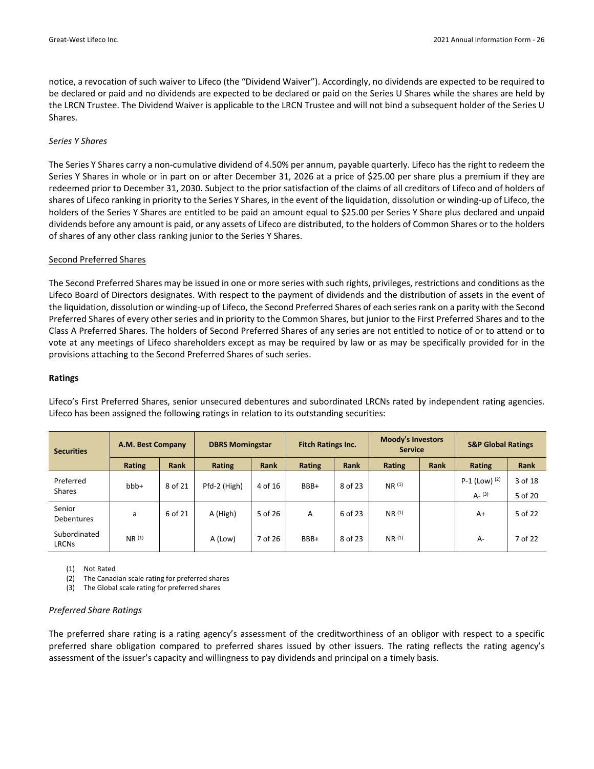notice, a revocation of such waiver to Lifeco (the "Dividend Waiver"). Accordingly, no dividends are expected to be required to be declared or paid and no dividends are expected to be declared or paid on the Series U Shares while the shares are held by the LRCN Trustee. The Dividend Waiver is applicable to the LRCN Trustee and will not bind a subsequent holder of the Series U Shares.

#### *Series Y Shares*

The Series Y Shares carry a non‐cumulative dividend of 4.50% per annum, payable quarterly. Lifeco has the right to redeem the Series Y Shares in whole or in part on or after December 31, 2026 at a price of \$25.00 per share plus a premium if they are redeemed prior to December 31, 2030. Subject to the prior satisfaction of the claims of all creditors of Lifeco and of holders of shares of Lifeco ranking in priority to the Series Y Shares, in the event of the liquidation, dissolution or winding‐up of Lifeco, the holders of the Series Y Shares are entitled to be paid an amount equal to \$25.00 per Series Y Share plus declared and unpaid dividends before any amount is paid, or any assets of Lifeco are distributed, to the holders of Common Shares or to the holders of shares of any other class ranking junior to the Series Y Shares.

#### Second Preferred Shares

The Second Preferred Shares may be issued in one or more series with such rights, privileges, restrictions and conditions as the Lifeco Board of Directors designates. With respect to the payment of dividends and the distribution of assets in the event of the liquidation, dissolution or winding‐up of Lifeco, the Second Preferred Shares of each seriesrank on a parity with the Second Preferred Shares of every other series and in priority to the Common Shares, but junior to the First Preferred Shares and to the Class A Preferred Shares. The holders of Second Preferred Shares of any series are not entitled to notice of or to attend or to vote at any meetings of Lifeco shareholders except as may be required by law or as may be specifically provided for in the provisions attaching to the Second Preferred Shares of such series.

#### **Ratings**

| <b>Securities</b>            | A.M. Best Company | <b>Fitch Ratings Inc.</b><br><b>DBRS Morningstar</b> |              |             | <b>Moody's Investors</b><br><b>Service</b> |         | <b>S&amp;P Global Ratings</b> |             |                            |                    |
|------------------------------|-------------------|------------------------------------------------------|--------------|-------------|--------------------------------------------|---------|-------------------------------|-------------|----------------------------|--------------------|
|                              | Rating            | <b>Rank</b>                                          | Rating       | <b>Rank</b> | Rating                                     | Rank    | Rating                        | <b>Rank</b> | Rating                     | Rank               |
| Preferred<br><b>Shares</b>   | bbb+              | 8 of 21                                              | Pfd-2 (High) | 4 of 16     | BBB+                                       | 8 of 23 | NR(1)                         |             | P-1 (Low) (2)<br>$A - (3)$ | 3 of 18<br>5 of 20 |
| Senior<br><b>Debentures</b>  | a                 | 6 of 21                                              | A (High)     | 5 of 26     | A                                          | 6 of 23 | NR <sup>(1)</sup>             |             | $A+$                       | 5 of 22            |
| Subordinated<br><b>LRCNs</b> | NR <sup>(1)</sup> |                                                      | A (Low)      | 7 of 26     | BBB+                                       | 8 of 23 | NR <sup>(1)</sup>             |             | $A -$                      | 7 of 22            |

Lifeco's First Preferred Shares, senior unsecured debentures and subordinated LRCNs rated by independent rating agencies. Lifeco has been assigned the following ratings in relation to its outstanding securities:

(1) Not Rated

(2) The Canadian scale rating for preferred shares

(3) The Global scale rating for preferred shares

#### *Preferred Share Ratings*

The preferred share rating is a rating agency's assessment of the creditworthiness of an obligor with respect to a specific preferred share obligation compared to preferred shares issued by other issuers. The rating reflects the rating agency's assessment of the issuer's capacity and willingness to pay dividends and principal on a timely basis.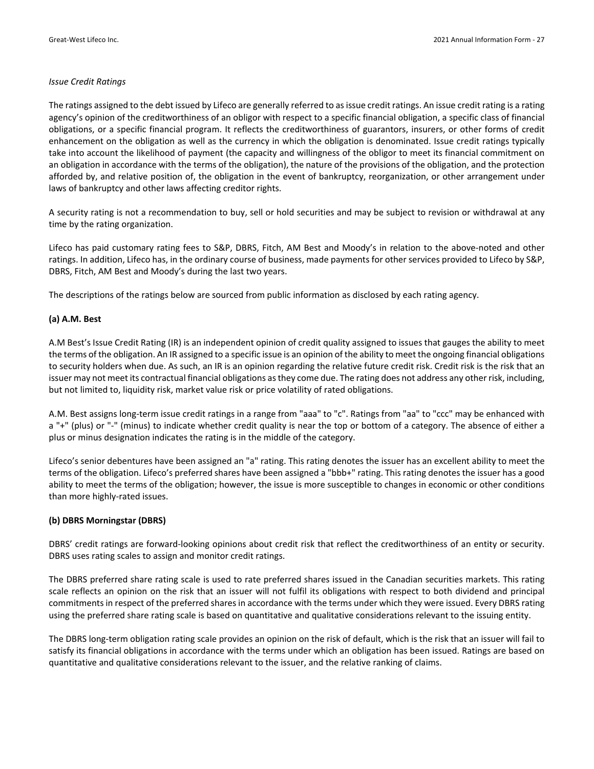#### *Issue Credit Ratings*

The ratings assigned to the debt issued by Lifeco are generally referred to as issue credit ratings. An issue credit rating is a rating agency's opinion of the creditworthiness of an obligor with respect to a specific financial obligation, a specific class of financial obligations, or a specific financial program. It reflects the creditworthiness of guarantors, insurers, or other forms of credit enhancement on the obligation as well as the currency in which the obligation is denominated. Issue credit ratings typically take into account the likelihood of payment (the capacity and willingness of the obligor to meet its financial commitment on an obligation in accordance with the terms of the obligation), the nature of the provisions of the obligation, and the protection afforded by, and relative position of, the obligation in the event of bankruptcy, reorganization, or other arrangement under laws of bankruptcy and other laws affecting creditor rights.

A security rating is not a recommendation to buy, sell or hold securities and may be subject to revision or withdrawal at any time by the rating organization.

Lifeco has paid customary rating fees to S&P, DBRS, Fitch, AM Best and Moody's in relation to the above-noted and other ratings. In addition, Lifeco has, in the ordinary course of business, made payments for other services provided to Lifeco by S&P, DBRS, Fitch, AM Best and Moody's during the last two years.

The descriptions of the ratings below are sourced from public information as disclosed by each rating agency.

#### **(a) A.M. Best**

A.M Best's Issue Credit Rating (IR) is an independent opinion of credit quality assigned to issues that gauges the ability to meet the terms of the obligation. An IR assigned to a specific issue is an opinion of the ability to meet the ongoing financial obligations to security holders when due. As such, an IR is an opinion regarding the relative future credit risk. Credit risk is the risk that an issuer may not meet its contractual financial obligations asthey come due. The rating does not address any other risk, including, but not limited to, liquidity risk, market value risk or price volatility of rated obligations.

A.M. Best assigns long‐term issue credit ratings in a range from "aaa" to "c". Ratings from "aa" to "ccc" may be enhanced with a "+" (plus) or "‐" (minus) to indicate whether credit quality is near the top or bottom of a category. The absence of either a plus or minus designation indicates the rating is in the middle of the category.

Lifeco's senior debentures have been assigned an "a" rating. This rating denotes the issuer has an excellent ability to meet the terms of the obligation. Lifeco's preferred shares have been assigned a "bbb+" rating. This rating denotes the issuer has a good ability to meet the terms of the obligation; however, the issue is more susceptible to changes in economic or other conditions than more highly‐rated issues.

#### **(b) DBRS Morningstar (DBRS)**

DBRS' credit ratings are forward‐looking opinions about credit risk that reflect the creditworthiness of an entity or security. DBRS uses rating scales to assign and monitor credit ratings.

The DBRS preferred share rating scale is used to rate preferred shares issued in the Canadian securities markets. This rating scale reflects an opinion on the risk that an issuer will not fulfil its obligations with respect to both dividend and principal commitmentsin respect of the preferred sharesin accordance with the terms under which they were issued. Every DBRS rating using the preferred share rating scale is based on quantitative and qualitative considerations relevant to the issuing entity.

The DBRS long‐term obligation rating scale provides an opinion on the risk of default, which is the risk that an issuer will fail to satisfy its financial obligations in accordance with the terms under which an obligation has been issued. Ratings are based on quantitative and qualitative considerations relevant to the issuer, and the relative ranking of claims.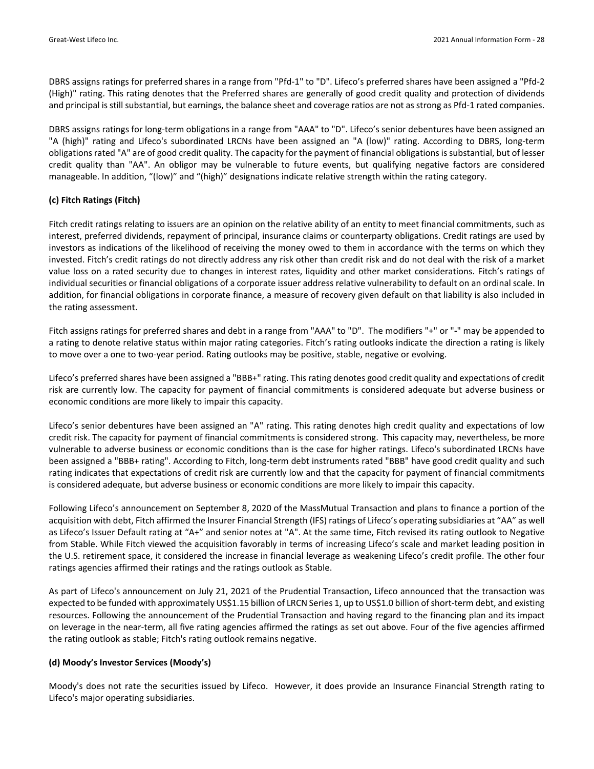DBRS assigns ratings for preferred shares in a range from "Pfd‐1" to "D". Lifeco's preferred shares have been assigned a "Pfd‐2 (High)" rating. This rating denotes that the Preferred shares are generally of good credit quality and protection of dividends and principal is still substantial, but earnings, the balance sheet and coverage ratios are not as strong as Pfd-1 rated companies.

DBRS assigns ratings for long‐term obligations in a range from "AAA" to "D". Lifeco's senior debentures have been assigned an "A (high)" rating and Lifeco's subordinated LRCNs have been assigned an "A (low)" rating. According to DBRS, long‐term obligations rated "A" are of good credit quality. The capacity for the payment of financial obligations is substantial, but of lesser credit quality than "AA". An obligor may be vulnerable to future events, but qualifying negative factors are considered manageable. In addition, "(low)" and "(high)" designations indicate relative strength within the rating category.

## **(c) Fitch Ratings (Fitch)**

Fitch credit ratings relating to issuers are an opinion on the relative ability of an entity to meet financial commitments, such as interest, preferred dividends, repayment of principal, insurance claims or counterparty obligations. Credit ratings are used by investors as indications of the likelihood of receiving the money owed to them in accordance with the terms on which they invested. Fitch's credit ratings do not directly address any risk other than credit risk and do not deal with the risk of a market value loss on a rated security due to changes in interest rates, liquidity and other market considerations. Fitch's ratings of individual securities or financial obligations of a corporate issuer address relative vulnerability to default on an ordinal scale. In addition, for financial obligations in corporate finance, a measure of recovery given default on that liability is also included in the rating assessment.

Fitch assigns ratings for preferred shares and debt in a range from "AAA" to "D". The modifiers "+" or "**‐**" may be appended to a rating to denote relative status within major rating categories. Fitch's rating outlooks indicate the direction a rating is likely to move over a one to two‐year period. Rating outlooks may be positive, stable, negative or evolving.

Lifeco's preferred shares have been assigned a "BBB+" rating. This rating denotes good credit quality and expectations of credit risk are currently low. The capacity for payment of financial commitments is considered adequate but adverse business or economic conditions are more likely to impair this capacity.

Lifeco's senior debentures have been assigned an "A" rating. This rating denotes high credit quality and expectations of low credit risk. The capacity for payment of financial commitments is considered strong. This capacity may, nevertheless, be more vulnerable to adverse business or economic conditions than is the case for higher ratings. Lifeco's subordinated LRCNs have been assigned a "BBB+ rating". According to Fitch, long‐term debt instruments rated "BBB" have good credit quality and such rating indicates that expectations of credit risk are currently low and that the capacity for payment of financial commitments is considered adequate, but adverse business or economic conditions are more likely to impair this capacity.

Following Lifeco's announcement on September 8, 2020 of the MassMutual Transaction and plans to finance a portion of the acquisition with debt, Fitch affirmed the Insurer Financial Strength (IFS) ratings of Lifeco's operating subsidiaries at "AA" as well as Lifeco's Issuer Default rating at "A+" and senior notes at "A". At the same time, Fitch revised its rating outlook to Negative from Stable. While Fitch viewed the acquisition favorably in terms of increasing Lifeco's scale and market leading position in the U.S. retirement space, it considered the increase in financial leverage as weakening Lifeco's credit profile. The other four ratings agencies affirmed their ratings and the ratings outlook as Stable.

As part of Lifeco's announcement on July 21, 2021 of the Prudential Transaction, Lifeco announced that the transaction was expected to be funded with approximately US\$1.15 billion of LRCN Series 1, up to US\$1.0 billion of short-term debt, and existing resources. Following the announcement of the Prudential Transaction and having regard to the financing plan and its impact on leverage in the near‐term, all five rating agencies affirmed the ratings as set out above. Four of the five agencies affirmed the rating outlook as stable; Fitch's rating outlook remains negative.

## **(d) Moody's Investor Services (Moody's)**

Moody's does not rate the securities issued by Lifeco. However, it does provide an Insurance Financial Strength rating to Lifeco's major operating subsidiaries.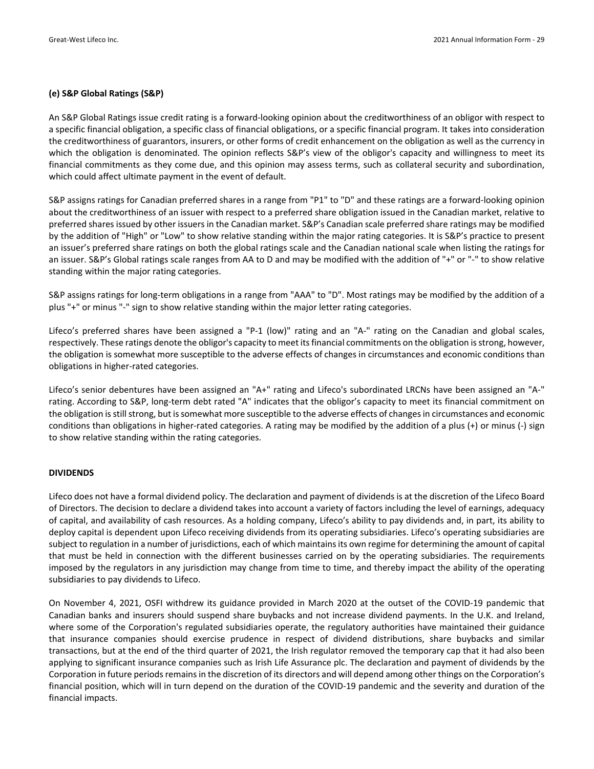#### **(e) S&P Global Ratings (S&P)**

An S&P Global Ratings issue credit rating is a forward‐looking opinion about the creditworthiness of an obligor with respect to a specific financial obligation, a specific class of financial obligations, or a specific financial program. It takes into consideration the creditworthiness of guarantors, insurers, or other forms of credit enhancement on the obligation as well as the currency in which the obligation is denominated. The opinion reflects S&P's view of the obligor's capacity and willingness to meet its financial commitments as they come due, and this opinion may assess terms, such as collateral security and subordination, which could affect ultimate payment in the event of default.

S&P assigns ratings for Canadian preferred shares in a range from "P1" to "D" and these ratings are a forward‐looking opinion about the creditworthiness of an issuer with respect to a preferred share obligation issued in the Canadian market, relative to preferred shares issued by other issuers in the Canadian market. S&P's Canadian scale preferred share ratings may be modified by the addition of "High" or "Low" to show relative standing within the major rating categories. It is S&P's practice to present an issuer's preferred share ratings on both the global ratings scale and the Canadian national scale when listing the ratings for an issuer. S&P's Global ratings scale ranges from AA to D and may be modified with the addition of "+" or "-" to show relative standing within the major rating categories.

S&P assigns ratings for long‐term obligations in a range from "AAA" to "D". Most ratings may be modified by the addition of a plus "+" or minus "‐" sign to show relative standing within the major letter rating categories.

Lifeco's preferred shares have been assigned a "P-1 (low)" rating and an "A-" rating on the Canadian and global scales, respectively. These ratings denote the obligor's capacity to meet itsfinancial commitments on the obligation isstrong, however, the obligation is somewhat more susceptible to the adverse effects of changes in circumstances and economic conditions than obligations in higher‐rated categories.

Lifeco's senior debentures have been assigned an "A+" rating and Lifeco's subordinated LRCNs have been assigned an "A‐" rating. According to S&P, long‐term debt rated "A" indicates that the obligor's capacity to meet its financial commitment on the obligation is still strong, but is somewhat more susceptible to the adverse effects of changes in circumstances and economic conditions than obligations in higher‐rated categories. A rating may be modified by the addition of a plus (+) or minus (‐) sign to show relative standing within the rating categories.

#### **DIVIDENDS**

Lifeco does not have a formal dividend policy. The declaration and payment of dividends is at the discretion of the Lifeco Board of Directors. The decision to declare a dividend takes into account a variety of factors including the level of earnings, adequacy of capital, and availability of cash resources. As a holding company, Lifeco's ability to pay dividends and, in part, its ability to deploy capital is dependent upon Lifeco receiving dividends from its operating subsidiaries. Lifeco's operating subsidiaries are subject to regulation in a number of jurisdictions, each of which maintainsits own regime for determining the amount of capital that must be held in connection with the different businesses carried on by the operating subsidiaries. The requirements imposed by the regulators in any jurisdiction may change from time to time, and thereby impact the ability of the operating subsidiaries to pay dividends to Lifeco.

On November 4, 2021, OSFI withdrew its guidance provided in March 2020 at the outset of the COVID‐19 pandemic that Canadian banks and insurers should suspend share buybacks and not increase dividend payments. In the U.K. and Ireland, where some of the Corporation's regulated subsidiaries operate, the regulatory authorities have maintained their guidance that insurance companies should exercise prudence in respect of dividend distributions, share buybacks and similar transactions, but at the end of the third quarter of 2021, the Irish regulator removed the temporary cap that it had also been applying to significant insurance companies such as Irish Life Assurance plc. The declaration and payment of dividends by the Corporation in future periods remains in the discretion of its directors and will depend among other things on the Corporation's financial position, which will in turn depend on the duration of the COVID‐19 pandemic and the severity and duration of the financial impacts.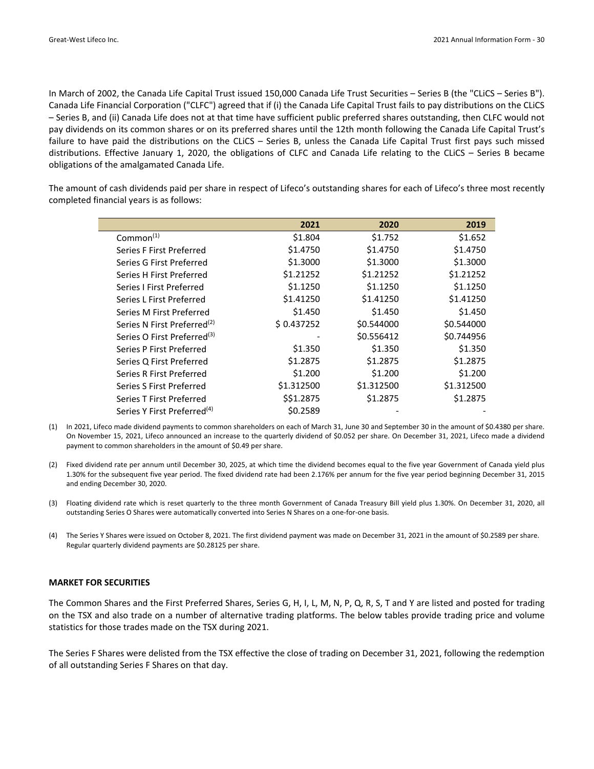In March of 2002, the Canada Life Capital Trust issued 150,000 Canada Life Trust Securities – Series B (the "CLiCS – Series B"). Canada Life Financial Corporation ("CLFC") agreed that if (i) the Canada Life Capital Trust fails to pay distributions on the CLiCS – Series B, and (ii) Canada Life does not at that time have sufficient public preferred shares outstanding, then CLFC would not pay dividends on its common shares or on its preferred shares until the 12th month following the Canada Life Capital Trust's failure to have paid the distributions on the CLiCS – Series B, unless the Canada Life Capital Trust first pays such missed distributions. Effective January 1, 2020, the obligations of CLFC and Canada Life relating to the CLiCS – Series B became obligations of the amalgamated Canada Life.

The amount of cash dividends paid per share in respect of Lifeco's outstanding shares for each of Lifeco's three most recently completed financial years is as follows:

|                                         | 2021       | 2020       | 2019       |
|-----------------------------------------|------------|------------|------------|
| Common <sup>(1)</sup>                   | \$1.804    | \$1.752    | \$1.652    |
| Series F First Preferred                | \$1.4750   | \$1.4750   | \$1.4750   |
| Series G First Preferred                | \$1.3000   | \$1.3000   | \$1.3000   |
| Series H First Preferred                | \$1.21252  | \$1.21252  | \$1.21252  |
| Series I First Preferred                | \$1.1250   | \$1.1250   | \$1.1250   |
| Series L First Preferred                | \$1.41250  | \$1.41250  | \$1.41250  |
| Series M First Preferred                | \$1.450    | \$1.450    | \$1.450    |
| Series N First Preferred <sup>(2)</sup> | \$0.437252 | \$0.544000 | \$0.544000 |
| Series O First Preferred <sup>(3)</sup> |            | \$0.556412 | \$0.744956 |
| Series P First Preferred                | \$1.350    | \$1.350    | \$1.350    |
| Series Q First Preferred                | \$1.2875   | \$1.2875   | \$1.2875   |
| Series R First Preferred                | \$1.200    | \$1.200    | \$1.200    |
| Series S First Preferred                | \$1.312500 | \$1.312500 | \$1.312500 |
| Series T First Preferred                | \$\$1.2875 | \$1.2875   | \$1.2875   |
| Series Y First Preferred <sup>(4)</sup> | \$0.2589   |            |            |

- (1) In 2021, Lifeco made dividend payments to common shareholders on each of March 31, June 30 and September 30 in the amount of \$0.4380 per share. On November 15, 2021, Lifeco announced an increase to the quarterly dividend of \$0.052 per share. On December 31, 2021, Lifeco made a dividend payment to common shareholders in the amount of \$0.49 per share.
- (2) Fixed dividend rate per annum until December 30, 2025, at which time the dividend becomes equal to the five year Government of Canada yield plus 1.30% for the subsequent five year period. The fixed dividend rate had been 2.176% per annum for the five year period beginning December 31, 2015 and ending December 30, 2020.
- (3) Floating dividend rate which is reset quarterly to the three month Government of Canada Treasury Bill yield plus 1.30%. On December 31, 2020, all outstanding Series O Shares were automatically converted into Series N Shares on a one‐for‐one basis.
- (4) The Series Y Shares were issued on October 8, 2021. The first dividend payment was made on December 31, 2021 in the amount of \$0.2589 per share. Regular quarterly dividend payments are \$0.28125 per share.

#### **MARKET FOR SECURITIES**

The Common Shares and the First Preferred Shares, Series G, H, I, L, M, N, P, Q, R, S, T and Y are listed and posted for trading on the TSX and also trade on a number of alternative trading platforms. The below tables provide trading price and volume statistics for those trades made on the TSX during 2021.

The Series F Shares were delisted from the TSX effective the close of trading on December 31, 2021, following the redemption of all outstanding Series F Shares on that day.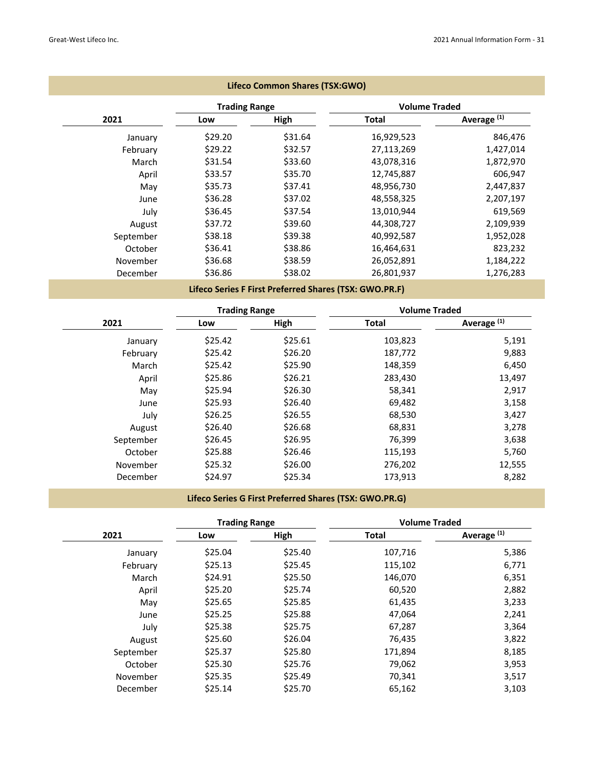|           |                      | Lifeco Common Shares (TSX:GWO)                         |                      |                        |
|-----------|----------------------|--------------------------------------------------------|----------------------|------------------------|
|           | <b>Trading Range</b> |                                                        | <b>Volume Traded</b> |                        |
| 2021      | Low                  | High                                                   | Total                | Average <sup>(1)</sup> |
| January   | \$29.20              | \$31.64                                                | 16,929,523           | 846,476                |
| February  | \$29.22              | \$32.57                                                | 27,113,269           | 1,427,014              |
| March     | \$31.54              | \$33.60                                                | 43,078,316           | 1,872,970              |
| April     | \$33.57              | \$35.70                                                | 12,745,887           | 606,947                |
| May       | \$35.73              | \$37.41                                                | 48,956,730           | 2,447,837              |
| June      | \$36.28              | \$37.02                                                | 48,558,325           | 2,207,197              |
| July      | \$36.45              | \$37.54                                                | 13,010,944           | 619,569                |
| August    | \$37.72              | \$39.60                                                | 44,308,727           | 2,109,939              |
| September | \$38.18              | \$39.38                                                | 40,992,587           | 1,952,028              |
| October   | \$36.41              | \$38.86                                                | 16,464,631           | 823,232                |
| November  | \$36.68              | \$38.59                                                | 26,052,891           | 1,184,222              |
| December  | \$36.86              | \$38.02                                                | 26,801,937           | 1,276,283              |
|           |                      | Lifeco Series F First Preferred Shares (TSX: GWO.PR.F) |                      |                        |
|           | <b>Trading Range</b> |                                                        | <b>Volume Traded</b> |                        |
| 2021      | Low                  | High                                                   | <b>Total</b>         | Average <sup>(1)</sup> |
| January   | \$25.42              | \$25.61                                                | 103,823              | 5,191                  |

| January   | \$25.42 | \$25.61 | 103,823 | 5,191  |
|-----------|---------|---------|---------|--------|
| February  | \$25.42 | \$26.20 | 187,772 | 9,883  |
| March     | \$25.42 | \$25.90 | 148,359 | 6,450  |
| April     | \$25.86 | \$26.21 | 283,430 | 13,497 |
| May       | \$25.94 | \$26.30 | 58,341  | 2,917  |
| June      | \$25.93 | \$26.40 | 69,482  | 3,158  |
| July      | \$26.25 | \$26.55 | 68,530  | 3,427  |
| August    | \$26.40 | \$26.68 | 68,831  | 3,278  |
| September | \$26.45 | \$26.95 | 76,399  | 3,638  |
| October   | \$25.88 | \$26.46 | 115,193 | 5,760  |
| November  | \$25.32 | \$26.00 | 276,202 | 12,555 |
| December  | \$24.97 | \$25.34 | 173,913 | 8,282  |

## **Lifeco Series G First Preferred Shares (TSX: GWO.PR.G)**

and the control of the control of the control of the control of the control of the control of the control of the

|           | <b>Trading Range</b> |         | <b>Volume Traded</b> |                        |  |
|-----------|----------------------|---------|----------------------|------------------------|--|
| 2021      | Low                  | High    | <b>Total</b>         | Average <sup>(1)</sup> |  |
| January   | \$25.04              | \$25.40 | 107,716              | 5,386                  |  |
| February  | \$25.13              | \$25.45 | 115,102              | 6,771                  |  |
| March     | \$24.91              | \$25.50 | 146,070              | 6,351                  |  |
| April     | \$25.20              | \$25.74 | 60,520               | 2,882                  |  |
| May       | \$25.65              | \$25.85 | 61,435               | 3,233                  |  |
| June      | \$25.25              | \$25.88 | 47,064               | 2,241                  |  |
| July      | \$25.38              | \$25.75 | 67,287               | 3,364                  |  |
| August    | \$25.60              | \$26.04 | 76,435               | 3,822                  |  |
| September | \$25.37              | \$25.80 | 171,894              | 8,185                  |  |
| October   | \$25.30              | \$25.76 | 79,062               | 3,953                  |  |
| November  | \$25.35              | \$25.49 | 70,341               | 3,517                  |  |
| December  | \$25.14              | \$25.70 | 65,162               | 3,103                  |  |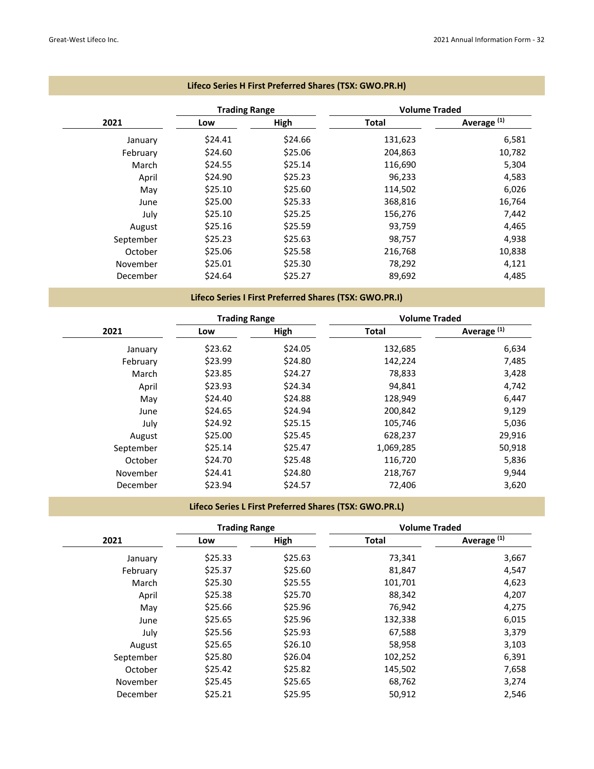|           | <b>Trading Range</b> |         | <b>Volume Traded</b> |                        |
|-----------|----------------------|---------|----------------------|------------------------|
| 2021      | Low                  | High    | Total                | Average <sup>(1)</sup> |
| January   | \$24.41              | \$24.66 | 131,623              | 6,581                  |
| February  | \$24.60              | \$25.06 | 204,863              | 10,782                 |
| March     | \$24.55              | \$25.14 | 116,690              | 5,304                  |
| April     | \$24.90              | \$25.23 | 96,233               | 4,583                  |
| May       | \$25.10              | \$25.60 | 114,502              | 6,026                  |
| June      | \$25.00              | \$25.33 | 368,816              | 16,764                 |
| July      | \$25.10              | \$25.25 | 156,276              | 7,442                  |
| August    | \$25.16              | \$25.59 | 93,759               | 4,465                  |
| September | \$25.23              | \$25.63 | 98,757               | 4,938                  |
| October   | \$25.06              | \$25.58 | 216,768              | 10,838                 |
| November  | \$25.01              | \$25.30 | 78,292               | 4,121                  |
| December  | \$24.64              | \$25.27 | 89,692               | 4,485                  |

## **Lifeco Series H First Preferred Shares (TSX: GWO.PR.H)**

## **Lifeco Series I First Preferred Shares (TSX: GWO.PR.I)**

|           | <b>Trading Range</b> |         | <b>Volume Traded</b> |                        |
|-----------|----------------------|---------|----------------------|------------------------|
| 2021      | Low                  | High    | <b>Total</b>         | Average <sup>(1)</sup> |
| January   | \$23.62              | \$24.05 | 132,685              | 6,634                  |
| February  | \$23.99              | \$24.80 | 142,224              | 7,485                  |
| March     | \$23.85              | \$24.27 | 78,833               | 3,428                  |
| April     | \$23.93              | \$24.34 | 94,841               | 4,742                  |
| May       | \$24.40              | \$24.88 | 128,949              | 6,447                  |
| June      | \$24.65              | \$24.94 | 200,842              | 9,129                  |
| July      | \$24.92              | \$25.15 | 105,746              | 5,036                  |
| August    | \$25.00              | \$25.45 | 628,237              | 29,916                 |
| September | \$25.14              | \$25.47 | 1,069,285            | 50,918                 |
| October   | \$24.70              | \$25.48 | 116,720              | 5,836                  |
| November  | \$24.41              | \$24.80 | 218,767              | 9,944                  |
| December  | \$23.94              | \$24.57 | 72,406               | 3,620                  |

## **Lifeco Series L First Preferred Shares (TSX: GWO.PR.L)**

|           | <b>Trading Range</b> |         | <b>Volume Traded</b> |                        |
|-----------|----------------------|---------|----------------------|------------------------|
| 2021      | Low                  | High    | <b>Total</b>         | Average <sup>(1)</sup> |
| January   | \$25.33              | \$25.63 | 73,341               | 3,667                  |
| February  | \$25.37              | \$25.60 | 81,847               | 4,547                  |
| March     | \$25.30              | \$25.55 | 101,701              | 4,623                  |
| April     | \$25.38              | \$25.70 | 88,342               | 4,207                  |
| May       | \$25.66              | \$25.96 | 76,942               | 4,275                  |
| June      | \$25.65              | \$25.96 | 132,338              | 6,015                  |
| July      | \$25.56              | \$25.93 | 67,588               | 3,379                  |
| August    | \$25.65              | \$26.10 | 58,958               | 3,103                  |
| September | \$25.80              | \$26.04 | 102,252              | 6,391                  |
| October   | \$25.42              | \$25.82 | 145,502              | 7,658                  |
| November  | \$25.45              | \$25.65 | 68,762               | 3,274                  |
| December  | \$25.21              | \$25.95 | 50,912               | 2,546                  |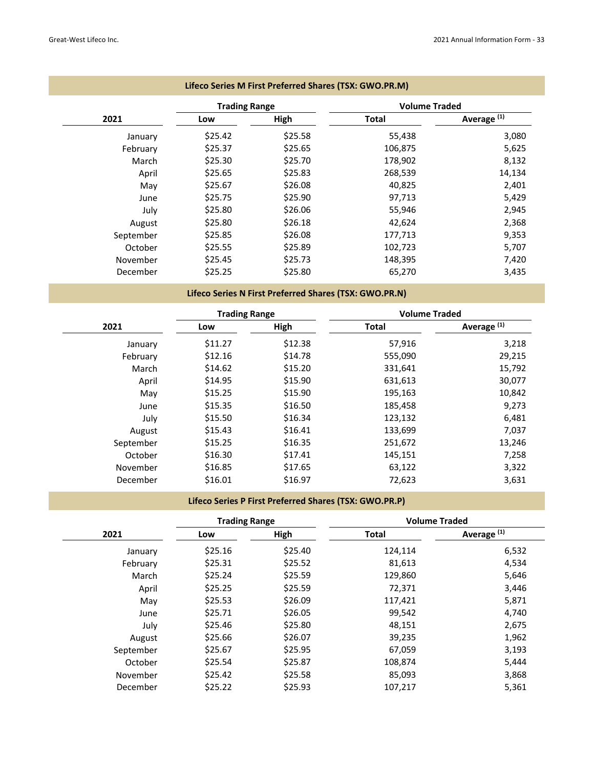|           | <b>Trading Range</b> |         | <b>Volume Traded</b> |                        |
|-----------|----------------------|---------|----------------------|------------------------|
| 2021      | Low                  | High    | Total                | Average <sup>(1)</sup> |
| January   | \$25.42              | \$25.58 | 55,438               | 3,080                  |
| February  | \$25.37              | \$25.65 | 106,875              | 5,625                  |
| March     | \$25.30              | \$25.70 | 178,902              | 8,132                  |
| April     | \$25.65              | \$25.83 | 268,539              | 14,134                 |
| May       | \$25.67              | \$26.08 | 40,825               | 2,401                  |
| June      | \$25.75              | \$25.90 | 97,713               | 5,429                  |
| July      | \$25.80              | \$26.06 | 55,946               | 2,945                  |
| August    | \$25.80              | \$26.18 | 42,624               | 2,368                  |
| September | \$25.85              | \$26.08 | 177,713              | 9,353                  |
| October   | \$25.55              | \$25.89 | 102,723              | 5,707                  |
| November  | \$25.45              | \$25.73 | 148,395              | 7,420                  |
| December  | \$25.25              | \$25.80 | 65,270               | 3,435                  |

## **Lifeco Series N First Preferred Shares (TSX: GWO.PR.N)**

|           | <b>Trading Range</b> |         | <b>Volume Traded</b> |                        |
|-----------|----------------------|---------|----------------------|------------------------|
| 2021      | Low                  | High    | <b>Total</b>         | Average <sup>(1)</sup> |
| January   | \$11.27              | \$12.38 | 57,916               | 3,218                  |
| February  | \$12.16              | \$14.78 | 555,090              | 29,215                 |
| March     | \$14.62              | \$15.20 | 331,641              | 15,792                 |
| April     | \$14.95              | \$15.90 | 631,613              | 30,077                 |
| May       | \$15.25              | \$15.90 | 195,163              | 10,842                 |
| June      | \$15.35              | \$16.50 | 185,458              | 9,273                  |
| July      | \$15.50              | \$16.34 | 123,132              | 6,481                  |
| August    | \$15.43              | \$16.41 | 133,699              | 7,037                  |
| September | \$15.25              | \$16.35 | 251,672              | 13,246                 |
| October   | \$16.30              | \$17.41 | 145,151              | 7,258                  |
| November  | \$16.85              | \$17.65 | 63,122               | 3,322                  |
| December  | \$16.01              | \$16.97 | 72,623               | 3,631                  |

## **Lifeco Series P First Preferred Shares (TSX: GWO.PR.P)**

|           | <b>Trading Range</b> |             | <b>Volume Traded</b> |                        |
|-----------|----------------------|-------------|----------------------|------------------------|
| 2021      | Low                  | <b>High</b> | <b>Total</b>         | Average <sup>(1)</sup> |
| January   | \$25.16              | \$25.40     | 124,114              | 6,532                  |
| February  | \$25.31              | \$25.52     | 81,613               | 4,534                  |
| March     | \$25.24              | \$25.59     | 129,860              | 5,646                  |
| April     | \$25.25              | \$25.59     | 72,371               | 3,446                  |
| May       | \$25.53              | \$26.09     | 117,421              | 5,871                  |
| June      | \$25.71              | \$26.05     | 99,542               | 4,740                  |
| July      | \$25.46              | \$25.80     | 48,151               | 2,675                  |
| August    | \$25.66              | \$26.07     | 39,235               | 1,962                  |
| September | \$25.67              | \$25.95     | 67,059               | 3,193                  |
| October   | \$25.54              | \$25.87     | 108,874              | 5,444                  |
| November  | \$25.42              | \$25.58     | 85,093               | 3,868                  |
| December  | \$25.22              | \$25.93     | 107,217              | 5,361                  |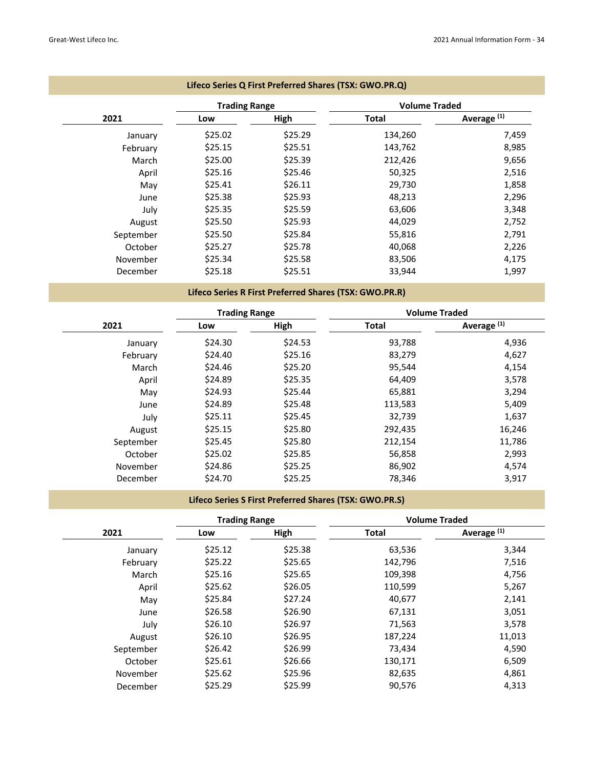|           | <b>Trading Range</b> |         | <b>Volume Traded</b> |                        |
|-----------|----------------------|---------|----------------------|------------------------|
| 2021      | Low                  | High    | Total                | Average <sup>(1)</sup> |
| January   | \$25.02              | \$25.29 | 134,260              | 7,459                  |
| February  | \$25.15              | \$25.51 | 143,762              | 8,985                  |
| March     | \$25.00              | \$25.39 | 212,426              | 9,656                  |
| April     | \$25.16              | \$25.46 | 50,325               | 2,516                  |
| May       | \$25.41              | \$26.11 | 29,730               | 1,858                  |
| June      | \$25.38              | \$25.93 | 48,213               | 2,296                  |
| July      | \$25.35              | \$25.59 | 63,606               | 3,348                  |
| August    | \$25.50              | \$25.93 | 44,029               | 2,752                  |
| September | \$25.50              | \$25.84 | 55,816               | 2,791                  |
| October   | \$25.27              | \$25.78 | 40,068               | 2,226                  |
| November  | \$25.34              | \$25.58 | 83,506               | 4,175                  |
| December  | \$25.18              | \$25.51 | 33,944               | 1,997                  |

## **Lifeco Series R First Preferred Shares (TSX: GWO.PR.R)**

|           | <b>Trading Range</b> |         | <b>Volume Traded</b> |                        |
|-----------|----------------------|---------|----------------------|------------------------|
| 2021      | Low                  | High    | <b>Total</b>         | Average <sup>(1)</sup> |
| January   | \$24.30              | \$24.53 | 93,788               | 4,936                  |
| February  | \$24.40              | \$25.16 | 83,279               | 4,627                  |
| March     | \$24.46              | \$25.20 | 95,544               | 4,154                  |
| April     | \$24.89              | \$25.35 | 64,409               | 3,578                  |
| May       | \$24.93              | \$25.44 | 65,881               | 3,294                  |
| June      | \$24.89              | \$25.48 | 113,583              | 5,409                  |
| July      | \$25.11              | \$25.45 | 32,739               | 1,637                  |
| August    | \$25.15              | \$25.80 | 292,435              | 16,246                 |
| September | \$25.45              | \$25.80 | 212,154              | 11,786                 |
| October   | \$25.02              | \$25.85 | 56,858               | 2,993                  |
| November  | \$24.86              | \$25.25 | 86,902               | 4,574                  |
| December  | \$24.70              | \$25.25 | 78,346               | 3,917                  |

## **Lifeco Series S First Preferred Shares (TSX: GWO.PR.S)**

|           | <b>Trading Range</b> |         | <b>Volume Traded</b> |                        |
|-----------|----------------------|---------|----------------------|------------------------|
| 2021      | Low                  | High    | <b>Total</b>         | Average <sup>(1)</sup> |
| January   | \$25.12              | \$25.38 | 63,536               | 3,344                  |
| February  | \$25.22              | \$25.65 | 142,796              | 7,516                  |
| March     | \$25.16              | \$25.65 | 109,398              | 4,756                  |
| April     | \$25.62              | \$26.05 | 110,599              | 5,267                  |
| May       | \$25.84              | \$27.24 | 40,677               | 2,141                  |
| June      | \$26.58              | \$26.90 | 67,131               | 3,051                  |
| July      | \$26.10              | \$26.97 | 71,563               | 3,578                  |
| August    | \$26.10              | \$26.95 | 187,224              | 11,013                 |
| September | \$26.42              | \$26.99 | 73,434               | 4,590                  |
| October   | \$25.61              | \$26.66 | 130,171              | 6,509                  |
| November  | \$25.62              | \$25.96 | 82,635               | 4,861                  |
| December  | \$25.29              | \$25.99 | 90,576               | 4,313                  |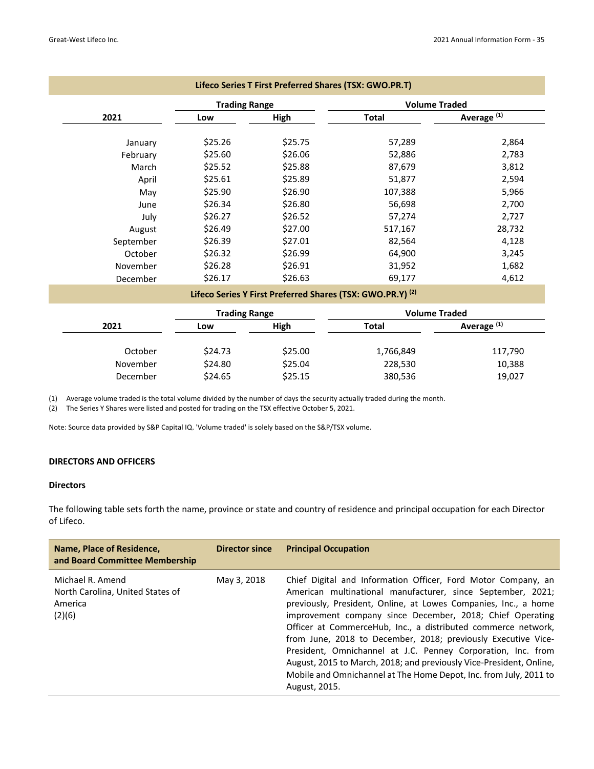|           |                      | Lifeco Series T First Preferred Shares (TSX: GWO.PR.T)                |         |                        |
|-----------|----------------------|-----------------------------------------------------------------------|---------|------------------------|
|           | <b>Trading Range</b> |                                                                       |         | <b>Volume Traded</b>   |
| 2021      | Low                  | High                                                                  | Total   | Average <sup>(1)</sup> |
| January   | \$25.26              | \$25.75                                                               | 57,289  | 2,864                  |
| February  | \$25.60              | \$26.06                                                               | 52,886  | 2,783                  |
| March     | \$25.52              | \$25.88                                                               | 87,679  | 3,812                  |
| April     | \$25.61              | \$25.89                                                               | 51,877  | 2,594                  |
| May       | \$25.90              | \$26.90                                                               | 107,388 | 5,966                  |
| June      | \$26.34              | \$26.80                                                               | 56,698  | 2,700                  |
| July      | \$26.27              | \$26.52                                                               | 57,274  | 2,727                  |
| August    | \$26.49              | \$27.00                                                               | 517,167 | 28,732                 |
| September | \$26.39              | \$27.01                                                               | 82,564  | 4,128                  |
| October   | \$26.32              | \$26.99                                                               | 64,900  | 3,245                  |
| November  | \$26.28              | \$26.91                                                               | 31,952  | 1,682                  |
| December  | \$26.17              | \$26.63                                                               | 69,177  | 4,612                  |
|           |                      | Lifeco Series Y First Preferred Shares (TSX: GWO.PR.Y) <sup>(2)</sup> |         |                        |

|          | <b>Trading Range</b> |         | <b>Volume Traded</b> |                        |
|----------|----------------------|---------|----------------------|------------------------|
| 2021     | Low                  | High    | <b>Total</b>         | Average <sup>(1)</sup> |
| October  | \$24.73              | \$25.00 | 1,766,849            | 117,790                |
| November | \$24.80              | \$25.04 | 228,530              | 10,388                 |
| December | \$24.65              | \$25.15 | 380,536              | 19,027                 |

(1) Average volume traded is the total volume divided by the number of days the security actually traded during the month.

(2) The Series Y Shares were listed and posted for trading on the TSX effective October 5, 2021.

Note: Source data provided by S&P Capital IQ. 'Volume traded' is solely based on the S&P/TSX volume.

#### **DIRECTORS AND OFFICERS**

## **Directors**

The following table sets forth the name, province or state and country of residence and principal occupation for each Director of Lifeco.

| Name, Place of Residence,<br>and Board Committee Membership               | <b>Director since</b> | <b>Principal Occupation</b>                                                                                                                                                                                                                                                                                                                                                                                                                                                                                                                                                                                                 |
|---------------------------------------------------------------------------|-----------------------|-----------------------------------------------------------------------------------------------------------------------------------------------------------------------------------------------------------------------------------------------------------------------------------------------------------------------------------------------------------------------------------------------------------------------------------------------------------------------------------------------------------------------------------------------------------------------------------------------------------------------------|
| Michael R. Amend<br>North Carolina, United States of<br>America<br>(2)(6) | May 3, 2018           | Chief Digital and Information Officer, Ford Motor Company, an<br>American multinational manufacturer, since September, 2021;<br>previously, President, Online, at Lowes Companies, Inc., a home<br>improvement company since December, 2018; Chief Operating<br>Officer at CommerceHub, Inc., a distributed commerce network,<br>from June, 2018 to December, 2018; previously Executive Vice-<br>President, Omnichannel at J.C. Penney Corporation, Inc. from<br>August, 2015 to March, 2018; and previously Vice-President, Online,<br>Mobile and Omnichannel at The Home Depot, Inc. from July, 2011 to<br>August, 2015. |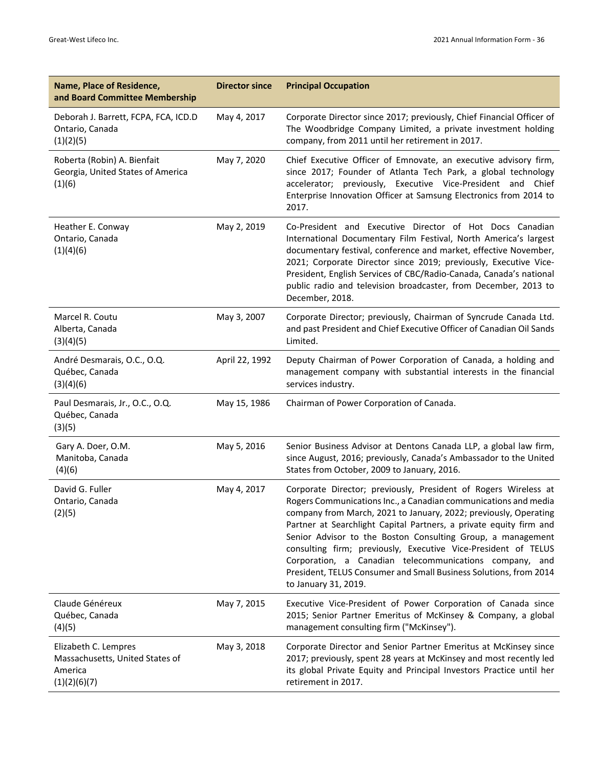| Name, Place of Residence,<br>and Board Committee Membership                        | <b>Director since</b> | <b>Principal Occupation</b>                                                                                                                                                                                                                                                                                                                                                                                                                                                                                                                                           |
|------------------------------------------------------------------------------------|-----------------------|-----------------------------------------------------------------------------------------------------------------------------------------------------------------------------------------------------------------------------------------------------------------------------------------------------------------------------------------------------------------------------------------------------------------------------------------------------------------------------------------------------------------------------------------------------------------------|
| Deborah J. Barrett, FCPA, FCA, ICD.D<br>Ontario, Canada<br>(1)(2)(5)               | May 4, 2017           | Corporate Director since 2017; previously, Chief Financial Officer of<br>The Woodbridge Company Limited, a private investment holding<br>company, from 2011 until her retirement in 2017.                                                                                                                                                                                                                                                                                                                                                                             |
| Roberta (Robin) A. Bienfait<br>Georgia, United States of America<br>(1)(6)         | May 7, 2020           | Chief Executive Officer of Emnovate, an executive advisory firm,<br>since 2017; Founder of Atlanta Tech Park, a global technology<br>accelerator; previously, Executive Vice-President and Chief<br>Enterprise Innovation Officer at Samsung Electronics from 2014 to<br>2017.                                                                                                                                                                                                                                                                                        |
| Heather E. Conway<br>Ontario, Canada<br>(1)(4)(6)                                  | May 2, 2019           | Co-President and Executive Director of Hot Docs Canadian<br>International Documentary Film Festival, North America's largest<br>documentary festival, conference and market, effective November,<br>2021; Corporate Director since 2019; previously, Executive Vice-<br>President, English Services of CBC/Radio-Canada, Canada's national<br>public radio and television broadcaster, from December, 2013 to<br>December, 2018.                                                                                                                                      |
| Marcel R. Coutu<br>Alberta, Canada<br>(3)(4)(5)                                    | May 3, 2007           | Corporate Director; previously, Chairman of Syncrude Canada Ltd.<br>and past President and Chief Executive Officer of Canadian Oil Sands<br>Limited.                                                                                                                                                                                                                                                                                                                                                                                                                  |
| André Desmarais, O.C., O.Q.<br>Québec, Canada<br>(3)(4)(6)                         | April 22, 1992        | Deputy Chairman of Power Corporation of Canada, a holding and<br>management company with substantial interests in the financial<br>services industry.                                                                                                                                                                                                                                                                                                                                                                                                                 |
| Paul Desmarais, Jr., O.C., O.Q.<br>Québec, Canada<br>(3)(5)                        | May 15, 1986          | Chairman of Power Corporation of Canada.                                                                                                                                                                                                                                                                                                                                                                                                                                                                                                                              |
| Gary A. Doer, O.M.<br>Manitoba, Canada<br>(4)(6)                                   | May 5, 2016           | Senior Business Advisor at Dentons Canada LLP, a global law firm,<br>since August, 2016; previously, Canada's Ambassador to the United<br>States from October, 2009 to January, 2016.                                                                                                                                                                                                                                                                                                                                                                                 |
| David G. Fuller<br>Ontario, Canada<br>(2)(5)                                       | May 4, 2017           | Corporate Director; previously, President of Rogers Wireless at<br>Rogers Communications Inc., a Canadian communications and media<br>company from March, 2021 to January, 2022; previously, Operating<br>Partner at Searchlight Capital Partners, a private equity firm and<br>Senior Advisor to the Boston Consulting Group, a management<br>consulting firm; previously, Executive Vice-President of TELUS<br>Corporation, a Canadian telecommunications company, and<br>President, TELUS Consumer and Small Business Solutions, from 2014<br>to January 31, 2019. |
| Claude Généreux<br>Québec, Canada<br>(4)(5)                                        | May 7, 2015           | Executive Vice-President of Power Corporation of Canada since<br>2015; Senior Partner Emeritus of McKinsey & Company, a global<br>management consulting firm ("McKinsey").                                                                                                                                                                                                                                                                                                                                                                                            |
| Elizabeth C. Lempres<br>Massachusetts, United States of<br>America<br>(1)(2)(6)(7) | May 3, 2018           | Corporate Director and Senior Partner Emeritus at McKinsey since<br>2017; previously, spent 28 years at McKinsey and most recently led<br>its global Private Equity and Principal Investors Practice until her<br>retirement in 2017.                                                                                                                                                                                                                                                                                                                                 |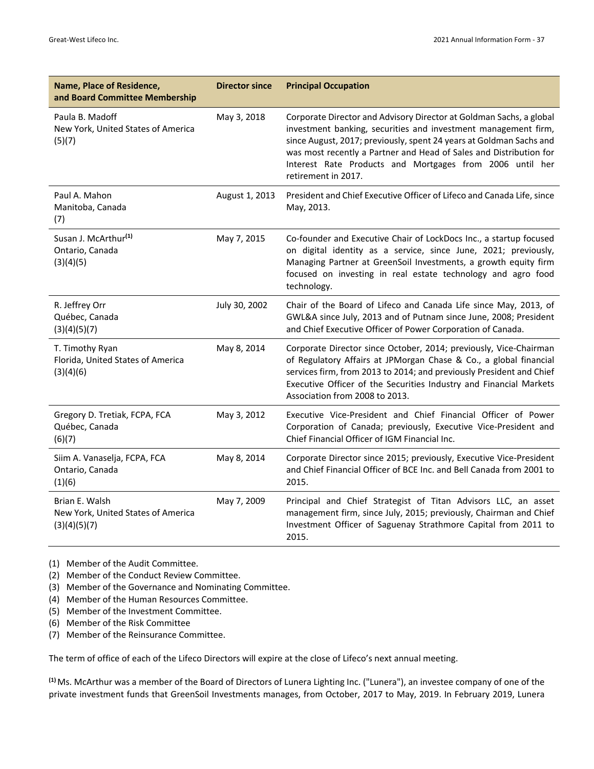| Name, Place of Residence,<br>and Board Committee Membership          | <b>Director since</b> | <b>Principal Occupation</b>                                                                                                                                                                                                                                                                                                                                           |
|----------------------------------------------------------------------|-----------------------|-----------------------------------------------------------------------------------------------------------------------------------------------------------------------------------------------------------------------------------------------------------------------------------------------------------------------------------------------------------------------|
| Paula B. Madoff<br>New York, United States of America<br>(5)(7)      | May 3, 2018           | Corporate Director and Advisory Director at Goldman Sachs, a global<br>investment banking, securities and investment management firm,<br>since August, 2017; previously, spent 24 years at Goldman Sachs and<br>was most recently a Partner and Head of Sales and Distribution for<br>Interest Rate Products and Mortgages from 2006 until her<br>retirement in 2017. |
| Paul A. Mahon<br>Manitoba, Canada<br>(7)                             | August 1, 2013        | President and Chief Executive Officer of Lifeco and Canada Life, since<br>May, 2013.                                                                                                                                                                                                                                                                                  |
| Susan J. McArthur <sup>(1)</sup><br>Ontario, Canada<br>(3)(4)(5)     | May 7, 2015           | Co-founder and Executive Chair of LockDocs Inc., a startup focused<br>on digital identity as a service, since June, 2021; previously,<br>Managing Partner at GreenSoil Investments, a growth equity firm<br>focused on investing in real estate technology and agro food<br>technology.                                                                               |
| R. Jeffrey Orr<br>Québec, Canada<br>(3)(4)(5)(7)                     | July 30, 2002         | Chair of the Board of Lifeco and Canada Life since May, 2013, of<br>GWL&A since July, 2013 and of Putnam since June, 2008; President<br>and Chief Executive Officer of Power Corporation of Canada.                                                                                                                                                                   |
| T. Timothy Ryan<br>Florida, United States of America<br>(3)(4)(6)    | May 8, 2014           | Corporate Director since October, 2014; previously, Vice-Chairman<br>of Regulatory Affairs at JPMorgan Chase & Co., a global financial<br>services firm, from 2013 to 2014; and previously President and Chief<br>Executive Officer of the Securities Industry and Financial Markets<br>Association from 2008 to 2013.                                                |
| Gregory D. Tretiak, FCPA, FCA<br>Québec, Canada<br>(6)(7)            | May 3, 2012           | Executive Vice-President and Chief Financial Officer of Power<br>Corporation of Canada; previously, Executive Vice-President and<br>Chief Financial Officer of IGM Financial Inc.                                                                                                                                                                                     |
| Siim A. Vanaselja, FCPA, FCA<br>Ontario, Canada<br>(1)(6)            | May 8, 2014           | Corporate Director since 2015; previously, Executive Vice-President<br>and Chief Financial Officer of BCE Inc. and Bell Canada from 2001 to<br>2015.                                                                                                                                                                                                                  |
| Brian E. Walsh<br>New York, United States of America<br>(3)(4)(5)(7) | May 7, 2009           | Principal and Chief Strategist of Titan Advisors LLC, an asset<br>management firm, since July, 2015; previously, Chairman and Chief<br>Investment Officer of Saguenay Strathmore Capital from 2011 to<br>2015.                                                                                                                                                        |

(1) Member of the Audit Committee.

(2) Member of the Conduct Review Committee.

(3) Member of the Governance and Nominating Committee.

(4) Member of the Human Resources Committee.

(5) Member of the Investment Committee.

(6) Member of the Risk Committee

(7) Member of the Reinsurance Committee.

The term of office of each of the Lifeco Directors will expire at the close of Lifeco's next annual meeting.

**(1)**Ms. McArthur was a member of the Board of Directors of Lunera Lighting Inc. ("Lunera"), an investee company of one of the private investment funds that GreenSoil Investments manages, from October, 2017 to May, 2019. In February 2019, Lunera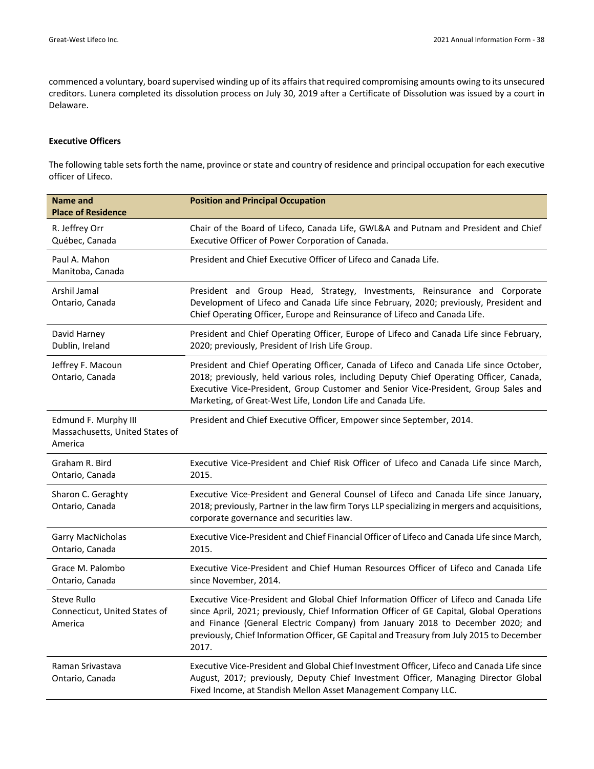commenced a voluntary, board supervised winding up of its affairsthat required compromising amounts owing to its unsecured creditors. Lunera completed its dissolution process on July 30, 2019 after a Certificate of Dissolution was issued by a court in Delaware.

#### **Executive Officers**

The following table sets forth the name, province or state and country of residence and principal occupation for each executive officer of Lifeco.

| <b>Name and</b><br><b>Place of Residence</b>                       | <b>Position and Principal Occupation</b>                                                                                                                                                                                                                                                                                                                                     |
|--------------------------------------------------------------------|------------------------------------------------------------------------------------------------------------------------------------------------------------------------------------------------------------------------------------------------------------------------------------------------------------------------------------------------------------------------------|
| R. Jeffrey Orr<br>Québec, Canada                                   | Chair of the Board of Lifeco, Canada Life, GWL&A and Putnam and President and Chief<br>Executive Officer of Power Corporation of Canada.                                                                                                                                                                                                                                     |
| Paul A. Mahon<br>Manitoba, Canada                                  | President and Chief Executive Officer of Lifeco and Canada Life.                                                                                                                                                                                                                                                                                                             |
| Arshil Jamal<br>Ontario, Canada                                    | President and Group Head, Strategy, Investments, Reinsurance and Corporate<br>Development of Lifeco and Canada Life since February, 2020; previously, President and<br>Chief Operating Officer, Europe and Reinsurance of Lifeco and Canada Life.                                                                                                                            |
| David Harney<br>Dublin, Ireland                                    | President and Chief Operating Officer, Europe of Lifeco and Canada Life since February,<br>2020; previously, President of Irish Life Group.                                                                                                                                                                                                                                  |
| Jeffrey F. Macoun<br>Ontario, Canada                               | President and Chief Operating Officer, Canada of Lifeco and Canada Life since October,<br>2018; previously, held various roles, including Deputy Chief Operating Officer, Canada,<br>Executive Vice-President, Group Customer and Senior Vice-President, Group Sales and<br>Marketing, of Great-West Life, London Life and Canada Life.                                      |
| Edmund F. Murphy III<br>Massachusetts, United States of<br>America | President and Chief Executive Officer, Empower since September, 2014.                                                                                                                                                                                                                                                                                                        |
| Graham R. Bird<br>Ontario, Canada                                  | Executive Vice-President and Chief Risk Officer of Lifeco and Canada Life since March,<br>2015.                                                                                                                                                                                                                                                                              |
| Sharon C. Geraghty<br>Ontario, Canada                              | Executive Vice-President and General Counsel of Lifeco and Canada Life since January,<br>2018; previously, Partner in the law firm Torys LLP specializing in mergers and acquisitions,<br>corporate governance and securities law.                                                                                                                                           |
| Garry MacNicholas<br>Ontario, Canada                               | Executive Vice-President and Chief Financial Officer of Lifeco and Canada Life since March,<br>2015.                                                                                                                                                                                                                                                                         |
| Grace M. Palombo<br>Ontario, Canada                                | Executive Vice-President and Chief Human Resources Officer of Lifeco and Canada Life<br>since November, 2014.                                                                                                                                                                                                                                                                |
| Steve Rullo<br>Connecticut, United States of<br>America            | Executive Vice-President and Global Chief Information Officer of Lifeco and Canada Life<br>since April, 2021; previously, Chief Information Officer of GE Capital, Global Operations<br>and Finance (General Electric Company) from January 2018 to December 2020; and<br>previously, Chief Information Officer, GE Capital and Treasury from July 2015 to December<br>2017. |
| Raman Srivastava<br>Ontario, Canada                                | Executive Vice-President and Global Chief Investment Officer, Lifeco and Canada Life since<br>August, 2017; previously, Deputy Chief Investment Officer, Managing Director Global<br>Fixed Income, at Standish Mellon Asset Management Company LLC.                                                                                                                          |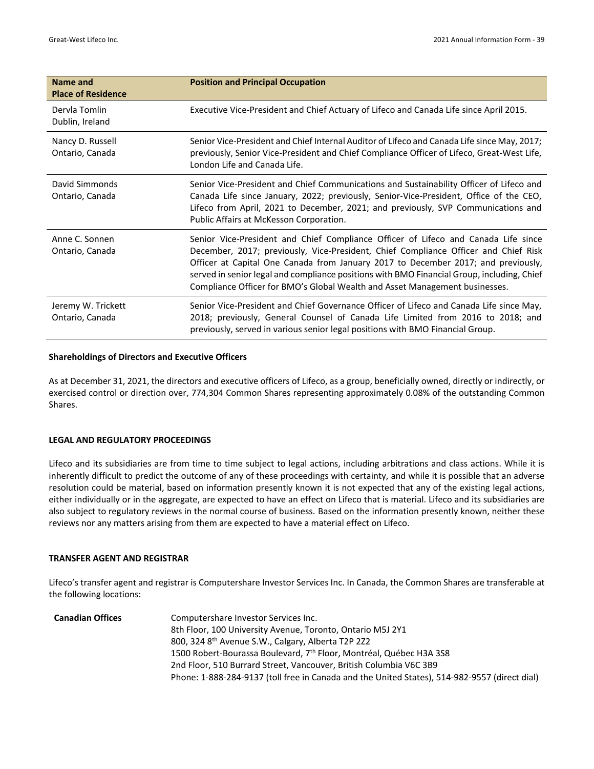| Name and<br><b>Place of Residence</b> | <b>Position and Principal Occupation</b>                                                                                                                                                                                                                                                                                                                                                                                                    |
|---------------------------------------|---------------------------------------------------------------------------------------------------------------------------------------------------------------------------------------------------------------------------------------------------------------------------------------------------------------------------------------------------------------------------------------------------------------------------------------------|
| Dervla Tomlin<br>Dublin, Ireland      | Executive Vice-President and Chief Actuary of Lifeco and Canada Life since April 2015.                                                                                                                                                                                                                                                                                                                                                      |
| Nancy D. Russell<br>Ontario, Canada   | Senior Vice-President and Chief Internal Auditor of Lifeco and Canada Life since May, 2017;<br>previously, Senior Vice-President and Chief Compliance Officer of Lifeco, Great-West Life,<br>London Life and Canada Life.                                                                                                                                                                                                                   |
| David Simmonds<br>Ontario, Canada     | Senior Vice-President and Chief Communications and Sustainability Officer of Lifeco and<br>Canada Life since January, 2022; previously, Senior-Vice-President, Office of the CEO,<br>Lifeco from April, 2021 to December, 2021; and previously, SVP Communications and<br>Public Affairs at McKesson Corporation.                                                                                                                           |
| Anne C. Sonnen<br>Ontario, Canada     | Senior Vice-President and Chief Compliance Officer of Lifeco and Canada Life since<br>December, 2017; previously, Vice-President, Chief Compliance Officer and Chief Risk<br>Officer at Capital One Canada from January 2017 to December 2017; and previously,<br>served in senior legal and compliance positions with BMO Financial Group, including, Chief<br>Compliance Officer for BMO's Global Wealth and Asset Management businesses. |
| Jeremy W. Trickett<br>Ontario, Canada | Senior Vice-President and Chief Governance Officer of Lifeco and Canada Life since May,<br>2018; previously, General Counsel of Canada Life Limited from 2016 to 2018; and<br>previously, served in various senior legal positions with BMO Financial Group.                                                                                                                                                                                |

## **Shareholdings of Directors and Executive Officers**

As at December 31, 2021, the directors and executive officers of Lifeco, as a group, beneficially owned, directly or indirectly, or exercised control or direction over, 774,304 Common Shares representing approximately 0.08% of the outstanding Common Shares.

#### **LEGAL AND REGULATORY PROCEEDINGS**

Lifeco and its subsidiaries are from time to time subject to legal actions, including arbitrations and class actions. While it is inherently difficult to predict the outcome of any of these proceedings with certainty, and while it is possible that an adverse resolution could be material, based on information presently known it is not expected that any of the existing legal actions, either individually or in the aggregate, are expected to have an effect on Lifeco that is material. Lifeco and its subsidiaries are also subject to regulatory reviews in the normal course of business. Based on the information presently known, neither these reviews nor any matters arising from them are expected to have a material effect on Lifeco.

#### **TRANSFER AGENT AND REGISTRAR**

Lifeco's transfer agent and registrar is Computershare Investor Services Inc. In Canada, the Common Shares are transferable at the following locations:

| <b>Canadian Offices</b> | Computershare Investor Services Inc.                                                          |
|-------------------------|-----------------------------------------------------------------------------------------------|
|                         | 8th Floor, 100 University Avenue, Toronto, Ontario M5J 2Y1                                    |
|                         | 800, 324 8th Avenue S.W., Calgary, Alberta T2P 2Z2                                            |
|                         | 1500 Robert-Bourassa Boulevard, 7th Floor, Montréal, Québec H3A 3S8                           |
|                         | 2nd Floor, 510 Burrard Street, Vancouver, British Columbia V6C 3B9                            |
|                         | Phone: 1-888-284-9137 (toll free in Canada and the United States), 514-982-9557 (direct dial) |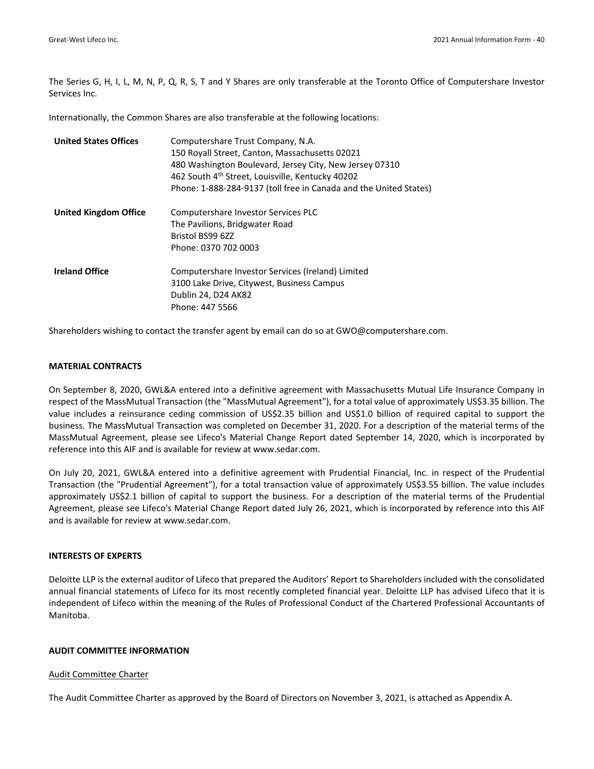The Series G, H, I, L, M, N, P, Q, R, S, T and Y Shares are only transferable at the Toronto Office of Computershare Investor Services Inc.

Internationally, the Common Shares are also transferable at the following locations:

| <b>United States Offices</b> | Computershare Trust Company, N.A.<br>150 Royall Street, Canton, Massachusetts 02021<br>480 Washington Boulevard, Jersey City, New Jersey 07310<br>462 South 4 <sup>th</sup> Street, Louisville, Kentucky 40202<br>Phone: 1-888-284-9137 (toll free in Canada and the United States) |
|------------------------------|-------------------------------------------------------------------------------------------------------------------------------------------------------------------------------------------------------------------------------------------------------------------------------------|
| <b>United Kingdom Office</b> | Computershare Investor Services PLC<br>The Pavilions, Bridgwater Road<br>Bristol BS99 6ZZ<br>Phone: 0370 702 0003                                                                                                                                                                   |
| <b>Ireland Office</b>        | Computershare Investor Services (Ireland) Limited<br>3100 Lake Drive, Citywest, Business Campus<br>Dublin 24, D24 AK82<br>Phone: 447 5566                                                                                                                                           |

Shareholders wishing to contact the transfer agent by email can do so at GWO@computershare.com.

#### **MATERIAL CONTRACTS**

On September 8, 2020, GWL&A entered into a definitive agreement with Massachusetts Mutual Life Insurance Company in respect of the MassMutual Transaction (the "MassMutual Agreement"), for a total value of approximately US\$3.35 billion. The value includes a reinsurance ceding commission of US\$2.35 billion and US\$1.0 billion of required capital to support the business. The MassMutual Transaction was completed on December 31, 2020. For a description of the material terms of the MassMutual Agreement, please see Lifeco's Material Change Report dated September 14, 2020, which is incorporated by reference into this AIF and is available for review at www.sedar.com.

On July 20, 2021, GWL&A entered into a definitive agreement with Prudential Financial, Inc. in respect of the Prudential Transaction (the "Prudential Agreement"), for a total transaction value of approximately US\$3.55 billion. The value includes approximately US\$2.1 billion of capital to support the business. For a description of the material terms of the Prudential Agreement, please see Lifeco's Material Change Report dated July 26, 2021, which is incorporated by reference into this AIF and is available for review at www.sedar.com.

#### **INTERESTS OF EXPERTS**

Deloitte LLP is the external auditor of Lifeco that prepared the Auditors' Report to Shareholders included with the consolidated annual financial statements of Lifeco for its most recently completed financial year. Deloitte LLP has advised Lifeco that it is independent of Lifeco within the meaning of the Rules of Professional Conduct of the Chartered Professional Accountants of Manitoba.

#### **AUDIT COMMITTEE INFORMATION**

#### Audit Committee Charter

The Audit Committee Charter as approved by the Board of Directors on November 3, 2021, is attached as Appendix A.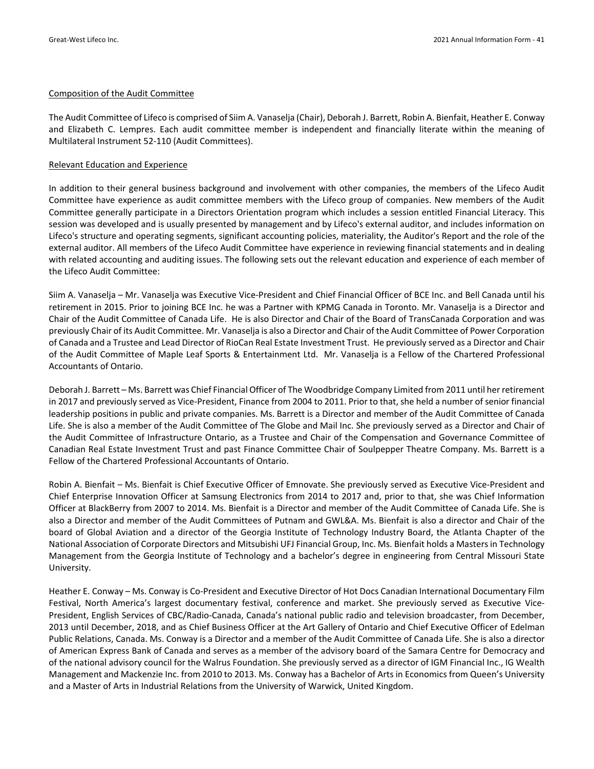#### Composition of the Audit Committee

The Audit Committee of Lifeco is comprised of Siim A. Vanaselja (Chair), Deborah J. Barrett, Robin A. Bienfait, Heather E. Conway and Elizabeth C. Lempres. Each audit committee member is independent and financially literate within the meaning of Multilateral Instrument 52‐110 (Audit Committees).

#### Relevant Education and Experience

In addition to their general business background and involvement with other companies, the members of the Lifeco Audit Committee have experience as audit committee members with the Lifeco group of companies. New members of the Audit Committee generally participate in a Directors Orientation program which includes a session entitled Financial Literacy. This session was developed and is usually presented by management and by Lifeco's external auditor, and includes information on Lifeco's structure and operating segments, significant accounting policies, materiality, the Auditor's Report and the role of the external auditor. All members of the Lifeco Audit Committee have experience in reviewing financial statements and in dealing with related accounting and auditing issues. The following sets out the relevant education and experience of each member of the Lifeco Audit Committee:

Siim A. Vanaselja – Mr. Vanaselja was Executive Vice‐President and Chief Financial Officer of BCE Inc. and Bell Canada until his retirement in 2015. Prior to joining BCE Inc. he was a Partner with KPMG Canada in Toronto. Mr. Vanaselja is a Director and Chair of the Audit Committee of Canada Life. He is also Director and Chair of the Board of TransCanada Corporation and was previously Chair of its Audit Committee. Mr. Vanaselja is also a Director and Chair of the Audit Committee of Power Corporation of Canada and a Trustee and Lead Director of RioCan Real Estate Investment Trust. He previously served as a Director and Chair of the Audit Committee of Maple Leaf Sports & Entertainment Ltd. Mr. Vanaselja is a Fellow of the Chartered Professional Accountants of Ontario.

Deborah J. Barrett – Ms. Barrett was Chief Financial Officer of The Woodbridge Company Limited from 2011 until herretirement in 2017 and previously served as Vice‐President, Finance from 2004 to 2011. Prior to that, she held a number of senior financial leadership positions in public and private companies. Ms. Barrett is a Director and member of the Audit Committee of Canada Life. She is also a member of the Audit Committee of The Globe and Mail Inc. She previously served as a Director and Chair of the Audit Committee of Infrastructure Ontario, as a Trustee and Chair of the Compensation and Governance Committee of Canadian Real Estate Investment Trust and past Finance Committee Chair of Soulpepper Theatre Company. Ms. Barrett is a Fellow of the Chartered Professional Accountants of Ontario.

Robin A. Bienfait – Ms. Bienfait is Chief Executive Officer of Emnovate. She previously served as Executive Vice‐President and Chief Enterprise Innovation Officer at Samsung Electronics from 2014 to 2017 and, prior to that, she was Chief Information Officer at BlackBerry from 2007 to 2014. Ms. Bienfait is a Director and member of the Audit Committee of Canada Life. She is also a Director and member of the Audit Committees of Putnam and GWL&A. Ms. Bienfait is also a director and Chair of the board of Global Aviation and a director of the Georgia Institute of Technology Industry Board, the Atlanta Chapter of the National Association of Corporate Directors and Mitsubishi UFJ Financial Group, Inc. Ms. Bienfait holds a Mastersin Technology Management from the Georgia Institute of Technology and a bachelor's degree in engineering from Central Missouri State University.

Heather E. Conway – Ms. Conway is Co-President and Executive Director of Hot Docs Canadian International Documentary Film Festival, North America's largest documentary festival, conference and market. She previously served as Executive Vice-President, English Services of CBC/Radio‐Canada, Canada's national public radio and television broadcaster, from December, 2013 until December, 2018, and as Chief Business Officer at the Art Gallery of Ontario and Chief Executive Officer of Edelman Public Relations, Canada. Ms. Conway is a Director and a member of the Audit Committee of Canada Life. She is also a director of American Express Bank of Canada and serves as a member of the advisory board of the Samara Centre for Democracy and of the national advisory council for the Walrus Foundation. She previously served as a director of IGM Financial Inc., IG Wealth Management and Mackenzie Inc. from 2010 to 2013. Ms. Conway has a Bachelor of Arts in Economics from Queen's University and a Master of Arts in Industrial Relations from the University of Warwick, United Kingdom.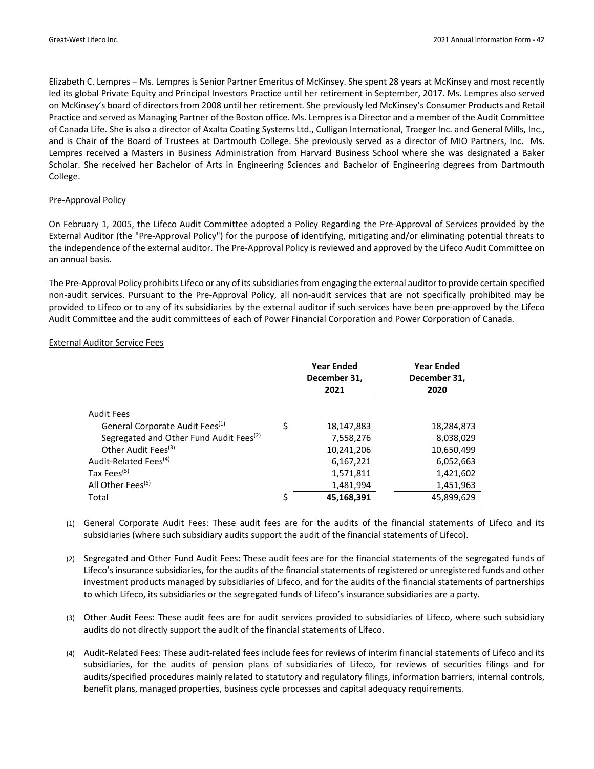Elizabeth C. Lempres – Ms. Lempres is Senior Partner Emeritus of McKinsey. She spent 28 years at McKinsey and most recently led its global Private Equity and Principal Investors Practice until her retirement in September, 2017. Ms. Lempres also served on McKinsey's board of directors from 2008 until her retirement. She previously led McKinsey's Consumer Products and Retail Practice and served as Managing Partner of the Boston office. Ms. Lempres is a Director and a member of the Audit Committee of Canada Life. She is also a director of Axalta Coating Systems Ltd., Culligan International, Traeger Inc. and General Mills, Inc., and is Chair of the Board of Trustees at Dartmouth College. She previously served as a director of MIO Partners, Inc. Ms. Lempres received a Masters in Business Administration from Harvard Business School where she was designated a Baker Scholar. She received her Bachelor of Arts in Engineering Sciences and Bachelor of Engineering degrees from Dartmouth College.

#### Pre‐Approval Policy

On February 1, 2005, the Lifeco Audit Committee adopted a Policy Regarding the Pre‐Approval of Services provided by the External Auditor (the "Pre‐Approval Policy") for the purpose of identifying, mitigating and/or eliminating potential threats to the independence of the external auditor. The Pre‐Approval Policy is reviewed and approved by the Lifeco Audit Committee on an annual basis.

The Pre-Approval Policy prohibits Lifeco or any of its subsidiaries from engaging the external auditor to provide certain specified non‐audit services. Pursuant to the Pre‐Approval Policy, all non‐audit services that are not specifically prohibited may be provided to Lifeco or to any of its subsidiaries by the external auditor if such services have been pre‐approved by the Lifeco Audit Committee and the audit committees of each of Power Financial Corporation and Power Corporation of Canada.

#### External Auditor Service Fees

|                                                     |    | <b>Year Ended</b><br>December 31,<br>2021 | <b>Year Ended</b><br>December 31,<br>2020 |
|-----------------------------------------------------|----|-------------------------------------------|-------------------------------------------|
| Audit Fees                                          |    |                                           |                                           |
| General Corporate Audit Fees <sup>(1)</sup>         | Ś  | 18,147,883                                | 18,284,873                                |
| Segregated and Other Fund Audit Fees <sup>(2)</sup> |    | 7,558,276                                 | 8,038,029                                 |
| Other Audit Fees <sup>(3)</sup>                     |    | 10,241,206                                | 10,650,499                                |
| Audit-Related Fees <sup>(4)</sup>                   |    | 6,167,221                                 | 6,052,663                                 |
| Tax Fees <sup>(5)</sup>                             |    | 1,571,811                                 | 1,421,602                                 |
| All Other Fees <sup>(6)</sup>                       |    | 1,481,994                                 | 1,451,963                                 |
| Total                                               | \$ | 45,168,391                                | 45,899,629                                |

- (1) General Corporate Audit Fees: These audit fees are for the audits of the financial statements of Lifeco and its subsidiaries (where such subsidiary audits support the audit of the financial statements of Lifeco).
- (2) Segregated and Other Fund Audit Fees: These audit fees are for the financial statements of the segregated funds of Lifeco's insurance subsidiaries, for the audits of the financial statements of registered or unregistered funds and other investment products managed by subsidiaries of Lifeco, and for the audits of the financial statements of partnerships to which Lifeco, its subsidiaries or the segregated funds of Lifeco's insurance subsidiaries are a party.
- (3) Other Audit Fees: These audit fees are for audit services provided to subsidiaries of Lifeco, where such subsidiary audits do not directly support the audit of the financial statements of Lifeco.
- (4) Audit‐Related Fees: These audit‐related fees include fees for reviews of interim financial statements of Lifeco and its subsidiaries, for the audits of pension plans of subsidiaries of Lifeco, for reviews of securities filings and for audits/specified procedures mainly related to statutory and regulatory filings, information barriers, internal controls, benefit plans, managed properties, business cycle processes and capital adequacy requirements.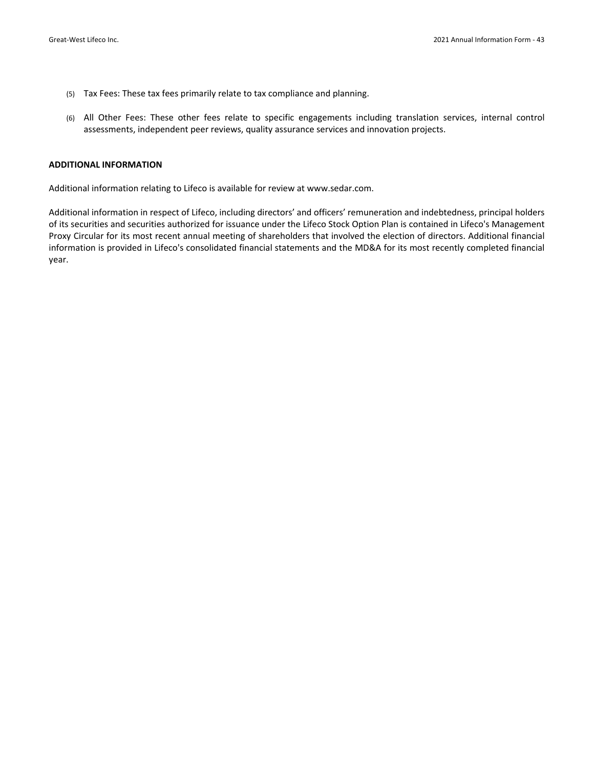- (5) Tax Fees: These tax fees primarily relate to tax compliance and planning.
- (6) All Other Fees: These other fees relate to specific engagements including translation services, internal control assessments, independent peer reviews, quality assurance services and innovation projects.

#### **ADDITIONAL INFORMATION**

Additional information relating to Lifeco is available for review at www.sedar.com.

Additional information in respect of Lifeco, including directors' and officers' remuneration and indebtedness, principal holders of its securities and securities authorized for issuance under the Lifeco Stock Option Plan is contained in Lifeco's Management Proxy Circular for its most recent annual meeting of shareholders that involved the election of directors. Additional financial information is provided in Lifeco's consolidated financial statements and the MD&A for its most recently completed financial year.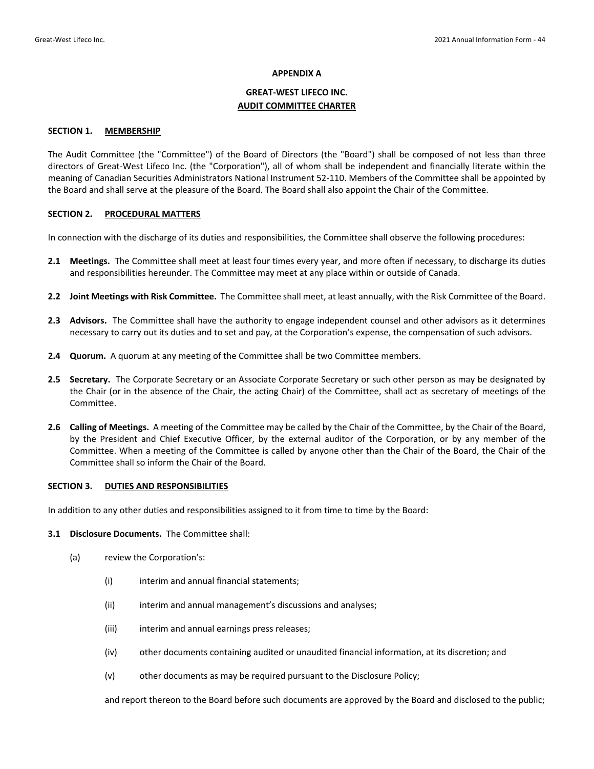#### **APPENDIX A**

## **GREAT‐WEST LIFECO INC. AUDIT COMMITTEE CHARTER**

#### **SECTION 1. MEMBERSHIP**

The Audit Committee (the "Committee") of the Board of Directors (the "Board") shall be composed of not less than three directors of Great‐West Lifeco Inc. (the "Corporation"), all of whom shall be independent and financially literate within the meaning of Canadian Securities Administrators National Instrument 52‐110. Members of the Committee shall be appointed by the Board and shall serve at the pleasure of the Board. The Board shall also appoint the Chair of the Committee.

#### **SECTION 2. PROCEDURAL MATTERS**

In connection with the discharge of its duties and responsibilities, the Committee shall observe the following procedures:

- **2.1 Meetings.** The Committee shall meet at least four times every year, and more often if necessary, to discharge its duties and responsibilities hereunder. The Committee may meet at any place within or outside of Canada.
- **2.2 Joint Meetings with Risk Committee.** The Committee shall meet, at least annually, with the Risk Committee of the Board.
- **2.3 Advisors.** The Committee shall have the authority to engage independent counsel and other advisors as it determines necessary to carry out its duties and to set and pay, at the Corporation's expense, the compensation of such advisors.
- **2.4 Quorum.** A quorum at any meeting of the Committee shall be two Committee members.
- **2.5 Secretary.** The Corporate Secretary or an Associate Corporate Secretary or such other person as may be designated by the Chair (or in the absence of the Chair, the acting Chair) of the Committee, shall act as secretary of meetings of the Committee.
- **2.6 Calling of Meetings.** A meeting of the Committee may be called by the Chair of the Committee, by the Chair of the Board, by the President and Chief Executive Officer, by the external auditor of the Corporation, or by any member of the Committee. When a meeting of the Committee is called by anyone other than the Chair of the Board, the Chair of the Committee shall so inform the Chair of the Board.

#### **SECTION 3. DUTIES AND RESPONSIBILITIES**

In addition to any other duties and responsibilities assigned to it from time to time by the Board:

#### **3.1 Disclosure Documents.** The Committee shall:

- (a) review the Corporation's:
	- (i) interim and annual financial statements;
	- (ii) interim and annual management's discussions and analyses;
	- (iii) interim and annual earnings press releases;
	- (iv) other documents containing audited or unaudited financial information, at its discretion; and
	- (v) other documents as may be required pursuant to the Disclosure Policy;

and report thereon to the Board before such documents are approved by the Board and disclosed to the public;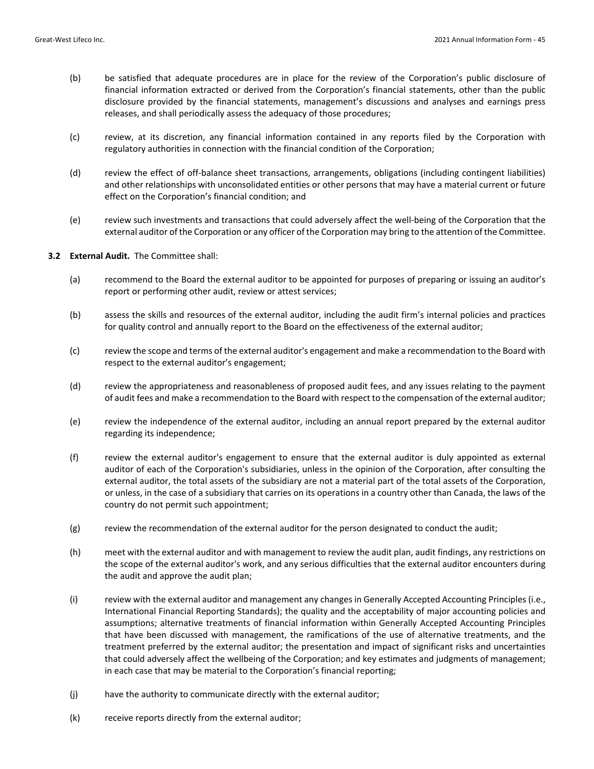- (b) be satisfied that adequate procedures are in place for the review of the Corporation's public disclosure of financial information extracted or derived from the Corporation's financial statements, other than the public disclosure provided by the financial statements, management's discussions and analyses and earnings press releases, and shall periodically assess the adequacy of those procedures;
- (c) review, at its discretion, any financial information contained in any reports filed by the Corporation with regulatory authorities in connection with the financial condition of the Corporation;
- (d) review the effect of off-balance sheet transactions, arrangements, obligations (including contingent liabilities) and other relationships with unconsolidated entities or other persons that may have a material current or future effect on the Corporation's financial condition; and
- (e) review such investments and transactions that could adversely affect the well‐being of the Corporation that the external auditor of the Corporation or any officer of the Corporation may bring to the attention of the Committee.
- **3.2 External Audit.** The Committee shall:
	- (a) recommend to the Board the external auditor to be appointed for purposes of preparing or issuing an auditor's report or performing other audit, review or attest services;
	- (b) assess the skills and resources of the external auditor, including the audit firm's internal policies and practices for quality control and annually report to the Board on the effectiveness of the external auditor;
	- (c) review the scope and terms of the external auditor's engagement and make a recommendation to the Board with respect to the external auditor's engagement;
	- (d) review the appropriateness and reasonableness of proposed audit fees, and any issues relating to the payment of audit fees and make a recommendation to the Board with respect to the compensation of the external auditor;
	- (e) review the independence of the external auditor, including an annual report prepared by the external auditor regarding its independence;
	- (f) review the external auditor's engagement to ensure that the external auditor is duly appointed as external auditor of each of the Corporation's subsidiaries, unless in the opinion of the Corporation, after consulting the external auditor, the total assets of the subsidiary are not a material part of the total assets of the Corporation, or unless, in the case of a subsidiary that carries on its operations in a country other than Canada, the laws of the country do not permit such appointment;
	- (g) review the recommendation of the external auditor for the person designated to conduct the audit;
	- (h) meet with the external auditor and with management to review the audit plan, audit findings, any restrictions on the scope of the external auditor's work, and any serious difficulties that the external auditor encounters during the audit and approve the audit plan;
	- (i) review with the external auditor and management any changes in Generally Accepted Accounting Principles (i.e., International Financial Reporting Standards); the quality and the acceptability of major accounting policies and assumptions; alternative treatments of financial information within Generally Accepted Accounting Principles that have been discussed with management, the ramifications of the use of alternative treatments, and the treatment preferred by the external auditor; the presentation and impact of significant risks and uncertainties that could adversely affect the wellbeing of the Corporation; and key estimates and judgments of management; in each case that may be material to the Corporation's financial reporting;
	- (j) have the authority to communicate directly with the external auditor;
	- (k) receive reports directly from the external auditor;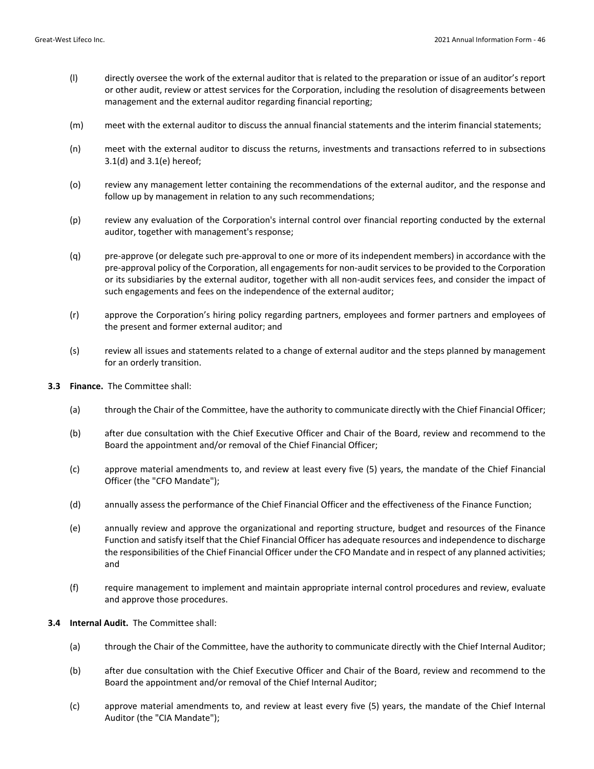- (l) directly oversee the work of the external auditor that is related to the preparation or issue of an auditor's report or other audit, review or attest services for the Corporation, including the resolution of disagreements between management and the external auditor regarding financial reporting;
- (m) meet with the external auditor to discuss the annual financial statements and the interim financial statements;
- (n) meet with the external auditor to discuss the returns, investments and transactions referred to in subsections 3.1(d) and 3.1(e) hereof;
- (o) review any management letter containing the recommendations of the external auditor, and the response and follow up by management in relation to any such recommendations;
- (p) review any evaluation of the Corporation's internal control over financial reporting conducted by the external auditor, together with management's response;
- (q) pre‐approve (or delegate such pre‐approval to one or more of its independent members) in accordance with the pre-approval policy of the Corporation, all engagements for non-audit services to be provided to the Corporation or its subsidiaries by the external auditor, together with all non-audit services fees, and consider the impact of such engagements and fees on the independence of the external auditor;
- (r) approve the Corporation's hiring policy regarding partners, employees and former partners and employees of the present and former external auditor; and
- (s) review all issues and statements related to a change of external auditor and the steps planned by management for an orderly transition.
- **3.3 Finance.** The Committee shall:
	- (a) through the Chair of the Committee, have the authority to communicate directly with the Chief Financial Officer;
	- (b) after due consultation with the Chief Executive Officer and Chair of the Board, review and recommend to the Board the appointment and/or removal of the Chief Financial Officer;
	- (c) approve material amendments to, and review at least every five (5) years, the mandate of the Chief Financial Officer (the "CFO Mandate");
	- (d) annually assess the performance of the Chief Financial Officer and the effectiveness of the Finance Function;
	- (e) annually review and approve the organizational and reporting structure, budget and resources of the Finance Function and satisfy itself that the Chief Financial Officer has adequate resources and independence to discharge the responsibilities of the Chief Financial Officer under the CFO Mandate and in respect of any planned activities; and
	- (f) require management to implement and maintain appropriate internal control procedures and review, evaluate and approve those procedures.
- **3.4 Internal Audit.** The Committee shall:
	- (a) through the Chair of the Committee, have the authority to communicate directly with the Chief Internal Auditor;
	- (b) after due consultation with the Chief Executive Officer and Chair of the Board, review and recommend to the Board the appointment and/or removal of the Chief Internal Auditor;
	- (c) approve material amendments to, and review at least every five (5) years, the mandate of the Chief Internal Auditor (the "CIA Mandate");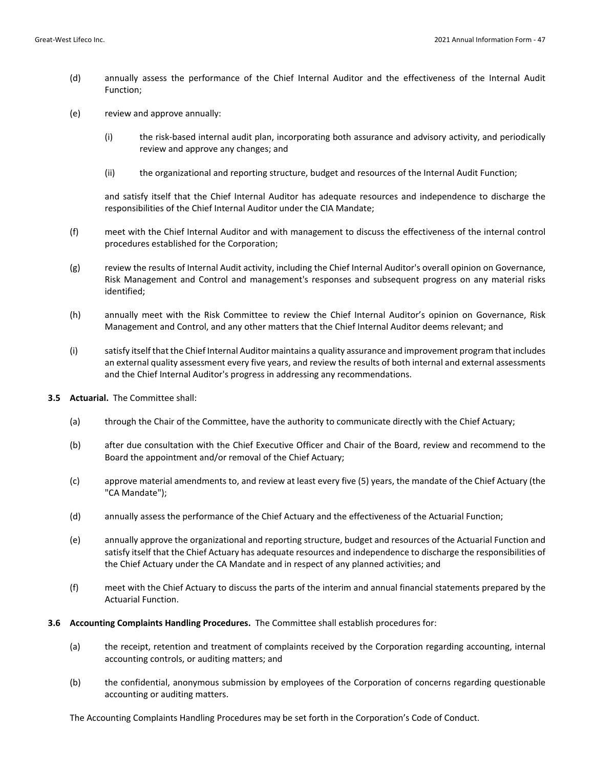- (d) annually assess the performance of the Chief Internal Auditor and the effectiveness of the Internal Audit Function;
- (e) review and approve annually:
	- (i) the risk‐based internal audit plan, incorporating both assurance and advisory activity, and periodically review and approve any changes; and
	- (ii) the organizational and reporting structure, budget and resources of the Internal Audit Function;

and satisfy itself that the Chief Internal Auditor has adequate resources and independence to discharge the responsibilities of the Chief Internal Auditor under the CIA Mandate;

- (f) meet with the Chief Internal Auditor and with management to discuss the effectiveness of the internal control procedures established for the Corporation;
- (g) review the results of Internal Audit activity, including the Chief Internal Auditor's overall opinion on Governance, Risk Management and Control and management's responses and subsequent progress on any material risks identified;
- (h) annually meet with the Risk Committee to review the Chief Internal Auditor's opinion on Governance, Risk Management and Control, and any other matters that the Chief Internal Auditor deems relevant; and
- (i) satisfy itself that the Chief Internal Auditor maintains a quality assurance and improvement program that includes an external quality assessment every five years, and review the results of both internal and external assessments and the Chief Internal Auditor's progress in addressing any recommendations.
- **3.5 Actuarial.** The Committee shall:
	- (a) through the Chair of the Committee, have the authority to communicate directly with the Chief Actuary;
	- (b) after due consultation with the Chief Executive Officer and Chair of the Board, review and recommend to the Board the appointment and/or removal of the Chief Actuary;
	- (c) approve material amendments to, and review at least every five (5) years, the mandate of the Chief Actuary (the "CA Mandate");
	- (d) annually assess the performance of the Chief Actuary and the effectiveness of the Actuarial Function;
	- (e) annually approve the organizational and reporting structure, budget and resources of the Actuarial Function and satisfy itself that the Chief Actuary has adequate resources and independence to discharge the responsibilities of the Chief Actuary under the CA Mandate and in respect of any planned activities; and
	- (f) meet with the Chief Actuary to discuss the parts of the interim and annual financial statements prepared by the Actuarial Function.
- **3.6 Accounting Complaints Handling Procedures.** The Committee shall establish procedures for:
	- (a) the receipt, retention and treatment of complaints received by the Corporation regarding accounting, internal accounting controls, or auditing matters; and
	- (b) the confidential, anonymous submission by employees of the Corporation of concerns regarding questionable accounting or auditing matters.

The Accounting Complaints Handling Procedures may be set forth in the Corporation's Code of Conduct.